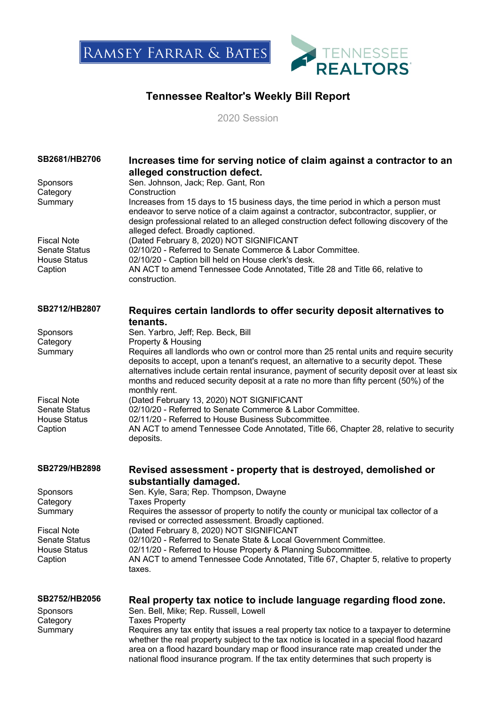



## **Tennessee Realtor's Weekly Bill Report**

2020 Session

| SB2681/HB2706<br>Sponsors                                                    | Increases time for serving notice of claim against a contractor to an<br>alleged construction defect.<br>Sen. Johnson, Jack; Rep. Gant, Ron                                                                                                                                                                                                                                                  |
|------------------------------------------------------------------------------|----------------------------------------------------------------------------------------------------------------------------------------------------------------------------------------------------------------------------------------------------------------------------------------------------------------------------------------------------------------------------------------------|
| Category<br>Summary                                                          | Construction<br>Increases from 15 days to 15 business days, the time period in which a person must<br>endeavor to serve notice of a claim against a contractor, subcontractor, supplier, or<br>design professional related to an alleged construction defect following discovery of the<br>alleged defect. Broadly captioned.                                                                |
| <b>Fiscal Note</b><br><b>Senate Status</b><br><b>House Status</b><br>Caption | (Dated February 8, 2020) NOT SIGNIFICANT<br>02/10/20 - Referred to Senate Commerce & Labor Committee.<br>02/10/20 - Caption bill held on House clerk's desk.<br>AN ACT to amend Tennessee Code Annotated, Title 28 and Title 66, relative to<br>construction.                                                                                                                                |
| SB2712/HB2807                                                                | Requires certain landlords to offer security deposit alternatives to<br>tenants.                                                                                                                                                                                                                                                                                                             |
| Sponsors                                                                     | Sen. Yarbro, Jeff; Rep. Beck, Bill                                                                                                                                                                                                                                                                                                                                                           |
| Category                                                                     | Property & Housing                                                                                                                                                                                                                                                                                                                                                                           |
| Summary                                                                      | Requires all landlords who own or control more than 25 rental units and require security<br>deposits to accept, upon a tenant's request, an alternative to a security depot. These<br>alternatives include certain rental insurance, payment of security deposit over at least six<br>months and reduced security deposit at a rate no more than fifty percent (50%) of the<br>monthly rent. |
| <b>Fiscal Note</b>                                                           | (Dated February 13, 2020) NOT SIGNIFICANT                                                                                                                                                                                                                                                                                                                                                    |
| <b>Senate Status</b><br><b>House Status</b>                                  | 02/10/20 - Referred to Senate Commerce & Labor Committee.<br>02/11/20 - Referred to House Business Subcommittee.                                                                                                                                                                                                                                                                             |
| Caption                                                                      | AN ACT to amend Tennessee Code Annotated, Title 66, Chapter 28, relative to security<br>deposits.                                                                                                                                                                                                                                                                                            |
| SB2729/HB2898                                                                | Revised assessment - property that is destroyed, demolished or<br>substantially damaged.                                                                                                                                                                                                                                                                                                     |
| Sponsors                                                                     | Sen. Kyle, Sara; Rep. Thompson, Dwayne                                                                                                                                                                                                                                                                                                                                                       |
| Category                                                                     | <b>Taxes Property</b><br>Requires the assessor of property to notify the county or municipal tax collector of a                                                                                                                                                                                                                                                                              |
| Summary                                                                      | revised or corrected assessment. Broadly captioned.                                                                                                                                                                                                                                                                                                                                          |
| <b>Fiscal Note</b>                                                           | (Dated February 8, 2020) NOT SIGNIFICANT                                                                                                                                                                                                                                                                                                                                                     |
| Senate Status<br><b>House Status</b>                                         | 02/10/20 - Referred to Senate State & Local Government Committee.<br>02/11/20 - Referred to House Property & Planning Subcommittee.                                                                                                                                                                                                                                                          |
| Caption                                                                      | AN ACT to amend Tennessee Code Annotated, Title 67, Chapter 5, relative to property<br>taxes.                                                                                                                                                                                                                                                                                                |
| SB2752/HB2056                                                                | Real property tax notice to include language regarding flood zone.                                                                                                                                                                                                                                                                                                                           |
| <b>Sponsors</b>                                                              | Sen. Bell, Mike; Rep. Russell, Lowell                                                                                                                                                                                                                                                                                                                                                        |
| Category<br>Summary                                                          | <b>Taxes Property</b><br>Requires any tax entity that issues a real property tax notice to a taxpayer to determine<br>whether the real property subject to the tax notice is located in a special flood hazard<br>area on a flood hazard boundary map or flood insurance rate map created under the<br>national flood insurance program. If the tax entity determines that such property is  |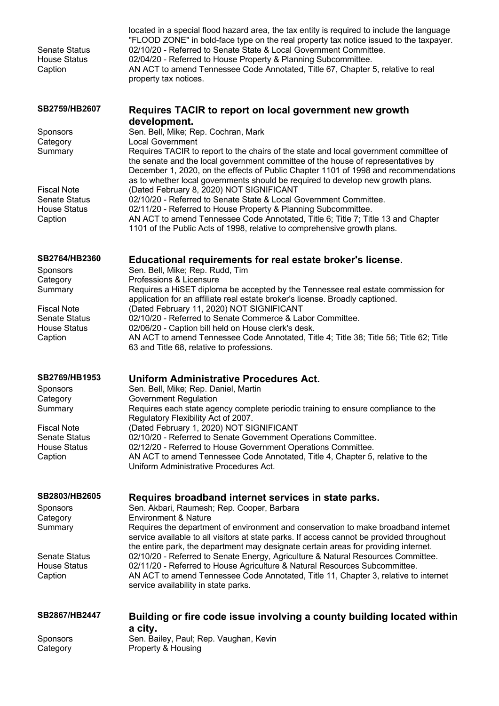| <b>Senate Status</b><br><b>House Status</b><br>Caption                       | located in a special flood hazard area, the tax entity is required to include the language<br>"FLOOD ZONE" in bold-face type on the real property tax notice issued to the taxpayer.<br>02/10/20 - Referred to Senate State & Local Government Committee.<br>02/04/20 - Referred to House Property & Planning Subcommittee.<br>AN ACT to amend Tennessee Code Annotated, Title 67, Chapter 5, relative to real<br>property tax notices. |
|------------------------------------------------------------------------------|-----------------------------------------------------------------------------------------------------------------------------------------------------------------------------------------------------------------------------------------------------------------------------------------------------------------------------------------------------------------------------------------------------------------------------------------|
| SB2759/HB2607                                                                | Requires TACIR to report on local government new growth                                                                                                                                                                                                                                                                                                                                                                                 |
| Sponsors<br>Category<br>Summary                                              | development.<br>Sen. Bell, Mike; Rep. Cochran, Mark<br><b>Local Government</b><br>Requires TACIR to report to the chairs of the state and local government committee of<br>the senate and the local government committee of the house of representatives by<br>December 1, 2020, on the effects of Public Chapter 1101 of 1998 and recommendations                                                                                      |
| <b>Fiscal Note</b><br><b>Senate Status</b><br><b>House Status</b><br>Caption | as to whether local governments should be required to develop new growth plans.<br>(Dated February 8, 2020) NOT SIGNIFICANT<br>02/10/20 - Referred to Senate State & Local Government Committee.<br>02/11/20 - Referred to House Property & Planning Subcommittee.<br>AN ACT to amend Tennessee Code Annotated, Title 6; Title 7; Title 13 and Chapter<br>1101 of the Public Acts of 1998, relative to comprehensive growth plans.      |
| SB2764/HB2360<br><b>Sponsors</b><br>Category<br>Summary                      | Educational requirements for real estate broker's license.<br>Sen. Bell, Mike; Rep. Rudd, Tim<br>Professions & Licensure<br>Requires a HiSET diploma be accepted by the Tennessee real estate commission for<br>application for an affiliate real estate broker's license. Broadly captioned.                                                                                                                                           |
| <b>Fiscal Note</b><br><b>Senate Status</b><br><b>House Status</b><br>Caption | (Dated February 11, 2020) NOT SIGNIFICANT<br>02/10/20 - Referred to Senate Commerce & Labor Committee.<br>02/06/20 - Caption bill held on House clerk's desk.<br>AN ACT to amend Tennessee Code Annotated, Title 4; Title 38; Title 56; Title 62; Title<br>63 and Title 68, relative to professions.                                                                                                                                    |
| SB2769/HB1953<br>Sponsors<br>Category<br>Summary                             | <b>Uniform Administrative Procedures Act.</b><br>Sen. Bell, Mike; Rep. Daniel, Martin<br>Government Regulation<br>Requires each state agency complete periodic training to ensure compliance to the                                                                                                                                                                                                                                     |
| <b>Fiscal Note</b><br><b>Senate Status</b><br><b>House Status</b><br>Caption | Regulatory Flexibility Act of 2007.<br>(Dated February 1, 2020) NOT SIGNIFICANT<br>02/10/20 - Referred to Senate Government Operations Committee.<br>02/12/20 - Referred to House Government Operations Committee.<br>AN ACT to amend Tennessee Code Annotated, Title 4, Chapter 5, relative to the<br>Uniform Administrative Procedures Act.                                                                                           |
| SB2803/HB2605                                                                | Requires broadband internet services in state parks.                                                                                                                                                                                                                                                                                                                                                                                    |
| Sponsors<br>Category<br>Summary                                              | Sen. Akbari, Raumesh; Rep. Cooper, Barbara<br><b>Environment &amp; Nature</b><br>Requires the department of environment and conservation to make broadband internet<br>service available to all visitors at state parks. If access cannot be provided throughout                                                                                                                                                                        |
| <b>Senate Status</b><br><b>House Status</b><br>Caption                       | the entire park, the department may designate certain areas for providing internet.<br>02/10/20 - Referred to Senate Energy, Agriculture & Natural Resources Committee.<br>02/11/20 - Referred to House Agriculture & Natural Resources Subcommittee.<br>AN ACT to amend Tennessee Code Annotated, Title 11, Chapter 3, relative to internet<br>service availability in state parks.                                                    |
| SB2867/HB2447                                                                | Building or fire code issue involving a county building located within                                                                                                                                                                                                                                                                                                                                                                  |
| <b>Sponsors</b><br>Category                                                  | a city.<br>Sen. Bailey, Paul; Rep. Vaughan, Kevin<br>Property & Housing                                                                                                                                                                                                                                                                                                                                                                 |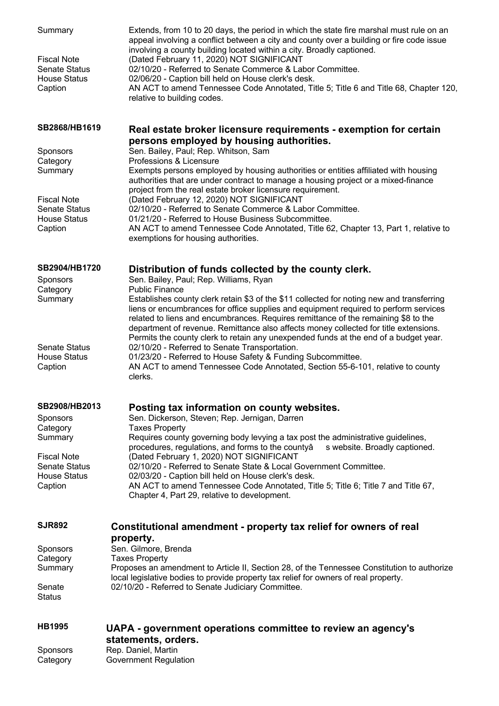| Summary<br><b>Fiscal Note</b><br><b>Senate Status</b><br><b>House Status</b><br>Caption | Extends, from 10 to 20 days, the period in which the state fire marshal must rule on an<br>appeal involving a conflict between a city and county over a building or fire code issue<br>involving a county building located within a city. Broadly captioned.<br>(Dated February 11, 2020) NOT SIGNIFICANT<br>02/10/20 - Referred to Senate Commerce & Labor Committee.<br>02/06/20 - Caption bill held on House clerk's desk.<br>AN ACT to amend Tennessee Code Annotated, Title 5; Title 6 and Title 68, Chapter 120,<br>relative to building codes. |
|-----------------------------------------------------------------------------------------|-------------------------------------------------------------------------------------------------------------------------------------------------------------------------------------------------------------------------------------------------------------------------------------------------------------------------------------------------------------------------------------------------------------------------------------------------------------------------------------------------------------------------------------------------------|
| SB2868/HB1619                                                                           | Real estate broker licensure requirements - exemption for certain<br>persons employed by housing authorities.                                                                                                                                                                                                                                                                                                                                                                                                                                         |
| <b>Sponsors</b>                                                                         | Sen. Bailey, Paul; Rep. Whitson, Sam                                                                                                                                                                                                                                                                                                                                                                                                                                                                                                                  |
| Category<br>Summary                                                                     | Professions & Licensure<br>Exempts persons employed by housing authorities or entities affiliated with housing<br>authorities that are under contract to manage a housing project or a mixed-finance                                                                                                                                                                                                                                                                                                                                                  |
|                                                                                         | project from the real estate broker licensure requirement.                                                                                                                                                                                                                                                                                                                                                                                                                                                                                            |
| <b>Fiscal Note</b><br><b>Senate Status</b>                                              | (Dated February 12, 2020) NOT SIGNIFICANT<br>02/10/20 - Referred to Senate Commerce & Labor Committee.                                                                                                                                                                                                                                                                                                                                                                                                                                                |
| <b>House Status</b>                                                                     | 01/21/20 - Referred to House Business Subcommittee.                                                                                                                                                                                                                                                                                                                                                                                                                                                                                                   |
| Caption                                                                                 | AN ACT to amend Tennessee Code Annotated, Title 62, Chapter 13, Part 1, relative to<br>exemptions for housing authorities.                                                                                                                                                                                                                                                                                                                                                                                                                            |
| SB2904/HB1720                                                                           | Distribution of funds collected by the county clerk.                                                                                                                                                                                                                                                                                                                                                                                                                                                                                                  |
| Sponsors                                                                                | Sen. Bailey, Paul; Rep. Williams, Ryan                                                                                                                                                                                                                                                                                                                                                                                                                                                                                                                |
| Category<br>Summary                                                                     | <b>Public Finance</b><br>Establishes county clerk retain \$3 of the \$11 collected for noting new and transferring                                                                                                                                                                                                                                                                                                                                                                                                                                    |
|                                                                                         | liens or encumbrances for office supplies and equipment required to perform services<br>related to liens and encumbrances. Requires remittance of the remaining \$8 to the<br>department of revenue. Remittance also affects money collected for title extensions.<br>Permits the county clerk to retain any unexpended funds at the end of a budget year.                                                                                                                                                                                            |
| <b>Senate Status</b>                                                                    | 02/10/20 - Referred to Senate Transportation.                                                                                                                                                                                                                                                                                                                                                                                                                                                                                                         |
| <b>House Status</b><br>Caption                                                          | 01/23/20 - Referred to House Safety & Funding Subcommittee.<br>AN ACT to amend Tennessee Code Annotated, Section 55-6-101, relative to county<br>clerks.                                                                                                                                                                                                                                                                                                                                                                                              |
| SB2908/HB2013                                                                           | Posting tax information on county websites.                                                                                                                                                                                                                                                                                                                                                                                                                                                                                                           |
| <b>Sponsors</b>                                                                         | Sen. Dickerson, Steven; Rep. Jernigan, Darren                                                                                                                                                                                                                                                                                                                                                                                                                                                                                                         |
| Category                                                                                | <b>Taxes Property</b>                                                                                                                                                                                                                                                                                                                                                                                                                                                                                                                                 |
| Summary<br><b>Fiscal Note</b>                                                           | Requires county governing body levying a tax post the administrative guidelines,<br>procedures, regulations, and forms to the countyâ<br>s website. Broadly captioned.<br>(Dated February 1, 2020) NOT SIGNIFICANT                                                                                                                                                                                                                                                                                                                                    |
| <b>Senate Status</b>                                                                    | 02/10/20 - Referred to Senate State & Local Government Committee.                                                                                                                                                                                                                                                                                                                                                                                                                                                                                     |
| <b>House Status</b>                                                                     | 02/03/20 - Caption bill held on House clerk's desk.                                                                                                                                                                                                                                                                                                                                                                                                                                                                                                   |
| Caption                                                                                 | AN ACT to amend Tennessee Code Annotated, Title 5; Title 6; Title 7 and Title 67,<br>Chapter 4, Part 29, relative to development.                                                                                                                                                                                                                                                                                                                                                                                                                     |
| <b>SJR892</b>                                                                           | Constitutional amendment - property tax relief for owners of real<br>property.                                                                                                                                                                                                                                                                                                                                                                                                                                                                        |
| <b>Sponsors</b>                                                                         | Sen. Gilmore, Brenda                                                                                                                                                                                                                                                                                                                                                                                                                                                                                                                                  |
| Category                                                                                | <b>Taxes Property</b>                                                                                                                                                                                                                                                                                                                                                                                                                                                                                                                                 |
| Summary                                                                                 | Proposes an amendment to Article II, Section 28, of the Tennessee Constitution to authorize<br>local legislative bodies to provide property tax relief for owners of real property.                                                                                                                                                                                                                                                                                                                                                                   |
| Senate<br><b>Status</b>                                                                 | 02/10/20 - Referred to Senate Judiciary Committee.                                                                                                                                                                                                                                                                                                                                                                                                                                                                                                    |
| <b>HB1995</b>                                                                           | UAPA - government operations committee to review an agency's<br>statements, orders.                                                                                                                                                                                                                                                                                                                                                                                                                                                                   |
| Sponsors<br>Category                                                                    | Rep. Daniel, Martin<br><b>Government Regulation</b>                                                                                                                                                                                                                                                                                                                                                                                                                                                                                                   |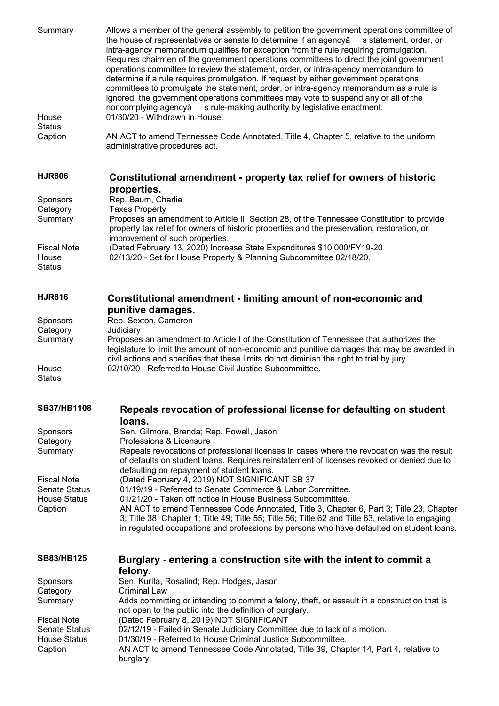Summary Allows a member of the general assembly to petition the government operations committee of the house of representatives or senate to determine if an agency a statement, order, or intra-agency memorandum qualifies for exception from the rule requiring promulgation. Requires chairmen of the government operations committees to direct the joint government operations committee to review the statement, order, or intra-agency memorandum to determine if a rule requires promulgation. If request by either government operations committees to promulgate the statement, order, or intra-agency memorandum as a rule is ignored, the government operations committees may vote to suspend any or all of the noncomplying agencyâ s rule-making authority by legislative enactment. House **Status** 01/30/20 - Withdrawn in House. Caption AN ACT to amend Tennessee Code Annotated, Title 4, Chapter 5, relative to the uniform administrative procedures act. **HJR806 Constitutional amendment - property tax relief for owners of historic properties.** Sponsors Rep. Baum, Charlie Category Taxes Property Summary Proposes an amendment to Article II, Section 28, of the Tennessee Constitution to provide property tax relief for owners of historic properties and the preservation, restoration, or improvement of such properties. Fiscal Note (Dated February 13, 2020) Increase State Expenditures \$10,000/FY19-20 House **Status** 02/13/20 - Set for House Property & Planning Subcommittee 02/18/20. **HJR816 Constitutional amendment - limiting amount of non-economic and punitive damages.** Sponsors Rep. Sexton, Cameron Category Judiciary Summary Proposes an amendment to Article I of the Constitution of Tennessee that authorizes the legislature to limit the amount of non-economic and punitive damages that may be awarded in civil actions and specifies that these limits do not diminish the right to trial by jury. House **Status** 02/10/20 - Referred to House Civil Justice Subcommittee. **SB37/HB1108 Repeals revocation of professional license for defaulting on student loans.** Sponsors Sen. Gilmore, Brenda; Rep. Powell, Jason Category **Professions & Licensure** Summary Repeals revocations of professional licenses in cases where the revocation was the result of defaults on student loans. Requires reinstatement of licenses revoked or denied due to defaulting on repayment of student loans. Fiscal Note (Dated February 4, 2019) NOT SIGNIFICANT SB 37 Senate Status 01/19/19 - Referred to Senate Commerce & Labor Committee. House Status 01/21/20 - Taken off notice in House Business Subcommittee. Caption AN ACT to amend Tennessee Code Annotated, Title 3, Chapter 6, Part 3; Title 23, Chapter 3; Title 38, Chapter 1; Title 49; Title 55; Title 56; Title 62 and Title 63, relative to engaging in regulated occupations and professions by persons who have defaulted on student loans. **SB83/HB125 Burglary - entering a construction site with the intent to commit a felony.** Sponsors Sen. Kurita, Rosalind; Rep. Hodges, Jason Category Criminal Law Summary Adds committing or intending to commit a felony, theft, or assault in a construction that is not open to the public into the definition of burglary. Fiscal Note (Dated February 8, 2019) NOT SIGNIFICANT<br>Senate Status (02/12/19 - Failed in Senate Judiciary Committe 02/12/19 - Failed in Senate Judiciary Committee due to lack of a motion. House Status 01/30/19 - Referred to House Criminal Justice Subcommittee. Caption AN ACT to amend Tennessee Code Annotated, Title 39, Chapter 14, Part 4, relative to burglary.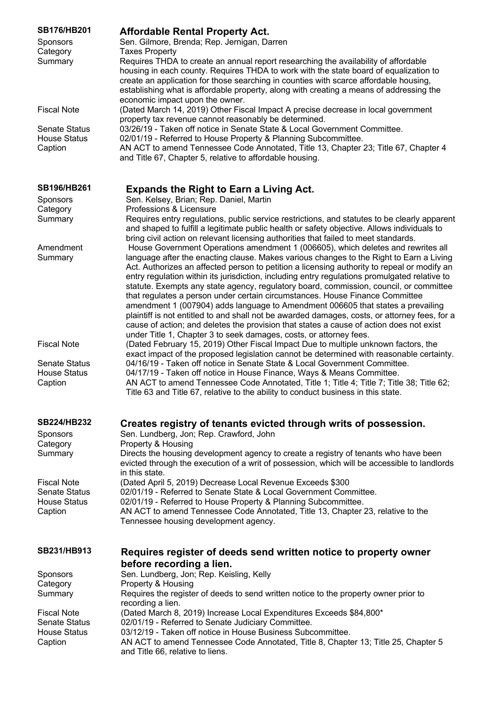| <b>SB176/HB201</b><br><b>Sponsors</b><br>Category<br>Summary | <b>Affordable Rental Property Act.</b><br>Sen. Gilmore, Brenda; Rep. Jernigan, Darren<br><b>Taxes Property</b><br>Requires THDA to create an annual report researching the availability of affordable<br>housing in each county. Requires THDA to work with the state board of equalization to<br>create an application for those searching in counties with scarce affordable housing,<br>establishing what is affordable property, along with creating a means of addressing the<br>economic impact upon the owner.                                                                                                                                                                                                                                                                                                                                                                                      |
|--------------------------------------------------------------|------------------------------------------------------------------------------------------------------------------------------------------------------------------------------------------------------------------------------------------------------------------------------------------------------------------------------------------------------------------------------------------------------------------------------------------------------------------------------------------------------------------------------------------------------------------------------------------------------------------------------------------------------------------------------------------------------------------------------------------------------------------------------------------------------------------------------------------------------------------------------------------------------------|
| <b>Fiscal Note</b>                                           | (Dated March 14, 2019) Other Fiscal Impact A precise decrease in local government                                                                                                                                                                                                                                                                                                                                                                                                                                                                                                                                                                                                                                                                                                                                                                                                                          |
| <b>Senate Status</b><br><b>House Status</b><br>Caption       | property tax revenue cannot reasonably be determined.<br>03/26/19 - Taken off notice in Senate State & Local Government Committee.<br>02/01/19 - Referred to House Property & Planning Subcommittee.<br>AN ACT to amend Tennessee Code Annotated, Title 13, Chapter 23; Title 67, Chapter 4<br>and Title 67, Chapter 5, relative to affordable housing.                                                                                                                                                                                                                                                                                                                                                                                                                                                                                                                                                    |
| <b>SB196/HB261</b>                                           | <b>Expands the Right to Earn a Living Act.</b>                                                                                                                                                                                                                                                                                                                                                                                                                                                                                                                                                                                                                                                                                                                                                                                                                                                             |
| <b>Sponsors</b><br>Category<br>Summary                       | Sen. Kelsey, Brian; Rep. Daniel, Martin<br>Professions & Licensure<br>Requires entry regulations, public service restrictions, and statutes to be clearly apparent<br>and shaped to fulfill a legitimate public health or safety objective. Allows individuals to<br>bring civil action on relevant licensing authorities that failed to meet standards.                                                                                                                                                                                                                                                                                                                                                                                                                                                                                                                                                   |
| Amendment<br>Summary                                         | House Government Operations amendment 1 (006605), which deletes and rewrites all<br>language after the enacting clause. Makes various changes to the Right to Earn a Living<br>Act. Authorizes an affected person to petition a licensing authority to repeal or modify an<br>entry regulation within its jurisdiction, including entry regulations promulgated relative to<br>statute. Exempts any state agency, regulatory board, commission, council, or committee<br>that regulates a person under certain circumstances. House Finance Committee<br>amendment 1 (007904) adds language to Amendment 006605 that states a prevailing<br>plaintiff is not entitled to and shall not be awarded damages, costs, or attorney fees, for a<br>cause of action; and deletes the provision that states a cause of action does not exist<br>under Title 1, Chapter 3 to seek damages, costs, or attorney fees. |
| <b>Fiscal Note</b>                                           | (Dated February 15, 2019) Other Fiscal Impact Due to multiple unknown factors, the<br>exact impact of the proposed legislation cannot be determined with reasonable certainty.                                                                                                                                                                                                                                                                                                                                                                                                                                                                                                                                                                                                                                                                                                                             |
| <b>Senate Status</b><br><b>House Status</b><br>Caption       | 04/16/19 - Taken off notice in Senate State & Local Government Committee.<br>04/17/19 - Taken off notice in House Finance, Ways & Means Committee.<br>AN ACT to amend Tennessee Code Annotated, Title 1; Title 4; Title 7; Title 38; Title 62;<br>Title 63 and Title 67, relative to the ability to conduct business in this state.                                                                                                                                                                                                                                                                                                                                                                                                                                                                                                                                                                        |
| <b>SB224/HB232</b>                                           | Creates registry of tenants evicted through writs of possession.                                                                                                                                                                                                                                                                                                                                                                                                                                                                                                                                                                                                                                                                                                                                                                                                                                           |
| Sponsors<br>Category                                         | Sen. Lundberg, Jon; Rep. Crawford, John<br>Property & Housing                                                                                                                                                                                                                                                                                                                                                                                                                                                                                                                                                                                                                                                                                                                                                                                                                                              |
| Summary                                                      | Directs the housing development agency to create a registry of tenants who have been<br>evicted through the execution of a writ of possession, which will be accessible to landlords<br>in this state.                                                                                                                                                                                                                                                                                                                                                                                                                                                                                                                                                                                                                                                                                                     |
| <b>Fiscal Note</b>                                           | (Dated April 5, 2019) Decrease Local Revenue Exceeds \$300                                                                                                                                                                                                                                                                                                                                                                                                                                                                                                                                                                                                                                                                                                                                                                                                                                                 |
| <b>Senate Status</b><br><b>House Status</b><br>Caption       | 02/01/19 - Referred to Senate State & Local Government Committee.<br>02/01/19 - Referred to House Property & Planning Subcommittee.<br>AN ACT to amend Tennessee Code Annotated, Title 13, Chapter 23, relative to the<br>Tennessee housing development agency.                                                                                                                                                                                                                                                                                                                                                                                                                                                                                                                                                                                                                                            |
| SB231/HB913                                                  | Requires register of deeds send written notice to property owner<br>before recording a lien.                                                                                                                                                                                                                                                                                                                                                                                                                                                                                                                                                                                                                                                                                                                                                                                                               |
| Sponsors                                                     | Sen. Lundberg, Jon; Rep. Keisling, Kelly                                                                                                                                                                                                                                                                                                                                                                                                                                                                                                                                                                                                                                                                                                                                                                                                                                                                   |
| Category<br>Summary                                          | Property & Housing<br>Requires the register of deeds to send written notice to the property owner prior to<br>recording a lien.                                                                                                                                                                                                                                                                                                                                                                                                                                                                                                                                                                                                                                                                                                                                                                            |
| <b>Fiscal Note</b>                                           | (Dated March 8, 2019) Increase Local Expenditures Exceeds \$84,800*                                                                                                                                                                                                                                                                                                                                                                                                                                                                                                                                                                                                                                                                                                                                                                                                                                        |
| <b>Senate Status</b><br><b>House Status</b>                  | 02/01/19 - Referred to Senate Judiciary Committee.<br>03/12/19 - Taken off notice in House Business Subcommittee.                                                                                                                                                                                                                                                                                                                                                                                                                                                                                                                                                                                                                                                                                                                                                                                          |
| Caption                                                      | AN ACT to amend Tennessee Code Annotated, Title 8, Chapter 13; Title 25, Chapter 5<br>and Title 66, relative to liens.                                                                                                                                                                                                                                                                                                                                                                                                                                                                                                                                                                                                                                                                                                                                                                                     |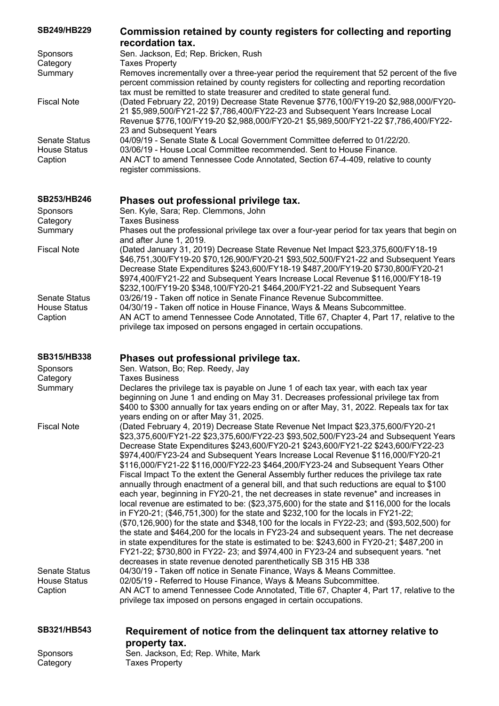| <b>SB249/HB229</b>                                     | Commission retained by county registers for collecting and reporting<br>recordation tax.                                                                                                                                                                                                                                                                                                                                                                                                                                                                                                                                                                                                                                                                                                                                                                                                                                                                                                                                                                                                                                                                                                                                                                                                                                            |
|--------------------------------------------------------|-------------------------------------------------------------------------------------------------------------------------------------------------------------------------------------------------------------------------------------------------------------------------------------------------------------------------------------------------------------------------------------------------------------------------------------------------------------------------------------------------------------------------------------------------------------------------------------------------------------------------------------------------------------------------------------------------------------------------------------------------------------------------------------------------------------------------------------------------------------------------------------------------------------------------------------------------------------------------------------------------------------------------------------------------------------------------------------------------------------------------------------------------------------------------------------------------------------------------------------------------------------------------------------------------------------------------------------|
| <b>Sponsors</b>                                        | Sen. Jackson, Ed; Rep. Bricken, Rush                                                                                                                                                                                                                                                                                                                                                                                                                                                                                                                                                                                                                                                                                                                                                                                                                                                                                                                                                                                                                                                                                                                                                                                                                                                                                                |
| Category                                               | <b>Taxes Property</b>                                                                                                                                                                                                                                                                                                                                                                                                                                                                                                                                                                                                                                                                                                                                                                                                                                                                                                                                                                                                                                                                                                                                                                                                                                                                                                               |
| Summary                                                | Removes incrementally over a three-year period the requirement that 52 percent of the five<br>percent commission retained by county registers for collecting and reporting recordation                                                                                                                                                                                                                                                                                                                                                                                                                                                                                                                                                                                                                                                                                                                                                                                                                                                                                                                                                                                                                                                                                                                                              |
| <b>Fiscal Note</b>                                     | tax must be remitted to state treasurer and credited to state general fund.<br>(Dated February 22, 2019) Decrease State Revenue \$776,100/FY19-20 \$2,988,000/FY20-<br>21 \$5,989,500/FY21-22 \$7,786,400/FY22-23 and Subsequent Years Increase Local<br>Revenue \$776,100/FY19-20 \$2,988,000/FY20-21 \$5,989,500/FY21-22 \$7,786,400/FY22-<br>23 and Subsequent Years                                                                                                                                                                                                                                                                                                                                                                                                                                                                                                                                                                                                                                                                                                                                                                                                                                                                                                                                                             |
| <b>Senate Status</b><br><b>House Status</b><br>Caption | 04/09/19 - Senate State & Local Government Committee deferred to 01/22/20.<br>03/06/19 - House Local Committee recommended. Sent to House Finance.<br>AN ACT to amend Tennessee Code Annotated, Section 67-4-409, relative to county<br>register commissions.                                                                                                                                                                                                                                                                                                                                                                                                                                                                                                                                                                                                                                                                                                                                                                                                                                                                                                                                                                                                                                                                       |
| <b>SB253/HB246</b>                                     | Phases out professional privilege tax.                                                                                                                                                                                                                                                                                                                                                                                                                                                                                                                                                                                                                                                                                                                                                                                                                                                                                                                                                                                                                                                                                                                                                                                                                                                                                              |
| <b>Sponsors</b><br>Category                            | Sen. Kyle, Sara; Rep. Clemmons, John<br><b>Taxes Business</b>                                                                                                                                                                                                                                                                                                                                                                                                                                                                                                                                                                                                                                                                                                                                                                                                                                                                                                                                                                                                                                                                                                                                                                                                                                                                       |
| Summary                                                | Phases out the professional privilege tax over a four-year period for tax years that begin on<br>and after June 1, 2019.                                                                                                                                                                                                                                                                                                                                                                                                                                                                                                                                                                                                                                                                                                                                                                                                                                                                                                                                                                                                                                                                                                                                                                                                            |
| <b>Fiscal Note</b>                                     | (Dated January 31, 2019) Decrease State Revenue Net Impact \$23,375,600/FY18-19<br>\$46,751,300/FY19-20 \$70,126,900/FY20-21 \$93,502,500/FY21-22 and Subsequent Years<br>Decrease State Expenditures \$243,600/FY18-19 \$487,200/FY19-20 \$730,800/FY20-21<br>\$974,400/FY21-22 and Subsequent Years Increase Local Revenue \$116,000/FY18-19<br>\$232,100/FY19-20 \$348,100/FY20-21 \$464,200/FY21-22 and Subsequent Years                                                                                                                                                                                                                                                                                                                                                                                                                                                                                                                                                                                                                                                                                                                                                                                                                                                                                                        |
| <b>Senate Status</b><br><b>House Status</b><br>Caption | 03/26/19 - Taken off notice in Senate Finance Revenue Subcommittee.<br>04/30/19 - Taken off notice in House Finance, Ways & Means Subcommittee.<br>AN ACT to amend Tennessee Code Annotated, Title 67, Chapter 4, Part 17, relative to the<br>privilege tax imposed on persons engaged in certain occupations.                                                                                                                                                                                                                                                                                                                                                                                                                                                                                                                                                                                                                                                                                                                                                                                                                                                                                                                                                                                                                      |
|                                                        |                                                                                                                                                                                                                                                                                                                                                                                                                                                                                                                                                                                                                                                                                                                                                                                                                                                                                                                                                                                                                                                                                                                                                                                                                                                                                                                                     |
| <b>SB315/HB338</b>                                     | Phases out professional privilege tax.                                                                                                                                                                                                                                                                                                                                                                                                                                                                                                                                                                                                                                                                                                                                                                                                                                                                                                                                                                                                                                                                                                                                                                                                                                                                                              |
|                                                        |                                                                                                                                                                                                                                                                                                                                                                                                                                                                                                                                                                                                                                                                                                                                                                                                                                                                                                                                                                                                                                                                                                                                                                                                                                                                                                                                     |
| Sponsors                                               | Sen. Watson, Bo; Rep. Reedy, Jay                                                                                                                                                                                                                                                                                                                                                                                                                                                                                                                                                                                                                                                                                                                                                                                                                                                                                                                                                                                                                                                                                                                                                                                                                                                                                                    |
| Category<br>Summary                                    | <b>Taxes Business</b><br>Declares the privilege tax is payable on June 1 of each tax year, with each tax year<br>beginning on June 1 and ending on May 31. Decreases professional privilege tax from<br>\$400 to \$300 annually for tax years ending on or after May, 31, 2022. Repeals tax for tax                                                                                                                                                                                                                                                                                                                                                                                                                                                                                                                                                                                                                                                                                                                                                                                                                                                                                                                                                                                                                                 |
| <b>Fiscal Note</b>                                     | years ending on or after May 31, 2025.<br>(Dated February 4, 2019) Decrease State Revenue Net Impact \$23,375,600/FY20-21<br>\$23,375,600/FY21-22 \$23,375,600/FY22-23 \$93,502,500/FY23-24 and Subsequent Years<br>Decrease State Expenditures \$243,600/FY20-21 \$243,600/FY21-22 \$243,600/FY22-23<br>\$974,400/FY23-24 and Subsequent Years Increase Local Revenue \$116,000/FY20-21<br>\$116,000/FY21-22 \$116,000/FY22-23 \$464,200/FY23-24 and Subsequent Years Other<br>Fiscal Impact To the extent the General Assembly further reduces the privilege tax rate<br>annually through enactment of a general bill, and that such reductions are equal to \$100<br>each year, beginning in FY20-21, the net decreases in state revenue* and increases in<br>local revenue are estimated to be: (\$23,375,600) for the state and \$116,000 for the locals<br>in FY20-21; (\$46,751,300) for the state and \$232,100 for the locals in FY21-22;<br>(\$70,126,900) for the state and \$348,100 for the locals in FY22-23; and (\$93,502,500) for<br>the state and \$464,200 for the locals in FY23-24 and subsequent years. The net decrease<br>in state expenditures for the state is estimated to be: \$243,600 in FY20-21; \$487,200 in<br>FY21-22; \$730,800 in FY22- 23; and \$974,400 in FY23-24 and subsequent years. *net |
|                                                        | decreases in state revenue denoted parenthetically SB 315 HB 338                                                                                                                                                                                                                                                                                                                                                                                                                                                                                                                                                                                                                                                                                                                                                                                                                                                                                                                                                                                                                                                                                                                                                                                                                                                                    |
| <b>Senate Status</b><br><b>House Status</b>            | 04/30/19 - Taken off notice in Senate Finance, Ways & Means Committee.<br>02/05/19 - Referred to House Finance, Ways & Means Subcommittee.                                                                                                                                                                                                                                                                                                                                                                                                                                                                                                                                                                                                                                                                                                                                                                                                                                                                                                                                                                                                                                                                                                                                                                                          |
| Caption                                                | AN ACT to amend Tennessee Code Annotated, Title 67, Chapter 4, Part 17, relative to the<br>privilege tax imposed on persons engaged in certain occupations.                                                                                                                                                                                                                                                                                                                                                                                                                                                                                                                                                                                                                                                                                                                                                                                                                                                                                                                                                                                                                                                                                                                                                                         |
| SB321/HB543                                            | Requirement of notice from the delinquent tax attorney relative to                                                                                                                                                                                                                                                                                                                                                                                                                                                                                                                                                                                                                                                                                                                                                                                                                                                                                                                                                                                                                                                                                                                                                                                                                                                                  |
| Sponsors                                               | property tax.<br>Sen. Jackson, Ed; Rep. White, Mark                                                                                                                                                                                                                                                                                                                                                                                                                                                                                                                                                                                                                                                                                                                                                                                                                                                                                                                                                                                                                                                                                                                                                                                                                                                                                 |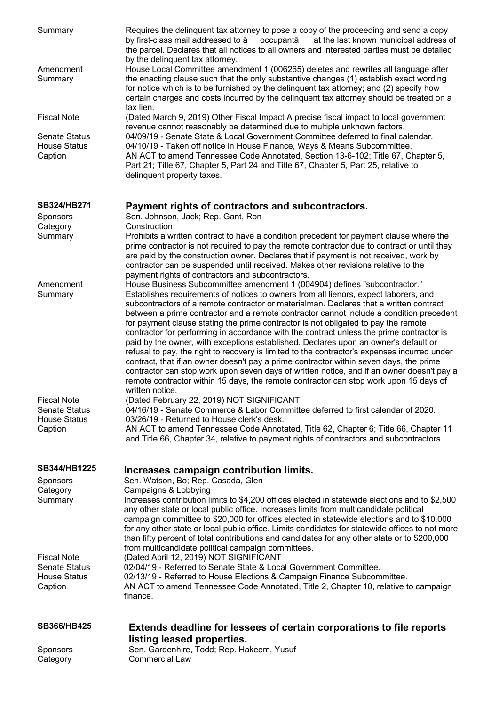| Summary                                                | Requires the delinquent tax attorney to pose a copy of the proceeding and send a copy<br>by first-class mail addressed to â<br>occupantâ<br>at the last known municipal address of<br>the parcel. Declares that all notices to all owners and interested parties must be detailed<br>by the delinquent tax attorney.                                                                                                                                                                                                                                       |
|--------------------------------------------------------|------------------------------------------------------------------------------------------------------------------------------------------------------------------------------------------------------------------------------------------------------------------------------------------------------------------------------------------------------------------------------------------------------------------------------------------------------------------------------------------------------------------------------------------------------------|
| Amendment<br>Summary                                   | House Local Committee amendment 1 (006265) deletes and rewrites all language after<br>the enacting clause such that the only substantive changes (1) establish exact wording<br>for notice which is to be furnished by the delinquent tax attorney; and (2) specify how<br>certain charges and costs incurred by the delinguent tax attorney should be treated on a<br>tax lien.                                                                                                                                                                           |
| <b>Fiscal Note</b>                                     | (Dated March 9, 2019) Other Fiscal Impact A precise fiscal impact to local government<br>revenue cannot reasonably be determined due to multiple unknown factors.                                                                                                                                                                                                                                                                                                                                                                                          |
| <b>Senate Status</b><br><b>House Status</b><br>Caption | 04/09/19 - Senate State & Local Government Committee deferred to final calendar.<br>04/10/19 - Taken off notice in House Finance, Ways & Means Subcommittee.<br>AN ACT to amend Tennessee Code Annotated, Section 13-6-102; Title 67, Chapter 5,<br>Part 21; Title 67, Chapter 5, Part 24 and Title 67, Chapter 5, Part 25, relative to<br>delinquent property taxes.                                                                                                                                                                                      |
| SB324/HB271<br>Sponsors                                | Payment rights of contractors and subcontractors.<br>Sen. Johnson, Jack; Rep. Gant, Ron                                                                                                                                                                                                                                                                                                                                                                                                                                                                    |
| Category                                               | Construction                                                                                                                                                                                                                                                                                                                                                                                                                                                                                                                                               |
| Summary                                                | Prohibits a written contract to have a condition precedent for payment clause where the<br>prime contractor is not required to pay the remote contractor due to contract or until they<br>are paid by the construction owner. Declares that if payment is not received, work by<br>contractor can be suspended until received. Makes other revisions relative to the<br>payment rights of contractors and subcontractors.                                                                                                                                  |
| Amendment<br>Summary                                   | House Business Subcommittee amendment 1 (004904) defines "subcontractor."<br>Establishes requirements of notices to owners from all lienors, expect laborers, and                                                                                                                                                                                                                                                                                                                                                                                          |
|                                                        | subcontractors of a remote contractor or materialman. Declares that a written contract<br>between a prime contractor and a remote contractor cannot include a condition precedent<br>for payment clause stating the prime contractor is not obligated to pay the remote<br>contractor for performing in accordance with the contract unless the prime contractor is<br>paid by the owner, with exceptions established. Declares upon an owner's default or<br>refusal to pay, the right to recovery is limited to the contractor's expenses incurred under |
|                                                        | contract, that if an owner doesn't pay a prime contractor within seven days, the prime<br>contractor can stop work upon seven days of written notice, and if an owner doesn't pay a<br>remote contractor within 15 days, the remote contractor can stop work upon 15 days of                                                                                                                                                                                                                                                                               |
| <b>Fiscal Note</b><br><b>Senate Status</b>             | written notice.<br>(Dated February 22, 2019) NOT SIGNIFICANT<br>04/16/19 - Senate Commerce & Labor Committee deferred to first calendar of 2020.                                                                                                                                                                                                                                                                                                                                                                                                           |
| <b>House Status</b>                                    | 03/26/19 - Returned to House clerk's desk.                                                                                                                                                                                                                                                                                                                                                                                                                                                                                                                 |
| Caption                                                | AN ACT to amend Tennessee Code Annotated, Title 62, Chapter 6; Title 66, Chapter 11<br>and Title 66, Chapter 34, relative to payment rights of contractors and subcontractors.                                                                                                                                                                                                                                                                                                                                                                             |
| SB344/HB1225                                           | Increases campaign contribution limits.                                                                                                                                                                                                                                                                                                                                                                                                                                                                                                                    |
| Sponsors<br>Category                                   | Sen. Watson, Bo; Rep. Casada, Glen<br>Campaigns & Lobbying                                                                                                                                                                                                                                                                                                                                                                                                                                                                                                 |
| Summary                                                | Increases contribution limits to \$4,200 offices elected in statewide elections and to \$2,500<br>any other state or local public office. Increases limits from multicandidate political<br>campaign committee to \$20,000 for offices elected in statewide elections and to \$10,000<br>for any other state or local public office. Limits candidates for statewide offices to not more                                                                                                                                                                   |
| <b>Fiscal Note</b>                                     | than fifty percent of total contributions and candidates for any other state or to \$200,000<br>from multicandidate political campaign committees.<br>(Dated April 12, 2019) NOT SIGNIFICANT                                                                                                                                                                                                                                                                                                                                                               |
| <b>Senate Status</b>                                   | 02/04/19 - Referred to Senate State & Local Government Committee.                                                                                                                                                                                                                                                                                                                                                                                                                                                                                          |
| <b>House Status</b><br>Caption                         | 02/13/19 - Referred to House Elections & Campaign Finance Subcommittee.<br>AN ACT to amend Tennessee Code Annotated, Title 2, Chapter 10, relative to campaign<br>finance.                                                                                                                                                                                                                                                                                                                                                                                 |
| <b>SB366/HB425</b>                                     | <b>Extends deadline for lessees of certain corporations to file reports</b>                                                                                                                                                                                                                                                                                                                                                                                                                                                                                |
| Sponsors                                               | listing leased properties.<br>Sen. Gardenhire, Todd; Rep. Hakeem, Yusuf                                                                                                                                                                                                                                                                                                                                                                                                                                                                                    |
| Category                                               | <b>Commercial Law</b>                                                                                                                                                                                                                                                                                                                                                                                                                                                                                                                                      |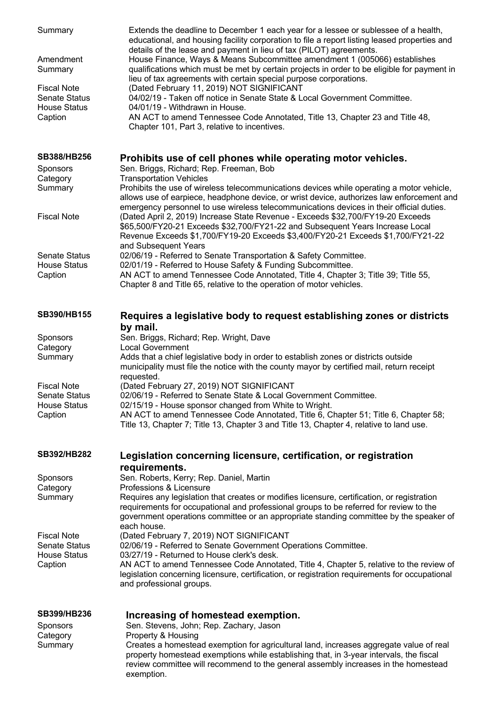| Summary                                     | Extends the deadline to December 1 each year for a lessee or sublessee of a health,<br>educational, and housing facility corporation to file a report listing leased properties and<br>details of the lease and payment in lieu of tax (PILOT) agreements.                                     |
|---------------------------------------------|------------------------------------------------------------------------------------------------------------------------------------------------------------------------------------------------------------------------------------------------------------------------------------------------|
| Amendment<br>Summary                        | House Finance, Ways & Means Subcommittee amendment 1 (005066) establishes<br>qualifications which must be met by certain projects in order to be eligible for payment in<br>lieu of tax agreements with certain special purpose corporations.                                                  |
| <b>Fiscal Note</b><br><b>Senate Status</b>  | (Dated February 11, 2019) NOT SIGNIFICANT<br>04/02/19 - Taken off notice in Senate State & Local Government Committee.                                                                                                                                                                         |
| <b>House Status</b><br>Caption              | 04/01/19 - Withdrawn in House.<br>AN ACT to amend Tennessee Code Annotated, Title 13, Chapter 23 and Title 48,<br>Chapter 101, Part 3, relative to incentives.                                                                                                                                 |
| <b>SB388/HB256</b>                          | Prohibits use of cell phones while operating motor vehicles.                                                                                                                                                                                                                                   |
| Sponsors<br>Category                        | Sen. Briggs, Richard; Rep. Freeman, Bob<br><b>Transportation Vehicles</b>                                                                                                                                                                                                                      |
| Summary                                     | Prohibits the use of wireless telecommunications devices while operating a motor vehicle,<br>allows use of earpiece, headphone device, or wrist device, authorizes law enforcement and                                                                                                         |
| <b>Fiscal Note</b>                          | emergency personnel to use wireless telecommunications devices in their official duties.<br>(Dated April 2, 2019) Increase State Revenue - Exceeds \$32,700/FY19-20 Exceeds<br>\$65,500/FY20-21 Exceeds \$32,700/FY21-22 and Subsequent Years Increase Local                                   |
|                                             | Revenue Exceeds \$1,700/FY19-20 Exceeds \$3,400/FY20-21 Exceeds \$1,700/FY21-22<br>and Subsequent Years                                                                                                                                                                                        |
| <b>Senate Status</b>                        | 02/06/19 - Referred to Senate Transportation & Safety Committee.<br>02/01/19 - Referred to House Safety & Funding Subcommittee.                                                                                                                                                                |
| <b>House Status</b><br>Caption              | AN ACT to amend Tennessee Code Annotated, Title 4, Chapter 3; Title 39; Title 55,<br>Chapter 8 and Title 65, relative to the operation of motor vehicles.                                                                                                                                      |
| SB390/HB155                                 | Requires a legislative body to request establishing zones or districts                                                                                                                                                                                                                         |
| Sponsors                                    | by mail.<br>Sen. Briggs, Richard; Rep. Wright, Dave                                                                                                                                                                                                                                            |
| Category                                    | <b>Local Government</b>                                                                                                                                                                                                                                                                        |
| Summary                                     | Adds that a chief legislative body in order to establish zones or districts outside<br>municipality must file the notice with the county mayor by certified mail, return receipt<br>requested.                                                                                                 |
| <b>Fiscal Note</b>                          | (Dated February 27, 2019) NOT SIGNIFICANT<br>02/06/19 - Referred to Senate State & Local Government Committee.                                                                                                                                                                                 |
| <b>Senate Status</b><br><b>House Status</b> | 02/15/19 - House sponsor changed from White to Wright.                                                                                                                                                                                                                                         |
| Caption                                     | AN ACT to amend Tennessee Code Annotated, Title 6, Chapter 51; Title 6, Chapter 58;<br>Title 13, Chapter 7; Title 13, Chapter 3 and Title 13, Chapter 4, relative to land use.                                                                                                                 |
| <b>SB392/HB282</b>                          | Legislation concerning licensure, certification, or registration                                                                                                                                                                                                                               |
| <b>Sponsors</b>                             | requirements.<br>Sen. Roberts, Kerry; Rep. Daniel, Martin                                                                                                                                                                                                                                      |
| Category                                    | Professions & Licensure                                                                                                                                                                                                                                                                        |
| Summary                                     | Requires any legislation that creates or modifies licensure, certification, or registration<br>requirements for occupational and professional groups to be referred for review to the<br>government operations committee or an appropriate standing committee by the speaker of<br>each house. |
| <b>Fiscal Note</b>                          | (Dated February 7, 2019) NOT SIGNIFICANT                                                                                                                                                                                                                                                       |
| <b>Senate Status</b><br><b>House Status</b> | 02/06/19 - Referred to Senate Government Operations Committee.<br>03/27/19 - Returned to House clerk's desk.                                                                                                                                                                                   |
| Caption                                     | AN ACT to amend Tennessee Code Annotated, Title 4, Chapter 5, relative to the review of<br>legislation concerning licensure, certification, or registration requirements for occupational<br>and professional groups.                                                                          |
| SB399/HB236                                 | Increasing of homestead exemption.                                                                                                                                                                                                                                                             |
| <b>Sponsors</b><br>Category                 | Sen. Stevens, John; Rep. Zachary, Jason<br>Property & Housing                                                                                                                                                                                                                                  |
| Summary                                     | Creates a homestead exemption for agricultural land, increases aggregate value of real<br>property homestead exemptions while establishing that, in 3-year intervals, the fiscal<br>review committee will recommend to the general assembly increases in the homestead<br>exemption.           |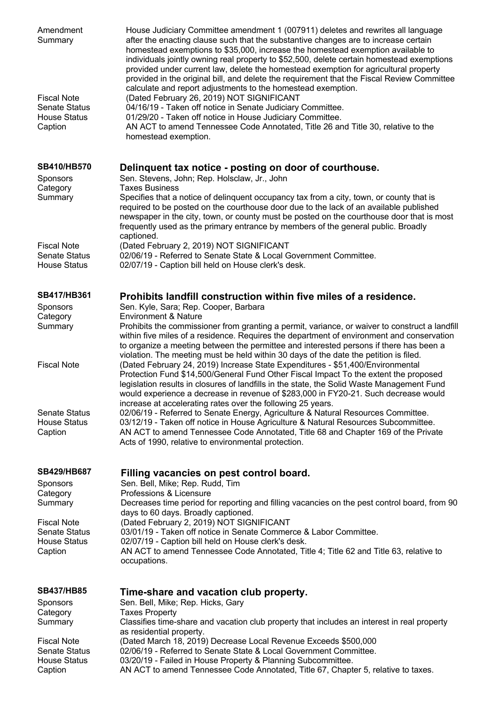| Amendment<br>Summary                                                         | House Judiciary Committee amendment 1 (007911) deletes and rewrites all language<br>after the enacting clause such that the substantive changes are to increase certain<br>homestead exemptions to \$35,000, increase the homestead exemption available to<br>individuals jointly owning real property to \$52,500, delete certain homestead exemptions<br>provided under current law, delete the homestead exemption for agricultural property<br>provided in the original bill, and delete the requirement that the Fiscal Review Committee<br>calculate and report adjustments to the homestead exemption. |
|------------------------------------------------------------------------------|---------------------------------------------------------------------------------------------------------------------------------------------------------------------------------------------------------------------------------------------------------------------------------------------------------------------------------------------------------------------------------------------------------------------------------------------------------------------------------------------------------------------------------------------------------------------------------------------------------------|
| <b>Fiscal Note</b><br><b>Senate Status</b><br><b>House Status</b><br>Caption | (Dated February 26, 2019) NOT SIGNIFICANT<br>04/16/19 - Taken off notice in Senate Judiciary Committee.<br>01/29/20 - Taken off notice in House Judiciary Committee.<br>AN ACT to amend Tennessee Code Annotated, Title 26 and Title 30, relative to the<br>homestead exemption.                                                                                                                                                                                                                                                                                                                              |
| SB410/HB570<br>Sponsors                                                      | Delinquent tax notice - posting on door of courthouse.<br>Sen. Stevens, John; Rep. Holsclaw, Jr., John                                                                                                                                                                                                                                                                                                                                                                                                                                                                                                        |
| Category<br>Summary                                                          | <b>Taxes Business</b><br>Specifies that a notice of delinquent occupancy tax from a city, town, or county that is<br>required to be posted on the courthouse door due to the lack of an available published<br>newspaper in the city, town, or county must be posted on the courthouse door that is most<br>frequently used as the primary entrance by members of the general public. Broadly<br>captioned.                                                                                                                                                                                                   |
| <b>Fiscal Note</b><br><b>Senate Status</b><br><b>House Status</b>            | (Dated February 2, 2019) NOT SIGNIFICANT<br>02/06/19 - Referred to Senate State & Local Government Committee.<br>02/07/19 - Caption bill held on House clerk's desk.                                                                                                                                                                                                                                                                                                                                                                                                                                          |
| <b>SB417/HB361</b>                                                           | Prohibits landfill construction within five miles of a residence.<br>Sen. Kyle, Sara; Rep. Cooper, Barbara                                                                                                                                                                                                                                                                                                                                                                                                                                                                                                    |
| Sponsors<br>Category<br>Summary                                              | <b>Environment &amp; Nature</b><br>Prohibits the commissioner from granting a permit, variance, or waiver to construct a landfill<br>within five miles of a residence. Requires the department of environment and conservation<br>to organize a meeting between the permittee and interested persons if there has been a<br>violation. The meeting must be held within 30 days of the date the petition is filed.                                                                                                                                                                                             |
| <b>Fiscal Note</b>                                                           | (Dated February 24, 2019) Increase State Expenditures - \$51,400/Environmental<br>Protection Fund \$14,500/General Fund Other Fiscal Impact To the extent the proposed<br>legislation results in closures of landfills in the state, the Solid Waste Management Fund<br>would experience a decrease in revenue of \$283,000 in FY20-21. Such decrease would                                                                                                                                                                                                                                                   |
| <b>Senate Status</b><br><b>House Status</b><br>Caption                       | increase at accelerating rates over the following 25 years.<br>02/06/19 - Referred to Senate Energy, Agriculture & Natural Resources Committee.<br>03/12/19 - Taken off notice in House Agriculture & Natural Resources Subcommittee.<br>AN ACT to amend Tennessee Code Annotated, Title 68 and Chapter 169 of the Private<br>Acts of 1990, relative to environmental protection.                                                                                                                                                                                                                             |
| <b>SB429/HB687</b>                                                           | Filling vacancies on pest control board.                                                                                                                                                                                                                                                                                                                                                                                                                                                                                                                                                                      |
| Sponsors<br>Category<br>Summary                                              | Sen. Bell, Mike; Rep. Rudd, Tim<br>Professions & Licensure<br>Decreases time period for reporting and filling vacancies on the pest control board, from 90                                                                                                                                                                                                                                                                                                                                                                                                                                                    |
| <b>Fiscal Note</b><br><b>Senate Status</b>                                   | days to 60 days. Broadly captioned.<br>(Dated February 2, 2019) NOT SIGNIFICANT<br>03/01/19 - Taken off notice in Senate Commerce & Labor Committee.                                                                                                                                                                                                                                                                                                                                                                                                                                                          |
| <b>House Status</b><br>Caption                                               | 02/07/19 - Caption bill held on House clerk's desk.<br>AN ACT to amend Tennessee Code Annotated, Title 4; Title 62 and Title 63, relative to<br>occupations.                                                                                                                                                                                                                                                                                                                                                                                                                                                  |
| <b>SB437/HB85</b><br>Sponsors                                                | Time-share and vacation club property.<br>Sen. Bell, Mike; Rep. Hicks, Gary                                                                                                                                                                                                                                                                                                                                                                                                                                                                                                                                   |
| Category<br>Summary                                                          | <b>Taxes Property</b><br>Classifies time-share and vacation club property that includes an interest in real property                                                                                                                                                                                                                                                                                                                                                                                                                                                                                          |
| <b>Fiscal Note</b><br><b>Senate Status</b>                                   | as residential property.<br>(Dated March 18, 2019) Decrease Local Revenue Exceeds \$500,000<br>02/06/19 - Referred to Senate State & Local Government Committee.                                                                                                                                                                                                                                                                                                                                                                                                                                              |
| <b>House Status</b><br>Caption                                               | 03/20/19 - Failed in House Property & Planning Subcommittee.<br>AN ACT to amend Tennessee Code Annotated, Title 67, Chapter 5, relative to taxes.                                                                                                                                                                                                                                                                                                                                                                                                                                                             |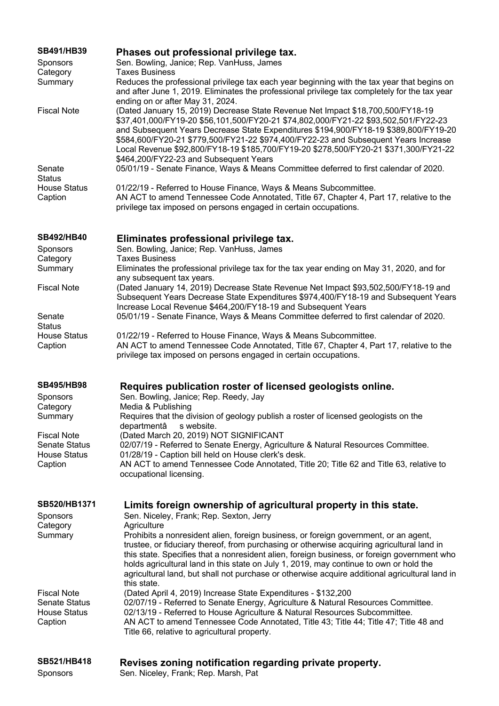| SB491/HB39<br><b>Sponsors</b>               | Phases out professional privilege tax.<br>Sen. Bowling, Janice; Rep. VanHuss, James                                                                                                                                                                                                                                                                                                                                                                                                     |
|---------------------------------------------|-----------------------------------------------------------------------------------------------------------------------------------------------------------------------------------------------------------------------------------------------------------------------------------------------------------------------------------------------------------------------------------------------------------------------------------------------------------------------------------------|
| Category<br>Summary                         | <b>Taxes Business</b><br>Reduces the professional privilege tax each year beginning with the tax year that begins on<br>and after June 1, 2019. Eliminates the professional privilege tax completely for the tax year<br>ending on or after May 31, 2024.                                                                                                                                                                                                                               |
| <b>Fiscal Note</b>                          | (Dated January 15, 2019) Decrease State Revenue Net Impact \$18,700,500/FY18-19<br>\$37,401,000/FY19-20 \$56,101,500/FY20-21 \$74,802,000/FY21-22 \$93,502,501/FY22-23<br>and Subsequent Years Decrease State Expenditures \$194,900/FY18-19 \$389,800/FY19-20<br>\$584,600/FY20-21 \$779,500/FY21-22 \$974,400/FY22-23 and Subsequent Years Increase<br>Local Revenue \$92,800/FY18-19 \$185,700/FY19-20 \$278,500/FY20-21 \$371,300/FY21-22<br>\$464,200/FY22-23 and Subsequent Years |
| Senate<br><b>Status</b>                     | 05/01/19 - Senate Finance, Ways & Means Committee deferred to first calendar of 2020.                                                                                                                                                                                                                                                                                                                                                                                                   |
| <b>House Status</b><br>Caption              | 01/22/19 - Referred to House Finance, Ways & Means Subcommittee.<br>AN ACT to amend Tennessee Code Annotated, Title 67, Chapter 4, Part 17, relative to the<br>privilege tax imposed on persons engaged in certain occupations.                                                                                                                                                                                                                                                         |
| <b>SB492/HB40</b>                           | Eliminates professional privilege tax.                                                                                                                                                                                                                                                                                                                                                                                                                                                  |
| <b>Sponsors</b>                             | Sen. Bowling, Janice; Rep. VanHuss, James                                                                                                                                                                                                                                                                                                                                                                                                                                               |
| Category<br>Summary                         | <b>Taxes Business</b><br>Eliminates the professional privilege tax for the tax year ending on May 31, 2020, and for                                                                                                                                                                                                                                                                                                                                                                     |
|                                             | any subsequent tax years.                                                                                                                                                                                                                                                                                                                                                                                                                                                               |
| <b>Fiscal Note</b>                          | (Dated January 14, 2019) Decrease State Revenue Net Impact \$93,502,500/FY18-19 and<br>Subsequent Years Decrease State Expenditures \$974,400/FY18-19 and Subsequent Years<br>Increase Local Revenue \$464,200/FY18-19 and Subsequent Years                                                                                                                                                                                                                                             |
| Senate                                      | 05/01/19 - Senate Finance, Ways & Means Committee deferred to first calendar of 2020.                                                                                                                                                                                                                                                                                                                                                                                                   |
| <b>Status</b><br><b>House Status</b>        | 01/22/19 - Referred to House Finance, Ways & Means Subcommittee.                                                                                                                                                                                                                                                                                                                                                                                                                        |
| Caption                                     | AN ACT to amend Tennessee Code Annotated, Title 67, Chapter 4, Part 17, relative to the<br>privilege tax imposed on persons engaged in certain occupations.                                                                                                                                                                                                                                                                                                                             |
| <b>SB495/HB98</b>                           | Requires publication roster of licensed geologists online.                                                                                                                                                                                                                                                                                                                                                                                                                              |
| Sponsors                                    | Sen. Bowling, Janice; Rep. Reedy, Jay                                                                                                                                                                                                                                                                                                                                                                                                                                                   |
| Category                                    | Media & Publishing                                                                                                                                                                                                                                                                                                                                                                                                                                                                      |
| Summary                                     | Requires that the division of geology publish a roster of licensed geologists on the<br>departmentâ<br>s website.                                                                                                                                                                                                                                                                                                                                                                       |
| <b>Fiscal Note</b>                          | (Dated March 20, 2019) NOT SIGNIFICANT                                                                                                                                                                                                                                                                                                                                                                                                                                                  |
| <b>Senate Status</b><br><b>House Status</b> | 02/07/19 - Referred to Senate Energy, Agriculture & Natural Resources Committee.<br>01/28/19 - Caption bill held on House clerk's desk.                                                                                                                                                                                                                                                                                                                                                 |
| Caption                                     | AN ACT to amend Tennessee Code Annotated, Title 20; Title 62 and Title 63, relative to<br>occupational licensing.                                                                                                                                                                                                                                                                                                                                                                       |
| SB520/HB1371                                | Limits foreign ownership of agricultural property in this state.                                                                                                                                                                                                                                                                                                                                                                                                                        |
| Sponsors<br>Category                        | Sen. Niceley, Frank; Rep. Sexton, Jerry<br>Agriculture                                                                                                                                                                                                                                                                                                                                                                                                                                  |
| Summary                                     | Prohibits a nonresident alien, foreign business, or foreign government, or an agent,                                                                                                                                                                                                                                                                                                                                                                                                    |
|                                             | trustee, or fiduciary thereof, from purchasing or otherwise acquiring agricultural land in<br>this state. Specifies that a nonresident alien, foreign business, or foreign government who<br>holds agricultural land in this state on July 1, 2019, may continue to own or hold the<br>agricultural land, but shall not purchase or otherwise acquire additional agricultural land in<br>this state.                                                                                    |
| <b>Fiscal Note</b>                          | (Dated April 4, 2019) Increase State Expenditures - \$132,200                                                                                                                                                                                                                                                                                                                                                                                                                           |
| <b>Senate Status</b>                        | 02/07/19 - Referred to Senate Energy, Agriculture & Natural Resources Committee.                                                                                                                                                                                                                                                                                                                                                                                                        |
| <b>House Status</b><br>Caption              | 02/13/19 - Referred to House Agriculture & Natural Resources Subcommittee.<br>AN ACT to amend Tennessee Code Annotated, Title 43; Title 44; Title 47; Title 48 and<br>Title 66, relative to agricultural property.                                                                                                                                                                                                                                                                      |
|                                             |                                                                                                                                                                                                                                                                                                                                                                                                                                                                                         |
| <b>SB521/HB418</b>                          | Revises zoning notification regarding private property.                                                                                                                                                                                                                                                                                                                                                                                                                                 |

Sponsors Sen. Niceley, Frank; Rep. Marsh, Pat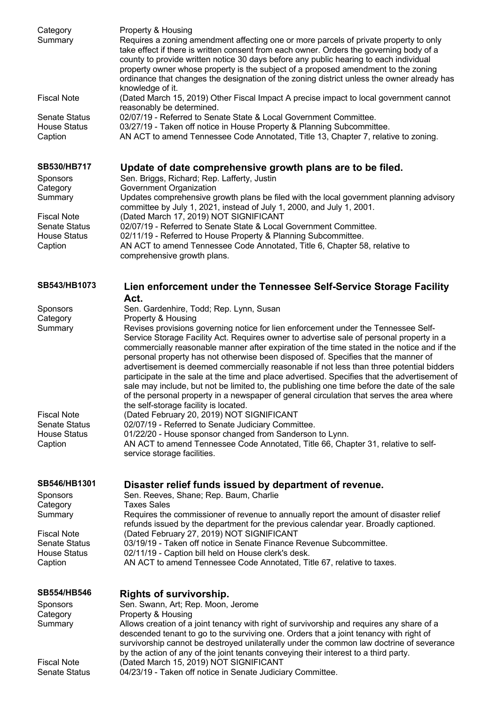| Category<br>Summary                         | Property & Housing<br>Requires a zoning amendment affecting one or more parcels of private property to only<br>take effect if there is written consent from each owner. Orders the governing body of a<br>county to provide written notice 30 days before any public hearing to each individual<br>property owner whose property is the subject of a proposed amendment to the zoning<br>ordinance that changes the designation of the zoning district unless the owner already has<br>knowledge of it.                                                                                                                                                                                                                                                                                                                      |
|---------------------------------------------|------------------------------------------------------------------------------------------------------------------------------------------------------------------------------------------------------------------------------------------------------------------------------------------------------------------------------------------------------------------------------------------------------------------------------------------------------------------------------------------------------------------------------------------------------------------------------------------------------------------------------------------------------------------------------------------------------------------------------------------------------------------------------------------------------------------------------|
| <b>Fiscal Note</b>                          | (Dated March 15, 2019) Other Fiscal Impact A precise impact to local government cannot                                                                                                                                                                                                                                                                                                                                                                                                                                                                                                                                                                                                                                                                                                                                       |
| <b>Senate Status</b><br><b>House Status</b> | reasonably be determined.<br>02/07/19 - Referred to Senate State & Local Government Committee.<br>03/27/19 - Taken off notice in House Property & Planning Subcommittee.                                                                                                                                                                                                                                                                                                                                                                                                                                                                                                                                                                                                                                                     |
| Caption                                     | AN ACT to amend Tennessee Code Annotated, Title 13, Chapter 7, relative to zoning.                                                                                                                                                                                                                                                                                                                                                                                                                                                                                                                                                                                                                                                                                                                                           |
| SB530/HB717                                 | Update of date comprehensive growth plans are to be filed.<br>Sen. Briggs, Richard; Rep. Lafferty, Justin                                                                                                                                                                                                                                                                                                                                                                                                                                                                                                                                                                                                                                                                                                                    |
| Sponsors<br>Category                        | Government Organization                                                                                                                                                                                                                                                                                                                                                                                                                                                                                                                                                                                                                                                                                                                                                                                                      |
| Summary<br><b>Fiscal Note</b>               | Updates comprehensive growth plans be filed with the local government planning advisory<br>committee by July 1, 2021, instead of July 1, 2000, and July 1, 2001.<br>(Dated March 17, 2019) NOT SIGNIFICANT                                                                                                                                                                                                                                                                                                                                                                                                                                                                                                                                                                                                                   |
| <b>Senate Status</b>                        | 02/07/19 - Referred to Senate State & Local Government Committee.                                                                                                                                                                                                                                                                                                                                                                                                                                                                                                                                                                                                                                                                                                                                                            |
| <b>House Status</b><br>Caption              | 02/11/19 - Referred to House Property & Planning Subcommittee.<br>AN ACT to amend Tennessee Code Annotated, Title 6, Chapter 58, relative to                                                                                                                                                                                                                                                                                                                                                                                                                                                                                                                                                                                                                                                                                 |
|                                             | comprehensive growth plans.                                                                                                                                                                                                                                                                                                                                                                                                                                                                                                                                                                                                                                                                                                                                                                                                  |
| SB543/HB1073                                | Lien enforcement under the Tennessee Self-Service Storage Facility<br>Act.                                                                                                                                                                                                                                                                                                                                                                                                                                                                                                                                                                                                                                                                                                                                                   |
| Sponsors                                    | Sen. Gardenhire, Todd; Rep. Lynn, Susan                                                                                                                                                                                                                                                                                                                                                                                                                                                                                                                                                                                                                                                                                                                                                                                      |
| Category<br>Summary                         | Property & Housing<br>Revises provisions governing notice for lien enforcement under the Tennessee Self-<br>Service Storage Facility Act. Requires owner to advertise sale of personal property in a<br>commercially reasonable manner after expiration of the time stated in the notice and if the<br>personal property has not otherwise been disposed of. Specifies that the manner of<br>advertisement is deemed commercially reasonable if not less than three potential bidders<br>participate in the sale at the time and place advertised. Specifies that the advertisement of<br>sale may include, but not be limited to, the publishing one time before the date of the sale<br>of the personal property in a newspaper of general circulation that serves the area where<br>the self-storage facility is located. |
| <b>Fiscal Note</b>                          | (Dated February 20, 2019) NOT SIGNIFICANT                                                                                                                                                                                                                                                                                                                                                                                                                                                                                                                                                                                                                                                                                                                                                                                    |
| <b>Senate Status</b><br><b>House Status</b> | 02/07/19 - Referred to Senate Judiciary Committee.<br>01/22/20 - House sponsor changed from Sanderson to Lynn.                                                                                                                                                                                                                                                                                                                                                                                                                                                                                                                                                                                                                                                                                                               |
| Caption                                     | AN ACT to amend Tennessee Code Annotated, Title 66, Chapter 31, relative to self-<br>service storage facilities.                                                                                                                                                                                                                                                                                                                                                                                                                                                                                                                                                                                                                                                                                                             |
| SB546/HB1301<br>Sponsors                    | Disaster relief funds issued by department of revenue.<br>Sen. Reeves, Shane; Rep. Baum, Charlie                                                                                                                                                                                                                                                                                                                                                                                                                                                                                                                                                                                                                                                                                                                             |
| Category<br>Summary                         | <b>Taxes Sales</b><br>Requires the commissioner of revenue to annually report the amount of disaster relief                                                                                                                                                                                                                                                                                                                                                                                                                                                                                                                                                                                                                                                                                                                  |
| <b>Fiscal Note</b>                          | refunds issued by the department for the previous calendar year. Broadly captioned.<br>(Dated February 27, 2019) NOT SIGNIFICANT                                                                                                                                                                                                                                                                                                                                                                                                                                                                                                                                                                                                                                                                                             |
| <b>Senate Status</b><br><b>House Status</b> | 03/19/19 - Taken off notice in Senate Finance Revenue Subcommittee.<br>02/11/19 - Caption bill held on House clerk's desk.                                                                                                                                                                                                                                                                                                                                                                                                                                                                                                                                                                                                                                                                                                   |
| Caption                                     | AN ACT to amend Tennessee Code Annotated, Title 67, relative to taxes.                                                                                                                                                                                                                                                                                                                                                                                                                                                                                                                                                                                                                                                                                                                                                       |
| <b>SB554/HB546</b>                          | <b>Rights of survivorship.</b>                                                                                                                                                                                                                                                                                                                                                                                                                                                                                                                                                                                                                                                                                                                                                                                               |
| Sponsors                                    | Sen. Swann, Art; Rep. Moon, Jerome                                                                                                                                                                                                                                                                                                                                                                                                                                                                                                                                                                                                                                                                                                                                                                                           |
| Category<br>Summary                         | Property & Housing<br>Allows creation of a joint tenancy with right of survivorship and requires any share of a                                                                                                                                                                                                                                                                                                                                                                                                                                                                                                                                                                                                                                                                                                              |
|                                             | descended tenant to go to the surviving one. Orders that a joint tenancy with right of<br>survivorship cannot be destroyed unilaterally under the common law doctrine of severance<br>by the action of any of the joint tenants conveying their interest to a third party.                                                                                                                                                                                                                                                                                                                                                                                                                                                                                                                                                   |
| <b>Fiscal Note</b><br><b>Senate Status</b>  | (Dated March 15, 2019) NOT SIGNIFICANT<br>04/23/19 - Taken off notice in Senate Judiciary Committee.                                                                                                                                                                                                                                                                                                                                                                                                                                                                                                                                                                                                                                                                                                                         |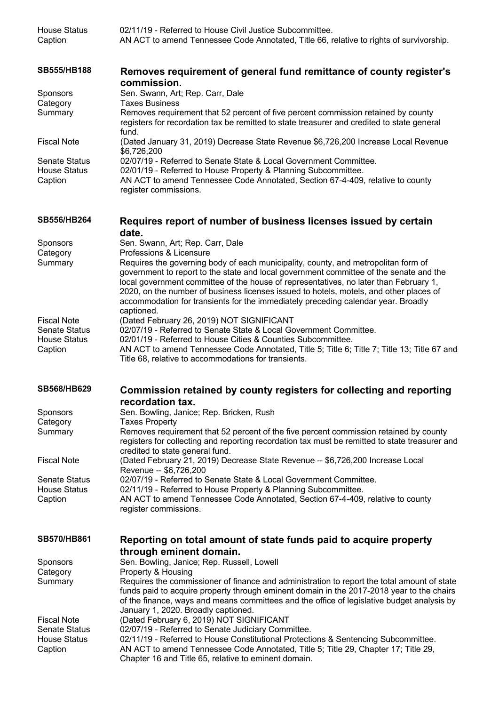| <b>House Status</b><br>Caption | 02/11/19 - Referred to House Civil Justice Subcommittee.<br>AN ACT to amend Tennessee Code Annotated, Title 66, relative to rights of survivorship.                                                                                                                                                                                                                                                                                                                |
|--------------------------------|--------------------------------------------------------------------------------------------------------------------------------------------------------------------------------------------------------------------------------------------------------------------------------------------------------------------------------------------------------------------------------------------------------------------------------------------------------------------|
| <b>SB555/HB188</b>             | Removes requirement of general fund remittance of county register's<br>commission.                                                                                                                                                                                                                                                                                                                                                                                 |
| Sponsors                       | Sen. Swann, Art; Rep. Carr, Dale                                                                                                                                                                                                                                                                                                                                                                                                                                   |
| Category                       | <b>Taxes Business</b>                                                                                                                                                                                                                                                                                                                                                                                                                                              |
| Summary                        | Removes requirement that 52 percent of five percent commission retained by county<br>registers for recordation tax be remitted to state treasurer and credited to state general<br>fund.                                                                                                                                                                                                                                                                           |
| <b>Fiscal Note</b>             | (Dated January 31, 2019) Decrease State Revenue \$6,726,200 Increase Local Revenue<br>\$6,726,200                                                                                                                                                                                                                                                                                                                                                                  |
| <b>Senate Status</b>           | 02/07/19 - Referred to Senate State & Local Government Committee.                                                                                                                                                                                                                                                                                                                                                                                                  |
| <b>House Status</b><br>Caption | 02/01/19 - Referred to House Property & Planning Subcommittee.<br>AN ACT to amend Tennessee Code Annotated, Section 67-4-409, relative to county<br>register commissions.                                                                                                                                                                                                                                                                                          |
| SB556/HB264                    | Requires report of number of business licenses issued by certain<br>date.                                                                                                                                                                                                                                                                                                                                                                                          |
| Sponsors                       | Sen. Swann, Art; Rep. Carr, Dale                                                                                                                                                                                                                                                                                                                                                                                                                                   |
| Category                       | Professions & Licensure                                                                                                                                                                                                                                                                                                                                                                                                                                            |
| Summary                        | Requires the governing body of each municipality, county, and metropolitan form of<br>government to report to the state and local government committee of the senate and the<br>local government committee of the house of representatives, no later than February 1,<br>2020, on the number of business licenses issued to hotels, motels, and other places of<br>accommodation for transients for the immediately preceding calendar year. Broadly<br>captioned. |
| <b>Fiscal Note</b>             | (Dated February 26, 2019) NOT SIGNIFICANT                                                                                                                                                                                                                                                                                                                                                                                                                          |
| <b>Senate Status</b>           | 02/07/19 - Referred to Senate State & Local Government Committee.                                                                                                                                                                                                                                                                                                                                                                                                  |
| <b>House Status</b><br>Caption | 02/01/19 - Referred to House Cities & Counties Subcommittee.<br>AN ACT to amend Tennessee Code Annotated, Title 5; Title 6; Title 7; Title 13; Title 67 and<br>Title 68, relative to accommodations for transients.                                                                                                                                                                                                                                                |
| <b>SB568/HB629</b>             | Commission retained by county registers for collecting and reporting<br>recordation tax.                                                                                                                                                                                                                                                                                                                                                                           |
| Sponsors                       | Sen. Bowling, Janice; Rep. Bricken, Rush                                                                                                                                                                                                                                                                                                                                                                                                                           |
| Category                       | <b>Taxes Property</b>                                                                                                                                                                                                                                                                                                                                                                                                                                              |
| Summary                        | Removes requirement that 52 percent of the five percent commission retained by county<br>registers for collecting and reporting recordation tax must be remitted to state treasurer and<br>credited to state general fund.                                                                                                                                                                                                                                         |
| <b>Fiscal Note</b>             | (Dated February 21, 2019) Decrease State Revenue -- \$6,726,200 Increase Local<br>Revenue -- \$6,726,200                                                                                                                                                                                                                                                                                                                                                           |
| <b>Senate Status</b>           | 02/07/19 - Referred to Senate State & Local Government Committee.                                                                                                                                                                                                                                                                                                                                                                                                  |
| <b>House Status</b><br>Caption | 02/11/19 - Referred to House Property & Planning Subcommittee.<br>AN ACT to amend Tennessee Code Annotated, Section 67-4-409, relative to county<br>register commissions.                                                                                                                                                                                                                                                                                          |
| <b>SB570/HB861</b>             | Reporting on total amount of state funds paid to acquire property<br>through eminent domain.                                                                                                                                                                                                                                                                                                                                                                       |
| Sponsors                       | Sen. Bowling, Janice; Rep. Russell, Lowell                                                                                                                                                                                                                                                                                                                                                                                                                         |
| Category                       | Property & Housing                                                                                                                                                                                                                                                                                                                                                                                                                                                 |
| Summary                        | Requires the commissioner of finance and administration to report the total amount of state<br>funds paid to acquire property through eminent domain in the 2017-2018 year to the chairs<br>of the finance, ways and means committees and the office of legislative budget analysis by<br>January 1, 2020. Broadly captioned.                                                                                                                                      |
| <b>Fiscal Note</b>             | (Dated February 6, 2019) NOT SIGNIFICANT                                                                                                                                                                                                                                                                                                                                                                                                                           |
| <b>Senate Status</b>           | 02/07/19 - Referred to Senate Judiciary Committee.                                                                                                                                                                                                                                                                                                                                                                                                                 |
| <b>House Status</b><br>Caption | 02/11/19 - Referred to House Constitutional Protections & Sentencing Subcommittee.<br>AN ACT to amend Tennessee Code Annotated, Title 5; Title 29, Chapter 17; Title 29,<br>Chapter 16 and Title 65, relative to eminent domain.                                                                                                                                                                                                                                   |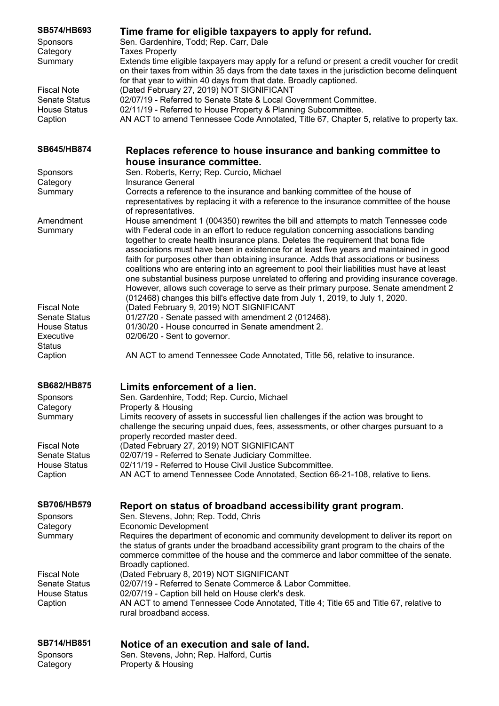| <b>SB574/HB693</b><br><b>Sponsors</b>       | Time frame for eligible taxpayers to apply for refund.<br>Sen. Gardenhire, Todd; Rep. Carr, Dale                                                                                                                                                                                                                                                                                                                                                                                                                                                                                                                                                                                                                                 |
|---------------------------------------------|----------------------------------------------------------------------------------------------------------------------------------------------------------------------------------------------------------------------------------------------------------------------------------------------------------------------------------------------------------------------------------------------------------------------------------------------------------------------------------------------------------------------------------------------------------------------------------------------------------------------------------------------------------------------------------------------------------------------------------|
| Category<br>Summary                         | <b>Taxes Property</b><br>Extends time eligible taxpayers may apply for a refund or present a credit voucher for credit<br>on their taxes from within 35 days from the date taxes in the jurisdiction become delinquent<br>for that year to within 40 days from that date. Broadly captioned.                                                                                                                                                                                                                                                                                                                                                                                                                                     |
| <b>Fiscal Note</b>                          | (Dated February 27, 2019) NOT SIGNIFICANT                                                                                                                                                                                                                                                                                                                                                                                                                                                                                                                                                                                                                                                                                        |
| <b>Senate Status</b><br><b>House Status</b> | 02/07/19 - Referred to Senate State & Local Government Committee.<br>02/11/19 - Referred to House Property & Planning Subcommittee.                                                                                                                                                                                                                                                                                                                                                                                                                                                                                                                                                                                              |
| Caption                                     | AN ACT to amend Tennessee Code Annotated, Title 67, Chapter 5, relative to property tax.                                                                                                                                                                                                                                                                                                                                                                                                                                                                                                                                                                                                                                         |
| SB645/HB874                                 | Replaces reference to house insurance and banking committee to                                                                                                                                                                                                                                                                                                                                                                                                                                                                                                                                                                                                                                                                   |
| <b>Sponsors</b>                             | house insurance committee.<br>Sen. Roberts, Kerry; Rep. Curcio, Michael                                                                                                                                                                                                                                                                                                                                                                                                                                                                                                                                                                                                                                                          |
| Category                                    | <b>Insurance General</b>                                                                                                                                                                                                                                                                                                                                                                                                                                                                                                                                                                                                                                                                                                         |
| Summary                                     | Corrects a reference to the insurance and banking committee of the house of<br>representatives by replacing it with a reference to the insurance committee of the house<br>of representatives.                                                                                                                                                                                                                                                                                                                                                                                                                                                                                                                                   |
| Amendment                                   | House amendment 1 (004350) rewrites the bill and attempts to match Tennessee code                                                                                                                                                                                                                                                                                                                                                                                                                                                                                                                                                                                                                                                |
| Summary                                     | with Federal code in an effort to reduce regulation concerning associations banding<br>together to create health insurance plans. Deletes the requirement that bona fide<br>associations must have been in existence for at least five years and maintained in good<br>faith for purposes other than obtaining insurance. Adds that associations or business<br>coalitions who are entering into an agreement to pool their liabilities must have at least<br>one substantial business purpose unrelated to offering and providing insurance coverage.<br>However, allows such coverage to serve as their primary purpose. Senate amendment 2<br>(012468) changes this bill's effective date from July 1, 2019, to July 1, 2020. |
| <b>Fiscal Note</b>                          | (Dated February 9, 2019) NOT SIGNIFICANT                                                                                                                                                                                                                                                                                                                                                                                                                                                                                                                                                                                                                                                                                         |
| <b>Senate Status</b>                        | 01/27/20 - Senate passed with amendment 2 (012468).                                                                                                                                                                                                                                                                                                                                                                                                                                                                                                                                                                                                                                                                              |
| <b>House Status</b>                         | 01/30/20 - House concurred in Senate amendment 2.                                                                                                                                                                                                                                                                                                                                                                                                                                                                                                                                                                                                                                                                                |
| Executive<br><b>Status</b>                  | 02/06/20 - Sent to governor.                                                                                                                                                                                                                                                                                                                                                                                                                                                                                                                                                                                                                                                                                                     |
| Caption                                     | AN ACT to amend Tennessee Code Annotated, Title 56, relative to insurance.                                                                                                                                                                                                                                                                                                                                                                                                                                                                                                                                                                                                                                                       |
| <b>SB682/HB875</b>                          | Limits enforcement of a lien.                                                                                                                                                                                                                                                                                                                                                                                                                                                                                                                                                                                                                                                                                                    |
| Sponsors                                    | Sen. Gardenhire, Todd; Rep. Curcio, Michael                                                                                                                                                                                                                                                                                                                                                                                                                                                                                                                                                                                                                                                                                      |
| Category<br>Summary                         | Property & Housing<br>Limits recovery of assets in successful lien challenges if the action was brought to                                                                                                                                                                                                                                                                                                                                                                                                                                                                                                                                                                                                                       |
|                                             | challenge the securing unpaid dues, fees, assessments, or other charges pursuant to a<br>properly recorded master deed.                                                                                                                                                                                                                                                                                                                                                                                                                                                                                                                                                                                                          |
| <b>Fiscal Note</b>                          | (Dated February 27, 2019) NOT SIGNIFICANT                                                                                                                                                                                                                                                                                                                                                                                                                                                                                                                                                                                                                                                                                        |
| <b>Senate Status</b><br><b>House Status</b> | 02/07/19 - Referred to Senate Judiciary Committee.<br>02/11/19 - Referred to House Civil Justice Subcommittee.                                                                                                                                                                                                                                                                                                                                                                                                                                                                                                                                                                                                                   |
| Caption                                     | AN ACT to amend Tennessee Code Annotated, Section 66-21-108, relative to liens.                                                                                                                                                                                                                                                                                                                                                                                                                                                                                                                                                                                                                                                  |
| <b>SB706/HB579</b>                          | Report on status of broadband accessibility grant program.                                                                                                                                                                                                                                                                                                                                                                                                                                                                                                                                                                                                                                                                       |
| Sponsors                                    | Sen. Stevens, John; Rep. Todd, Chris                                                                                                                                                                                                                                                                                                                                                                                                                                                                                                                                                                                                                                                                                             |
| Category                                    | <b>Economic Development</b>                                                                                                                                                                                                                                                                                                                                                                                                                                                                                                                                                                                                                                                                                                      |
| Summary                                     | Requires the department of economic and community development to deliver its report on<br>the status of grants under the broadband accessibility grant program to the chairs of the<br>commerce committee of the house and the commerce and labor committee of the senate.                                                                                                                                                                                                                                                                                                                                                                                                                                                       |
| <b>Fiscal Note</b>                          | Broadly captioned.<br>(Dated February 8, 2019) NOT SIGNIFICANT                                                                                                                                                                                                                                                                                                                                                                                                                                                                                                                                                                                                                                                                   |
| <b>Senate Status</b>                        | 02/07/19 - Referred to Senate Commerce & Labor Committee.                                                                                                                                                                                                                                                                                                                                                                                                                                                                                                                                                                                                                                                                        |
| <b>House Status</b><br>Caption              | 02/07/19 - Caption bill held on House clerk's desk.<br>AN ACT to amend Tennessee Code Annotated, Title 4; Title 65 and Title 67, relative to<br>rural broadband access.                                                                                                                                                                                                                                                                                                                                                                                                                                                                                                                                                          |
| <b>SB714/HB851</b>                          | Notice of an execution and sale of land.                                                                                                                                                                                                                                                                                                                                                                                                                                                                                                                                                                                                                                                                                         |
| Sponsors                                    | Sen. Stevens, John; Rep. Halford, Curtis                                                                                                                                                                                                                                                                                                                                                                                                                                                                                                                                                                                                                                                                                         |

Category Property & Housing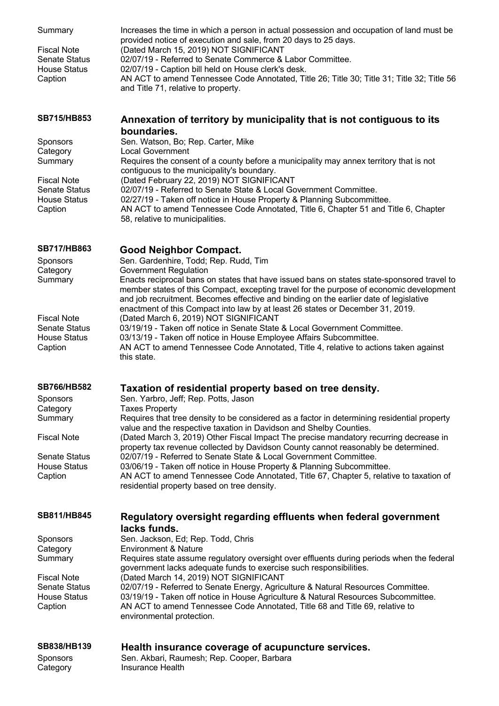| Summary<br><b>Fiscal Note</b><br><b>Senate Status</b><br><b>House Status</b><br>Caption                                | Increases the time in which a person in actual possession and occupation of land must be<br>provided notice of execution and sale, from 20 days to 25 days.<br>(Dated March 15, 2019) NOT SIGNIFICANT<br>02/07/19 - Referred to Senate Commerce & Labor Committee.<br>02/07/19 - Caption bill held on House clerk's desk.<br>AN ACT to amend Tennessee Code Annotated, Title 26; Title 30; Title 31; Title 32; Title 56<br>and Title 71, relative to property.                                                                                                                            |
|------------------------------------------------------------------------------------------------------------------------|-------------------------------------------------------------------------------------------------------------------------------------------------------------------------------------------------------------------------------------------------------------------------------------------------------------------------------------------------------------------------------------------------------------------------------------------------------------------------------------------------------------------------------------------------------------------------------------------|
| <b>SB715/HB853</b>                                                                                                     | Annexation of territory by municipality that is not contiguous to its                                                                                                                                                                                                                                                                                                                                                                                                                                                                                                                     |
| <b>Sponsors</b><br>Category<br>Summary<br><b>Fiscal Note</b><br><b>Senate Status</b><br><b>House Status</b><br>Caption | boundaries.<br>Sen. Watson, Bo; Rep. Carter, Mike<br><b>Local Government</b><br>Requires the consent of a county before a municipality may annex territory that is not<br>contiguous to the municipality's boundary.<br>(Dated February 22, 2019) NOT SIGNIFICANT<br>02/07/19 - Referred to Senate State & Local Government Committee.<br>02/27/19 - Taken off notice in House Property & Planning Subcommittee.<br>AN ACT to amend Tennessee Code Annotated, Title 6, Chapter 51 and Title 6, Chapter<br>58, relative to municipalities.                                                 |
| <b>SB717/HB863</b><br>Sponsors<br>Category<br>Summary                                                                  | <b>Good Neighbor Compact.</b><br>Sen. Gardenhire, Todd; Rep. Rudd, Tim<br><b>Government Regulation</b><br>Enacts reciprocal bans on states that have issued bans on states state-sponsored travel to<br>member states of this Compact, excepting travel for the purpose of economic development<br>and job recruitment. Becomes effective and binding on the earlier date of legislative                                                                                                                                                                                                  |
| <b>Fiscal Note</b><br><b>Senate Status</b><br><b>House Status</b><br>Caption                                           | enactment of this Compact into law by at least 26 states or December 31, 2019.<br>(Dated March 6, 2019) NOT SIGNIFICANT<br>03/19/19 - Taken off notice in Senate State & Local Government Committee.<br>03/13/19 - Taken off notice in House Employee Affairs Subcommittee.<br>AN ACT to amend Tennessee Code Annotated, Title 4, relative to actions taken against<br>this state.                                                                                                                                                                                                        |
| <b>SB766/HB582</b>                                                                                                     | Taxation of residential property based on tree density.                                                                                                                                                                                                                                                                                                                                                                                                                                                                                                                                   |
| Sponsors<br>Category<br>Summary                                                                                        | Sen. Yarbro, Jeff; Rep. Potts, Jason<br><b>Taxes Property</b><br>Requires that tree density to be considered as a factor in determining residential property                                                                                                                                                                                                                                                                                                                                                                                                                              |
| <b>Fiscal Note</b>                                                                                                     | value and the respective taxation in Davidson and Shelby Counties.<br>(Dated March 3, 2019) Other Fiscal Impact The precise mandatory recurring decrease in<br>property tax revenue collected by Davidson County cannot reasonably be determined.                                                                                                                                                                                                                                                                                                                                         |
| <b>Senate Status</b><br><b>House Status</b><br>Caption                                                                 | 02/07/19 - Referred to Senate State & Local Government Committee.<br>03/06/19 - Taken off notice in House Property & Planning Subcommittee.<br>AN ACT to amend Tennessee Code Annotated, Title 67, Chapter 5, relative to taxation of<br>residential property based on tree density.                                                                                                                                                                                                                                                                                                      |
| SB811/HB845                                                                                                            | Regulatory oversight regarding effluents when federal government                                                                                                                                                                                                                                                                                                                                                                                                                                                                                                                          |
| <b>Sponsors</b><br>Category<br>Summary<br><b>Fiscal Note</b><br><b>Senate Status</b><br><b>House Status</b><br>Caption | lacks funds.<br>Sen. Jackson, Ed; Rep. Todd, Chris<br><b>Environment &amp; Nature</b><br>Requires state assume regulatory oversight over effluents during periods when the federal<br>government lacks adequate funds to exercise such responsibilities.<br>(Dated March 14, 2019) NOT SIGNIFICANT<br>02/07/19 - Referred to Senate Energy, Agriculture & Natural Resources Committee.<br>03/19/19 - Taken off notice in House Agriculture & Natural Resources Subcommittee.<br>AN ACT to amend Tennessee Code Annotated, Title 68 and Title 69, relative to<br>environmental protection. |
| SB838/HB139<br><b>Sponsors</b><br>Category                                                                             | Health insurance coverage of acupuncture services.<br>Sen. Akbari, Raumesh; Rep. Cooper, Barbara<br>Insurance Health                                                                                                                                                                                                                                                                                                                                                                                                                                                                      |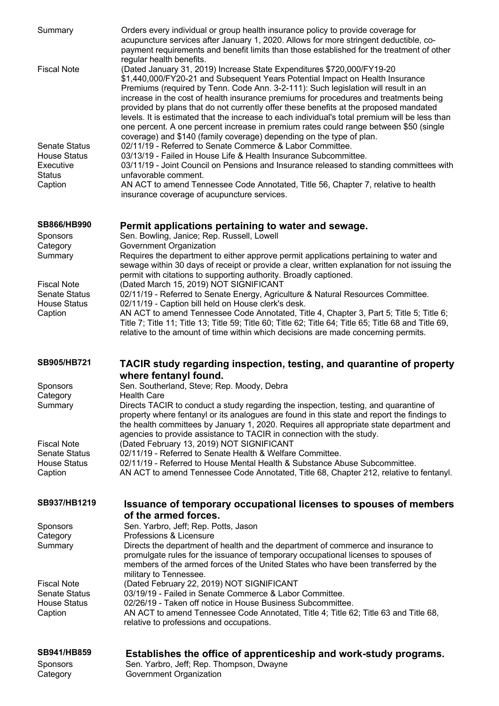| Summary                                    | Orders every individual or group health insurance policy to provide coverage for<br>acupuncture services after January 1, 2020. Allows for more stringent deductible, co-<br>payment requirements and benefit limits than those established for the treatment of other<br>regular health benefits.                                                                                                                                                                                                                                                                                                                                                                                                 |
|--------------------------------------------|----------------------------------------------------------------------------------------------------------------------------------------------------------------------------------------------------------------------------------------------------------------------------------------------------------------------------------------------------------------------------------------------------------------------------------------------------------------------------------------------------------------------------------------------------------------------------------------------------------------------------------------------------------------------------------------------------|
| <b>Fiscal Note</b>                         | (Dated January 31, 2019) Increase State Expenditures \$720,000/FY19-20<br>\$1,440,000/FY20-21 and Subsequent Years Potential Impact on Health Insurance<br>Premiums (required by Tenn. Code Ann. 3-2-111): Such legislation will result in an<br>increase in the cost of health insurance premiums for procedures and treatments being<br>provided by plans that do not currently offer these benefits at the proposed mandated<br>levels. It is estimated that the increase to each individual's total premium will be less than<br>one percent. A one percent increase in premium rates could range between \$50 (single<br>coverage) and \$140 (family coverage) depending on the type of plan. |
| <b>Senate Status</b>                       | 02/11/19 - Referred to Senate Commerce & Labor Committee.                                                                                                                                                                                                                                                                                                                                                                                                                                                                                                                                                                                                                                          |
| <b>House Status</b><br>Executive           | 03/13/19 - Failed in House Life & Health Insurance Subcommittee.<br>03/11/19 - Joint Council on Pensions and Insurance released to standing committees with                                                                                                                                                                                                                                                                                                                                                                                                                                                                                                                                        |
| <b>Status</b>                              | unfavorable comment.                                                                                                                                                                                                                                                                                                                                                                                                                                                                                                                                                                                                                                                                               |
| Caption                                    | AN ACT to amend Tennessee Code Annotated, Title 56, Chapter 7, relative to health<br>insurance coverage of acupuncture services.                                                                                                                                                                                                                                                                                                                                                                                                                                                                                                                                                                   |
| <b>SB866/HB990</b>                         | Permit applications pertaining to water and sewage.                                                                                                                                                                                                                                                                                                                                                                                                                                                                                                                                                                                                                                                |
| Sponsors<br>Category                       | Sen. Bowling, Janice; Rep. Russell, Lowell<br>Government Organization                                                                                                                                                                                                                                                                                                                                                                                                                                                                                                                                                                                                                              |
| Summary                                    | Requires the department to either approve permit applications pertaining to water and<br>sewage within 30 days of receipt or provide a clear, written explanation for not issuing the<br>permit with citations to supporting authority. Broadly captioned.                                                                                                                                                                                                                                                                                                                                                                                                                                         |
| <b>Fiscal Note</b><br><b>Senate Status</b> | (Dated March 15, 2019) NOT SIGNIFICANT<br>02/11/19 - Referred to Senate Energy, Agriculture & Natural Resources Committee.                                                                                                                                                                                                                                                                                                                                                                                                                                                                                                                                                                         |
| <b>House Status</b>                        | 02/11/19 - Caption bill held on House clerk's desk.                                                                                                                                                                                                                                                                                                                                                                                                                                                                                                                                                                                                                                                |
| Caption                                    | AN ACT to amend Tennessee Code Annotated, Title 4, Chapter 3, Part 5; Title 5; Title 6;<br>Title 7; Title 11; Title 13; Title 59; Title 60; Title 62; Title 64; Title 65; Title 68 and Title 69,<br>relative to the amount of time within which decisions are made concerning permits.                                                                                                                                                                                                                                                                                                                                                                                                             |
|                                            |                                                                                                                                                                                                                                                                                                                                                                                                                                                                                                                                                                                                                                                                                                    |
| <b>SB905/HB721</b>                         | TACIR study regarding inspection, testing, and quarantine of property                                                                                                                                                                                                                                                                                                                                                                                                                                                                                                                                                                                                                              |
|                                            | where fentanyl found.<br>Sen. Southerland, Steve; Rep. Moody, Debra                                                                                                                                                                                                                                                                                                                                                                                                                                                                                                                                                                                                                                |
| Sponsors<br>Category                       | <b>Health Care</b>                                                                                                                                                                                                                                                                                                                                                                                                                                                                                                                                                                                                                                                                                 |
| Summary                                    | Directs TACIR to conduct a study regarding the inspection, testing, and quarantine of<br>property where fentanyl or its analogues are found in this state and report the findings to<br>the health committees by January 1, 2020. Requires all appropriate state department and<br>agencies to provide assistance to TACIR in connection with the study.                                                                                                                                                                                                                                                                                                                                           |
| <b>Fiscal Note</b><br><b>Senate Status</b> | (Dated February 13, 2019) NOT SIGNIFICANT<br>02/11/19 - Referred to Senate Health & Welfare Committee.                                                                                                                                                                                                                                                                                                                                                                                                                                                                                                                                                                                             |
| <b>House Status</b><br>Caption             | 02/11/19 - Referred to House Mental Health & Substance Abuse Subcommittee.<br>AN ACT to amend Tennessee Code Annotated, Title 68, Chapter 212, relative to fentanyl.                                                                                                                                                                                                                                                                                                                                                                                                                                                                                                                               |
| SB937/HB1219                               | Issuance of temporary occupational licenses to spouses of members                                                                                                                                                                                                                                                                                                                                                                                                                                                                                                                                                                                                                                  |
|                                            | of the armed forces.                                                                                                                                                                                                                                                                                                                                                                                                                                                                                                                                                                                                                                                                               |
| Sponsors<br>Category                       | Sen. Yarbro, Jeff; Rep. Potts, Jason<br>Professions & Licensure                                                                                                                                                                                                                                                                                                                                                                                                                                                                                                                                                                                                                                    |
| Summary                                    | Directs the department of health and the department of commerce and insurance to<br>promulgate rules for the issuance of temporary occupational licenses to spouses of<br>members of the armed forces of the United States who have been transferred by the                                                                                                                                                                                                                                                                                                                                                                                                                                        |
| <b>Fiscal Note</b>                         | military to Tennessee.<br>(Dated February 22, 2019) NOT SIGNIFICANT                                                                                                                                                                                                                                                                                                                                                                                                                                                                                                                                                                                                                                |
| <b>Senate Status</b>                       | 03/19/19 - Failed in Senate Commerce & Labor Committee.                                                                                                                                                                                                                                                                                                                                                                                                                                                                                                                                                                                                                                            |
| <b>House Status</b><br>Caption             | 02/26/19 - Taken off notice in House Business Subcommittee.<br>AN ACT to amend Tennessee Code Annotated, Title 4; Title 62; Title 63 and Title 68,<br>relative to professions and occupations.                                                                                                                                                                                                                                                                                                                                                                                                                                                                                                     |
| SB941/HB859<br>Sponsors                    | Establishes the office of apprenticeship and work-study programs.<br>Sen. Yarbro, Jeff; Rep. Thompson, Dwayne                                                                                                                                                                                                                                                                                                                                                                                                                                                                                                                                                                                      |

Category Government Organization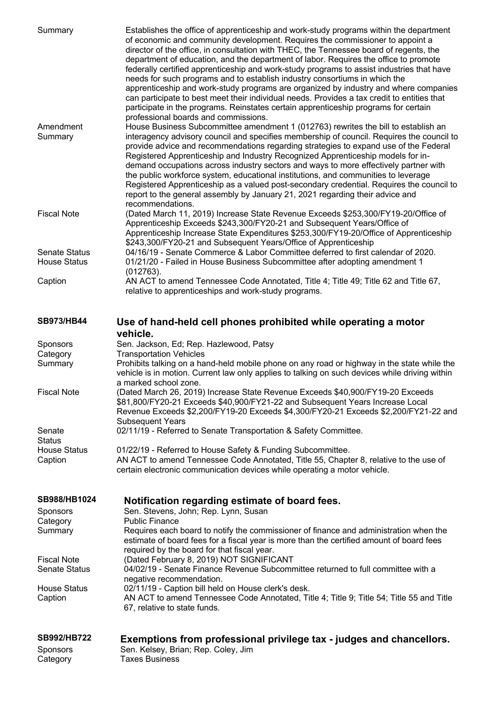| Summary                                     | Establishes the office of apprenticeship and work-study programs within the department<br>of economic and community development. Requires the commissioner to appoint a<br>director of the office, in consultation with THEC, the Tennessee board of regents, the<br>department of education, and the department of labor. Requires the office to promote<br>federally certified apprenticeship and work-study programs to assist industries that have<br>needs for such programs and to establish industry consortiums in which the<br>apprenticeship and work-study programs are organized by industry and where companies<br>can participate to best meet their individual needs. Provides a tax credit to entities that<br>participate in the programs. Reinstates certain apprenticeship programs for certain<br>professional boards and commissions. |
|---------------------------------------------|------------------------------------------------------------------------------------------------------------------------------------------------------------------------------------------------------------------------------------------------------------------------------------------------------------------------------------------------------------------------------------------------------------------------------------------------------------------------------------------------------------------------------------------------------------------------------------------------------------------------------------------------------------------------------------------------------------------------------------------------------------------------------------------------------------------------------------------------------------|
| Amendment<br>Summary                        | House Business Subcommittee amendment 1 (012763) rewrites the bill to establish an<br>interagency advisory council and specifies membership of council. Requires the council to<br>provide advice and recommendations regarding strategies to expand use of the Federal<br>Registered Apprenticeship and Industry Recognized Apprenticeship models for in-<br>demand occupations across industry sectors and ways to more effectively partner with<br>the public workforce system, educational institutions, and communities to leverage<br>Registered Apprenticeship as a valued post-secondary credential. Requires the council to<br>report to the general assembly by January 21, 2021 regarding their advice and<br>recommendations.                                                                                                                  |
| <b>Fiscal Note</b>                          | (Dated March 11, 2019) Increase State Revenue Exceeds \$253,300/FY19-20/Office of<br>Apprenticeship Exceeds \$243,300/FY20-21 and Subsequent Years/Office of<br>Apprenticeship Increase State Expenditures \$253,300/FY19-20/Office of Apprenticeship<br>\$243,300/FY20-21 and Subsequent Years/Office of Apprenticeship                                                                                                                                                                                                                                                                                                                                                                                                                                                                                                                                   |
| <b>Senate Status</b><br><b>House Status</b> | 04/16/19 - Senate Commerce & Labor Committee deferred to first calendar of 2020.<br>01/21/20 - Failed in House Business Subcommittee after adopting amendment 1                                                                                                                                                                                                                                                                                                                                                                                                                                                                                                                                                                                                                                                                                            |
| Caption                                     | (012763).<br>AN ACT to amend Tennessee Code Annotated, Title 4; Title 49; Title 62 and Title 67,<br>relative to apprenticeships and work-study programs.                                                                                                                                                                                                                                                                                                                                                                                                                                                                                                                                                                                                                                                                                                   |
| <b>SB973/HB44</b>                           | Use of hand-held cell phones prohibited while operating a motor<br>vehicle.                                                                                                                                                                                                                                                                                                                                                                                                                                                                                                                                                                                                                                                                                                                                                                                |
| Sponsors<br>Category                        | Sen. Jackson, Ed; Rep. Hazlewood, Patsy<br><b>Transportation Vehicles</b>                                                                                                                                                                                                                                                                                                                                                                                                                                                                                                                                                                                                                                                                                                                                                                                  |
| Summary                                     | Prohibits talking on a hand-held mobile phone on any road or highway in the state while the<br>vehicle is in motion. Current law only applies to talking on such devices while driving within<br>a marked school zone.                                                                                                                                                                                                                                                                                                                                                                                                                                                                                                                                                                                                                                     |
| <b>Fiscal Note</b>                          | (Dated March 26, 2019) Increase State Revenue Exceeds \$40,900/FY19-20 Exceeds<br>\$81,800/FY20-21 Exceeds \$40,900/FY21-22 and Subsequent Years Increase Local<br>Revenue Exceeds \$2,200/FY19-20 Exceeds \$4,300/FY20-21 Exceeds \$2,200/FY21-22 and<br><b>Subsequent Years</b>                                                                                                                                                                                                                                                                                                                                                                                                                                                                                                                                                                          |
| Senate<br><b>Status</b>                     | 02/11/19 - Referred to Senate Transportation & Safety Committee.                                                                                                                                                                                                                                                                                                                                                                                                                                                                                                                                                                                                                                                                                                                                                                                           |
| <b>House Status</b><br>Caption              | 01/22/19 - Referred to House Safety & Funding Subcommittee.<br>AN ACT to amend Tennessee Code Annotated, Title 55, Chapter 8, relative to the use of<br>certain electronic communication devices while operating a motor vehicle.                                                                                                                                                                                                                                                                                                                                                                                                                                                                                                                                                                                                                          |
| SB988/HB1024                                | Notification regarding estimate of board fees.                                                                                                                                                                                                                                                                                                                                                                                                                                                                                                                                                                                                                                                                                                                                                                                                             |
| Sponsors<br>Category                        | Sen. Stevens, John; Rep. Lynn, Susan<br><b>Public Finance</b>                                                                                                                                                                                                                                                                                                                                                                                                                                                                                                                                                                                                                                                                                                                                                                                              |
| Summary                                     | Requires each board to notify the commissioner of finance and administration when the<br>estimate of board fees for a fiscal year is more than the certified amount of board fees<br>required by the board for that fiscal year.                                                                                                                                                                                                                                                                                                                                                                                                                                                                                                                                                                                                                           |
| <b>Fiscal Note</b><br><b>Senate Status</b>  | (Dated February 8, 2019) NOT SIGNIFICANT<br>04/02/19 - Senate Finance Revenue Subcommittee returned to full committee with a                                                                                                                                                                                                                                                                                                                                                                                                                                                                                                                                                                                                                                                                                                                               |
| <b>House Status</b><br>Caption              | negative recommendation.<br>02/11/19 - Caption bill held on House clerk's desk.<br>AN ACT to amend Tennessee Code Annotated, Title 4; Title 9; Title 54; Title 55 and Title<br>67, relative to state funds.                                                                                                                                                                                                                                                                                                                                                                                                                                                                                                                                                                                                                                                |
| <b>SB992/HB722</b>                          | Exemptions from professional privilege tax - judges and chancellors.                                                                                                                                                                                                                                                                                                                                                                                                                                                                                                                                                                                                                                                                                                                                                                                       |

Sponsors Sen. Kelsey, Brian; Rep. Coley, Jim

Category Taxes Business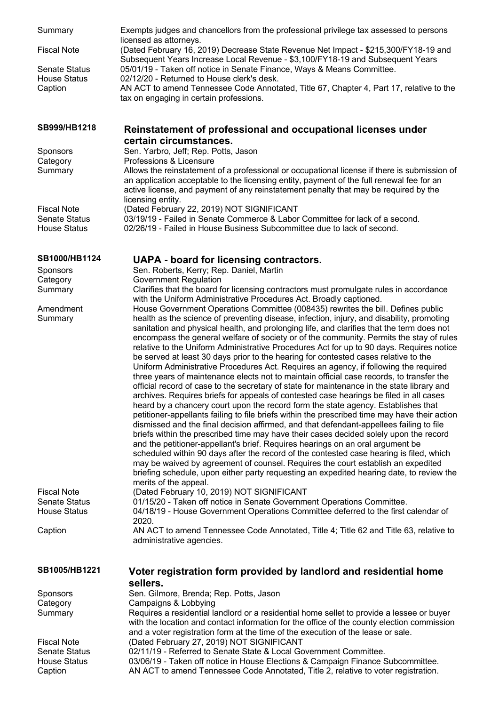| Summary<br><b>Fiscal Note</b><br><b>Senate Status</b><br><b>House Status</b><br>Caption   | Exempts judges and chancellors from the professional privilege tax assessed to persons<br>licensed as attorneys.<br>(Dated February 16, 2019) Decrease State Revenue Net Impact - \$215,300/FY18-19 and<br>Subsequent Years Increase Local Revenue - \$3,100/FY18-19 and Subsequent Years<br>05/01/19 - Taken off notice in Senate Finance, Ways & Means Committee.<br>02/12/20 - Returned to House clerk's desk.<br>AN ACT to amend Tennessee Code Annotated, Title 67, Chapter 4, Part 17, relative to the<br>tax on engaging in certain professions.                                                                                                                                                                                                                                                                                                                                                                                                                                                                                                                                                                                                                                                                                                                                                                                                                                                                                                                                                                                                                                                                                                                                                                                                                                                                                                                                                                                                                                 |
|-------------------------------------------------------------------------------------------|-----------------------------------------------------------------------------------------------------------------------------------------------------------------------------------------------------------------------------------------------------------------------------------------------------------------------------------------------------------------------------------------------------------------------------------------------------------------------------------------------------------------------------------------------------------------------------------------------------------------------------------------------------------------------------------------------------------------------------------------------------------------------------------------------------------------------------------------------------------------------------------------------------------------------------------------------------------------------------------------------------------------------------------------------------------------------------------------------------------------------------------------------------------------------------------------------------------------------------------------------------------------------------------------------------------------------------------------------------------------------------------------------------------------------------------------------------------------------------------------------------------------------------------------------------------------------------------------------------------------------------------------------------------------------------------------------------------------------------------------------------------------------------------------------------------------------------------------------------------------------------------------------------------------------------------------------------------------------------------------|
| SB999/HB1218                                                                              | Reinstatement of professional and occupational licenses under<br>certain circumstances.                                                                                                                                                                                                                                                                                                                                                                                                                                                                                                                                                                                                                                                                                                                                                                                                                                                                                                                                                                                                                                                                                                                                                                                                                                                                                                                                                                                                                                                                                                                                                                                                                                                                                                                                                                                                                                                                                                 |
| Sponsors                                                                                  | Sen. Yarbro, Jeff; Rep. Potts, Jason                                                                                                                                                                                                                                                                                                                                                                                                                                                                                                                                                                                                                                                                                                                                                                                                                                                                                                                                                                                                                                                                                                                                                                                                                                                                                                                                                                                                                                                                                                                                                                                                                                                                                                                                                                                                                                                                                                                                                    |
| Category<br>Summary                                                                       | Professions & Licensure<br>Allows the reinstatement of a professional or occupational license if there is submission of<br>an application acceptable to the licensing entity, payment of the full renewal fee for an<br>active license, and payment of any reinstatement penalty that may be required by the<br>licensing entity.                                                                                                                                                                                                                                                                                                                                                                                                                                                                                                                                                                                                                                                                                                                                                                                                                                                                                                                                                                                                                                                                                                                                                                                                                                                                                                                                                                                                                                                                                                                                                                                                                                                       |
| <b>Fiscal Note</b>                                                                        | (Dated February 22, 2019) NOT SIGNIFICANT                                                                                                                                                                                                                                                                                                                                                                                                                                                                                                                                                                                                                                                                                                                                                                                                                                                                                                                                                                                                                                                                                                                                                                                                                                                                                                                                                                                                                                                                                                                                                                                                                                                                                                                                                                                                                                                                                                                                               |
| <b>Senate Status</b><br><b>House Status</b>                                               | 03/19/19 - Failed in Senate Commerce & Labor Committee for lack of a second.<br>02/26/19 - Failed in House Business Subcommittee due to lack of second.                                                                                                                                                                                                                                                                                                                                                                                                                                                                                                                                                                                                                                                                                                                                                                                                                                                                                                                                                                                                                                                                                                                                                                                                                                                                                                                                                                                                                                                                                                                                                                                                                                                                                                                                                                                                                                 |
| SB1000/HB1124                                                                             | <b>UAPA - board for licensing contractors.</b>                                                                                                                                                                                                                                                                                                                                                                                                                                                                                                                                                                                                                                                                                                                                                                                                                                                                                                                                                                                                                                                                                                                                                                                                                                                                                                                                                                                                                                                                                                                                                                                                                                                                                                                                                                                                                                                                                                                                          |
| Sponsors<br>Category                                                                      | Sen. Roberts, Kerry; Rep. Daniel, Martin<br><b>Government Regulation</b>                                                                                                                                                                                                                                                                                                                                                                                                                                                                                                                                                                                                                                                                                                                                                                                                                                                                                                                                                                                                                                                                                                                                                                                                                                                                                                                                                                                                                                                                                                                                                                                                                                                                                                                                                                                                                                                                                                                |
| Summary                                                                                   | Clarifies that the board for licensing contractors must promulgate rules in accordance                                                                                                                                                                                                                                                                                                                                                                                                                                                                                                                                                                                                                                                                                                                                                                                                                                                                                                                                                                                                                                                                                                                                                                                                                                                                                                                                                                                                                                                                                                                                                                                                                                                                                                                                                                                                                                                                                                  |
| Amendment<br>Summary<br><b>Fiscal Note</b><br><b>Senate Status</b><br><b>House Status</b> | with the Uniform Administrative Procedures Act. Broadly captioned.<br>House Government Operations Committee (008435) rewrites the bill. Defines public<br>health as the science of preventing disease, infection, injury, and disability, promoting<br>sanitation and physical health, and prolonging life, and clarifies that the term does not<br>encompass the general welfare of society or of the community. Permits the stay of rules<br>relative to the Uniform Administrative Procedures Act for up to 90 days. Requires notice<br>be served at least 30 days prior to the hearing for contested cases relative to the<br>Uniform Administrative Procedures Act. Requires an agency, if following the required<br>three years of maintenance elects not to maintain official case records, to transfer the<br>official record of case to the secretary of state for maintenance in the state library and<br>archives. Requires briefs for appeals of contested case hearings be filed in all cases<br>heard by a chancery court upon the record form the state agency. Establishes that<br>petitioner-appellants failing to file briefs within the prescribed time may have their action<br>dismissed and the final decision affirmed, and that defendant-appellees failing to file<br>briefs within the prescribed time may have their cases decided solely upon the record<br>and the petitioner-appellant's brief. Requires hearings on an oral argument be<br>scheduled within 90 days after the record of the contested case hearing is filed, which<br>may be waived by agreement of counsel. Requires the court establish an expedited<br>briefing schedule, upon either party requesting an expedited hearing date, to review the<br>merits of the appeal.<br>(Dated February 10, 2019) NOT SIGNIFICANT<br>01/15/20 - Taken off notice in Senate Government Operations Committee.<br>04/18/19 - House Government Operations Committee deferred to the first calendar of |
|                                                                                           | 2020.                                                                                                                                                                                                                                                                                                                                                                                                                                                                                                                                                                                                                                                                                                                                                                                                                                                                                                                                                                                                                                                                                                                                                                                                                                                                                                                                                                                                                                                                                                                                                                                                                                                                                                                                                                                                                                                                                                                                                                                   |
| Caption                                                                                   | AN ACT to amend Tennessee Code Annotated, Title 4; Title 62 and Title 63, relative to<br>administrative agencies.                                                                                                                                                                                                                                                                                                                                                                                                                                                                                                                                                                                                                                                                                                                                                                                                                                                                                                                                                                                                                                                                                                                                                                                                                                                                                                                                                                                                                                                                                                                                                                                                                                                                                                                                                                                                                                                                       |
| SB1005/HB1221                                                                             | Voter registration form provided by landlord and residential home<br>sellers.                                                                                                                                                                                                                                                                                                                                                                                                                                                                                                                                                                                                                                                                                                                                                                                                                                                                                                                                                                                                                                                                                                                                                                                                                                                                                                                                                                                                                                                                                                                                                                                                                                                                                                                                                                                                                                                                                                           |
| Sponsors                                                                                  | Sen. Gilmore, Brenda; Rep. Potts, Jason                                                                                                                                                                                                                                                                                                                                                                                                                                                                                                                                                                                                                                                                                                                                                                                                                                                                                                                                                                                                                                                                                                                                                                                                                                                                                                                                                                                                                                                                                                                                                                                                                                                                                                                                                                                                                                                                                                                                                 |
| Category<br>Summary                                                                       | Campaigns & Lobbying<br>Requires a residential landlord or a residential home sellet to provide a lessee or buyer<br>with the location and contact information for the office of the county election commission                                                                                                                                                                                                                                                                                                                                                                                                                                                                                                                                                                                                                                                                                                                                                                                                                                                                                                                                                                                                                                                                                                                                                                                                                                                                                                                                                                                                                                                                                                                                                                                                                                                                                                                                                                         |
| <b>Fiscal Note</b>                                                                        | and a voter registration form at the time of the execution of the lease or sale.<br>(Dated February 27, 2019) NOT SIGNIFICANT                                                                                                                                                                                                                                                                                                                                                                                                                                                                                                                                                                                                                                                                                                                                                                                                                                                                                                                                                                                                                                                                                                                                                                                                                                                                                                                                                                                                                                                                                                                                                                                                                                                                                                                                                                                                                                                           |
| <b>Senate Status</b>                                                                      | 02/11/19 - Referred to Senate State & Local Government Committee.                                                                                                                                                                                                                                                                                                                                                                                                                                                                                                                                                                                                                                                                                                                                                                                                                                                                                                                                                                                                                                                                                                                                                                                                                                                                                                                                                                                                                                                                                                                                                                                                                                                                                                                                                                                                                                                                                                                       |
| <b>House Status</b><br>Caption                                                            | 03/06/19 - Taken off notice in House Elections & Campaign Finance Subcommittee.<br>AN ACT to amend Tennessee Code Annotated, Title 2, relative to voter registration.                                                                                                                                                                                                                                                                                                                                                                                                                                                                                                                                                                                                                                                                                                                                                                                                                                                                                                                                                                                                                                                                                                                                                                                                                                                                                                                                                                                                                                                                                                                                                                                                                                                                                                                                                                                                                   |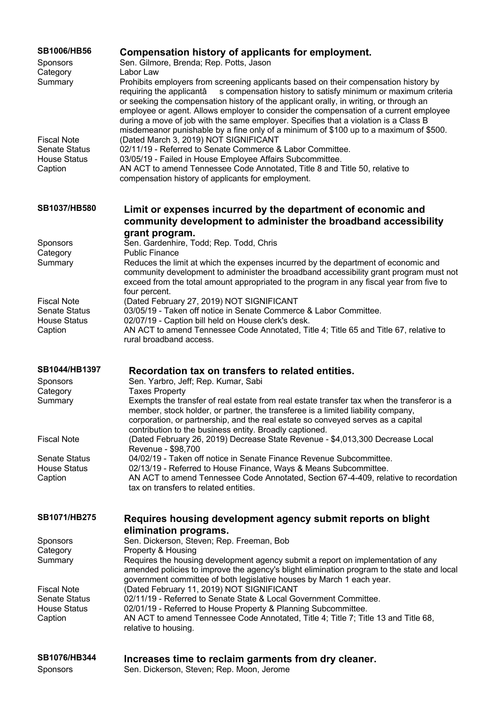| <b>SB1006/HB56</b><br><b>Sponsors</b>                                        | Compensation history of applicants for employment.<br>Sen. Gilmore, Brenda; Rep. Potts, Jason                                                                                                                                                                                                                                                                                                                                                                                                                                                                      |
|------------------------------------------------------------------------------|--------------------------------------------------------------------------------------------------------------------------------------------------------------------------------------------------------------------------------------------------------------------------------------------------------------------------------------------------------------------------------------------------------------------------------------------------------------------------------------------------------------------------------------------------------------------|
| Category<br>Summary                                                          | Labor Law<br>Prohibits employers from screening applicants based on their compensation history by<br>s compensation history to satisfy minimum or maximum criteria<br>requiring the applicantâ<br>or seeking the compensation history of the applicant orally, in writing, or through an<br>employee or agent. Allows employer to consider the compensation of a current employee<br>during a move of job with the same employer. Specifies that a violation is a Class B<br>misdemeanor punishable by a fine only of a minimum of \$100 up to a maximum of \$500. |
| <b>Fiscal Note</b><br><b>Senate Status</b><br><b>House Status</b><br>Caption | (Dated March 3, 2019) NOT SIGNIFICANT<br>02/11/19 - Referred to Senate Commerce & Labor Committee.<br>03/05/19 - Failed in House Employee Affairs Subcommittee.<br>AN ACT to amend Tennessee Code Annotated, Title 8 and Title 50, relative to<br>compensation history of applicants for employment.                                                                                                                                                                                                                                                               |
| SB1037/HB580                                                                 | Limit or expenses incurred by the department of economic and<br>community development to administer the broadband accessibility                                                                                                                                                                                                                                                                                                                                                                                                                                    |
|                                                                              | grant program.                                                                                                                                                                                                                                                                                                                                                                                                                                                                                                                                                     |
| Sponsors<br>Category                                                         | Sen. Gardenhire, Todd; Rep. Todd, Chris<br><b>Public Finance</b>                                                                                                                                                                                                                                                                                                                                                                                                                                                                                                   |
| Summary                                                                      | Reduces the limit at which the expenses incurred by the department of economic and<br>community development to administer the broadband accessibility grant program must not<br>exceed from the total amount appropriated to the program in any fiscal year from five to                                                                                                                                                                                                                                                                                           |
| <b>Fiscal Note</b>                                                           | four percent.<br>(Dated February 27, 2019) NOT SIGNIFICANT                                                                                                                                                                                                                                                                                                                                                                                                                                                                                                         |
| <b>Senate Status</b>                                                         | 03/05/19 - Taken off notice in Senate Commerce & Labor Committee.                                                                                                                                                                                                                                                                                                                                                                                                                                                                                                  |
| <b>House Status</b><br>Caption                                               | 02/07/19 - Caption bill held on House clerk's desk.<br>AN ACT to amend Tennessee Code Annotated, Title 4; Title 65 and Title 67, relative to<br>rural broadband access.                                                                                                                                                                                                                                                                                                                                                                                            |
| SB1044/HB1397                                                                | Recordation tax on transfers to related entities.                                                                                                                                                                                                                                                                                                                                                                                                                                                                                                                  |
| <b>Sponsors</b><br>Category                                                  | Sen. Yarbro, Jeff; Rep. Kumar, Sabi<br><b>Taxes Property</b>                                                                                                                                                                                                                                                                                                                                                                                                                                                                                                       |
| Summary                                                                      | Exempts the transfer of real estate from real estate transfer tax when the transferor is a<br>member, stock holder, or partner, the transferee is a limited liability company,<br>corporation, or partnership, and the real estate so conveyed serves as a capital<br>contribution to the business entity. Broadly captioned.                                                                                                                                                                                                                                      |
| <b>Fiscal Note</b>                                                           | (Dated February 26, 2019) Decrease State Revenue - \$4,013,300 Decrease Local<br>Revenue - \$98,700                                                                                                                                                                                                                                                                                                                                                                                                                                                                |
| <b>Senate Status</b>                                                         | 04/02/19 - Taken off notice in Senate Finance Revenue Subcommittee.                                                                                                                                                                                                                                                                                                                                                                                                                                                                                                |
| <b>House Status</b><br>Caption                                               | 02/13/19 - Referred to House Finance, Ways & Means Subcommittee.<br>AN ACT to amend Tennessee Code Annotated, Section 67-4-409, relative to recordation<br>tax on transfers to related entities.                                                                                                                                                                                                                                                                                                                                                                   |
| SB1071/HB275                                                                 | Requires housing development agency submit reports on blight                                                                                                                                                                                                                                                                                                                                                                                                                                                                                                       |
| Sponsors                                                                     | elimination programs.<br>Sen. Dickerson, Steven; Rep. Freeman, Bob                                                                                                                                                                                                                                                                                                                                                                                                                                                                                                 |
| Category                                                                     | Property & Housing                                                                                                                                                                                                                                                                                                                                                                                                                                                                                                                                                 |
| Summary                                                                      | Requires the housing development agency submit a report on implementation of any<br>amended policies to improve the agency's blight elimination program to the state and local<br>government committee of both legislative houses by March 1 each year.                                                                                                                                                                                                                                                                                                            |
| <b>Fiscal Note</b><br><b>Senate Status</b>                                   | (Dated February 11, 2019) NOT SIGNIFICANT<br>02/11/19 - Referred to Senate State & Local Government Committee.                                                                                                                                                                                                                                                                                                                                                                                                                                                     |
| <b>House Status</b>                                                          | 02/01/19 - Referred to House Property & Planning Subcommittee.                                                                                                                                                                                                                                                                                                                                                                                                                                                                                                     |
| Caption                                                                      | AN ACT to amend Tennessee Code Annotated, Title 4; Title 7; Title 13 and Title 68,<br>relative to housing.                                                                                                                                                                                                                                                                                                                                                                                                                                                         |
| SB1076/HB344                                                                 | Increases time to reclaim garments from dry cleaner.                                                                                                                                                                                                                                                                                                                                                                                                                                                                                                               |

Sponsors Sen. Dickerson, Steven; Rep. Moon, Jerome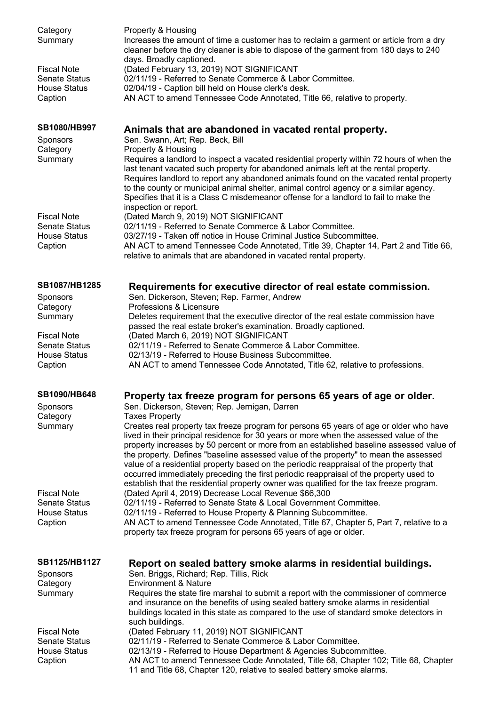| Category<br>Summary                                                          | Property & Housing<br>Increases the amount of time a customer has to reclaim a garment or article from a dry<br>cleaner before the dry cleaner is able to dispose of the garment from 180 days to 240<br>days. Broadly captioned.                                                                                                                                                                                                                                                                                                                                                                                                                 |
|------------------------------------------------------------------------------|---------------------------------------------------------------------------------------------------------------------------------------------------------------------------------------------------------------------------------------------------------------------------------------------------------------------------------------------------------------------------------------------------------------------------------------------------------------------------------------------------------------------------------------------------------------------------------------------------------------------------------------------------|
| <b>Fiscal Note</b><br><b>Senate Status</b><br><b>House Status</b><br>Caption | (Dated February 13, 2019) NOT SIGNIFICANT<br>02/11/19 - Referred to Senate Commerce & Labor Committee.<br>02/04/19 - Caption bill held on House clerk's desk.<br>AN ACT to amend Tennessee Code Annotated, Title 66, relative to property.                                                                                                                                                                                                                                                                                                                                                                                                        |
| SB1080/HB997                                                                 | Animals that are abandoned in vacated rental property.                                                                                                                                                                                                                                                                                                                                                                                                                                                                                                                                                                                            |
| Sponsors<br>Category<br>Summary                                              | Sen. Swann, Art; Rep. Beck, Bill<br>Property & Housing<br>Requires a landlord to inspect a vacated residential property within 72 hours of when the<br>last tenant vacated such property for abandoned animals left at the rental property.<br>Requires landlord to report any abandoned animals found on the vacated rental property<br>to the county or municipal animal shelter, animal control agency or a similar agency.<br>Specifies that it is a Class C misdemeanor offense for a landlord to fail to make the                                                                                                                           |
| <b>Fiscal Note</b><br><b>Senate Status</b>                                   | inspection or report.<br>(Dated March 9, 2019) NOT SIGNIFICANT<br>02/11/19 - Referred to Senate Commerce & Labor Committee.                                                                                                                                                                                                                                                                                                                                                                                                                                                                                                                       |
| <b>House Status</b><br>Caption                                               | 03/27/19 - Taken off notice in House Criminal Justice Subcommittee.<br>AN ACT to amend Tennessee Code Annotated, Title 39, Chapter 14, Part 2 and Title 66,<br>relative to animals that are abandoned in vacated rental property.                                                                                                                                                                                                                                                                                                                                                                                                                 |
| SB1087/HB1285                                                                | Requirements for executive director of real estate commission.                                                                                                                                                                                                                                                                                                                                                                                                                                                                                                                                                                                    |
| Sponsors<br>Category                                                         | Sen. Dickerson, Steven; Rep. Farmer, Andrew<br>Professions & Licensure                                                                                                                                                                                                                                                                                                                                                                                                                                                                                                                                                                            |
| Summary                                                                      | Deletes requirement that the executive director of the real estate commission have<br>passed the real estate broker's examination. Broadly captioned.                                                                                                                                                                                                                                                                                                                                                                                                                                                                                             |
| <b>Fiscal Note</b><br><b>Senate Status</b>                                   | (Dated March 6, 2019) NOT SIGNIFICANT<br>02/11/19 - Referred to Senate Commerce & Labor Committee.                                                                                                                                                                                                                                                                                                                                                                                                                                                                                                                                                |
| <b>House Status</b><br>Caption                                               | 02/13/19 - Referred to House Business Subcommittee.<br>AN ACT to amend Tennessee Code Annotated, Title 62, relative to professions.                                                                                                                                                                                                                                                                                                                                                                                                                                                                                                               |
| <b>SB1090/HB648</b>                                                          | Property tax freeze program for persons 65 years of age or older.                                                                                                                                                                                                                                                                                                                                                                                                                                                                                                                                                                                 |
| Sponsors<br>Category                                                         | Sen. Dickerson, Steven; Rep. Jernigan, Darren<br><b>Taxes Property</b>                                                                                                                                                                                                                                                                                                                                                                                                                                                                                                                                                                            |
| Summary                                                                      | Creates real property tax freeze program for persons 65 years of age or older who have<br>lived in their principal residence for 30 years or more when the assessed value of the<br>property increases by 50 percent or more from an established baseline assessed value of<br>the property. Defines "baseline assessed value of the property" to mean the assessed<br>value of a residential property based on the periodic reappraisal of the property that<br>occurred immediately preceding the first periodic reappraisal of the property used to<br>establish that the residential property owner was qualified for the tax freeze program. |
| <b>Fiscal Note</b><br><b>Senate Status</b>                                   | (Dated April 4, 2019) Decrease Local Revenue \$66,300                                                                                                                                                                                                                                                                                                                                                                                                                                                                                                                                                                                             |
| <b>House Status</b>                                                          | 02/11/19 - Referred to Senate State & Local Government Committee.<br>02/11/19 - Referred to House Property & Planning Subcommittee.                                                                                                                                                                                                                                                                                                                                                                                                                                                                                                               |
| Caption                                                                      | AN ACT to amend Tennessee Code Annotated, Title 67, Chapter 5, Part 7, relative to a<br>property tax freeze program for persons 65 years of age or older.                                                                                                                                                                                                                                                                                                                                                                                                                                                                                         |
| SB1125/HB1127<br>Sponsors                                                    | Report on sealed battery smoke alarms in residential buildings.<br>Sen. Briggs, Richard; Rep. Tillis, Rick                                                                                                                                                                                                                                                                                                                                                                                                                                                                                                                                        |
| Category<br>Summary                                                          | <b>Environment &amp; Nature</b><br>Requires the state fire marshal to submit a report with the commissioner of commerce<br>and insurance on the benefits of using sealed battery smoke alarms in residential<br>buildings located in this state as compared to the use of standard smoke detectors in<br>such buildings.                                                                                                                                                                                                                                                                                                                          |
| <b>Fiscal Note</b><br><b>Senate Status</b>                                   | (Dated February 11, 2019) NOT SIGNIFICANT<br>02/11/19 - Referred to Senate Commerce & Labor Committee.                                                                                                                                                                                                                                                                                                                                                                                                                                                                                                                                            |
| <b>House Status</b><br>Caption                                               | 02/13/19 - Referred to House Department & Agencies Subcommittee.<br>AN ACT to amend Tennessee Code Annotated, Title 68, Chapter 102; Title 68, Chapter                                                                                                                                                                                                                                                                                                                                                                                                                                                                                            |
|                                                                              | 11 and Title 68, Chapter 120, relative to sealed battery smoke alarms.                                                                                                                                                                                                                                                                                                                                                                                                                                                                                                                                                                            |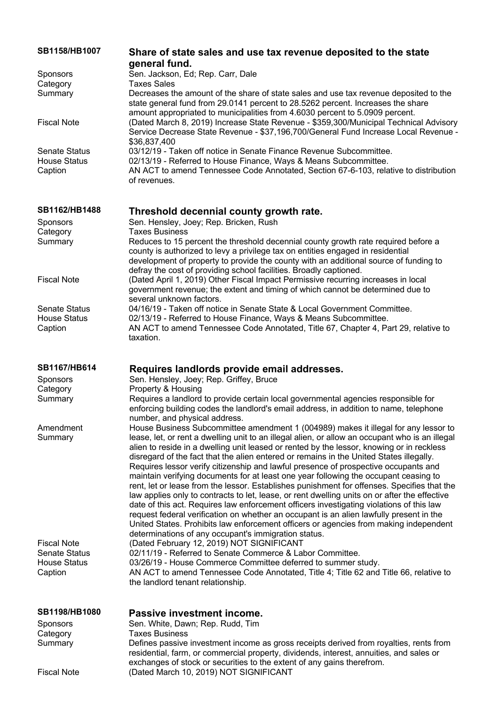| SB1158/HB1007                                          | Share of state sales and use tax revenue deposited to the state                                                                                                                                                                                                                                                                                                                                                                                                                                                                                                                                                                                                                                                                                                                                                                                                                                                                                                                                                                               |
|--------------------------------------------------------|-----------------------------------------------------------------------------------------------------------------------------------------------------------------------------------------------------------------------------------------------------------------------------------------------------------------------------------------------------------------------------------------------------------------------------------------------------------------------------------------------------------------------------------------------------------------------------------------------------------------------------------------------------------------------------------------------------------------------------------------------------------------------------------------------------------------------------------------------------------------------------------------------------------------------------------------------------------------------------------------------------------------------------------------------|
|                                                        | general fund.                                                                                                                                                                                                                                                                                                                                                                                                                                                                                                                                                                                                                                                                                                                                                                                                                                                                                                                                                                                                                                 |
| <b>Sponsors</b>                                        | Sen. Jackson, Ed; Rep. Carr, Dale                                                                                                                                                                                                                                                                                                                                                                                                                                                                                                                                                                                                                                                                                                                                                                                                                                                                                                                                                                                                             |
| Category                                               | <b>Taxes Sales</b>                                                                                                                                                                                                                                                                                                                                                                                                                                                                                                                                                                                                                                                                                                                                                                                                                                                                                                                                                                                                                            |
| Summary                                                | Decreases the amount of the share of state sales and use tax revenue deposited to the<br>state general fund from 29.0141 percent to 28.5262 percent. Increases the share<br>amount appropriated to municipalities from 4.6030 percent to 5.0909 percent.                                                                                                                                                                                                                                                                                                                                                                                                                                                                                                                                                                                                                                                                                                                                                                                      |
| <b>Fiscal Note</b>                                     | (Dated March 8, 2019) Increase State Revenue - \$359,300/Municipal Technical Advisory<br>Service Decrease State Revenue - \$37,196,700/General Fund Increase Local Revenue -<br>\$36,837,400                                                                                                                                                                                                                                                                                                                                                                                                                                                                                                                                                                                                                                                                                                                                                                                                                                                  |
| <b>Senate Status</b><br><b>House Status</b><br>Caption | 03/12/19 - Taken off notice in Senate Finance Revenue Subcommittee.<br>02/13/19 - Referred to House Finance, Ways & Means Subcommittee.<br>AN ACT to amend Tennessee Code Annotated, Section 67-6-103, relative to distribution<br>of revenues.                                                                                                                                                                                                                                                                                                                                                                                                                                                                                                                                                                                                                                                                                                                                                                                               |
| SB1162/HB1488                                          | Threshold decennial county growth rate.                                                                                                                                                                                                                                                                                                                                                                                                                                                                                                                                                                                                                                                                                                                                                                                                                                                                                                                                                                                                       |
| <b>Sponsors</b>                                        | Sen. Hensley, Joey; Rep. Bricken, Rush                                                                                                                                                                                                                                                                                                                                                                                                                                                                                                                                                                                                                                                                                                                                                                                                                                                                                                                                                                                                        |
| Category                                               | <b>Taxes Business</b>                                                                                                                                                                                                                                                                                                                                                                                                                                                                                                                                                                                                                                                                                                                                                                                                                                                                                                                                                                                                                         |
| Summary                                                | Reduces to 15 percent the threshold decennial county growth rate required before a<br>county is authorized to levy a privilege tax on entities engaged in residential<br>development of property to provide the county with an additional source of funding to<br>defray the cost of providing school facilities. Broadly captioned.                                                                                                                                                                                                                                                                                                                                                                                                                                                                                                                                                                                                                                                                                                          |
| <b>Fiscal Note</b>                                     | (Dated April 1, 2019) Other Fiscal Impact Permissive recurring increases in local<br>government revenue; the extent and timing of which cannot be determined due to<br>several unknown factors.                                                                                                                                                                                                                                                                                                                                                                                                                                                                                                                                                                                                                                                                                                                                                                                                                                               |
| <b>Senate Status</b>                                   | 04/16/19 - Taken off notice in Senate State & Local Government Committee.                                                                                                                                                                                                                                                                                                                                                                                                                                                                                                                                                                                                                                                                                                                                                                                                                                                                                                                                                                     |
| <b>House Status</b><br>Caption                         | 02/13/19 - Referred to House Finance, Ways & Means Subcommittee.<br>AN ACT to amend Tennessee Code Annotated, Title 67, Chapter 4, Part 29, relative to<br>taxation.                                                                                                                                                                                                                                                                                                                                                                                                                                                                                                                                                                                                                                                                                                                                                                                                                                                                          |
|                                                        |                                                                                                                                                                                                                                                                                                                                                                                                                                                                                                                                                                                                                                                                                                                                                                                                                                                                                                                                                                                                                                               |
|                                                        |                                                                                                                                                                                                                                                                                                                                                                                                                                                                                                                                                                                                                                                                                                                                                                                                                                                                                                                                                                                                                                               |
| SB1167/HB614                                           | Requires landlords provide email addresses.                                                                                                                                                                                                                                                                                                                                                                                                                                                                                                                                                                                                                                                                                                                                                                                                                                                                                                                                                                                                   |
| Sponsors                                               | Sen. Hensley, Joey; Rep. Griffey, Bruce                                                                                                                                                                                                                                                                                                                                                                                                                                                                                                                                                                                                                                                                                                                                                                                                                                                                                                                                                                                                       |
| Category<br>Summary                                    | Property & Housing<br>Requires a landlord to provide certain local governmental agencies responsible for<br>enforcing building codes the landlord's email address, in addition to name, telephone                                                                                                                                                                                                                                                                                                                                                                                                                                                                                                                                                                                                                                                                                                                                                                                                                                             |
|                                                        | number, and physical address.                                                                                                                                                                                                                                                                                                                                                                                                                                                                                                                                                                                                                                                                                                                                                                                                                                                                                                                                                                                                                 |
| Amendment<br>Summary                                   | House Business Subcommittee amendment 1 (004989) makes it illegal for any lessor to<br>lease, let, or rent a dwelling unit to an illegal alien, or allow an occupant who is an illegal<br>alien to reside in a dwelling unit leased or rented by the lessor, knowing or in reckless<br>disregard of the fact that the alien entered or remains in the United States illegally.<br>Requires lessor verify citizenship and lawful presence of prospective occupants and<br>maintain verifying documents for at least one year following the occupant ceasing to<br>rent, let or lease from the lessor. Establishes punishment for offenses. Specifies that the<br>law applies only to contracts to let, lease, or rent dwelling units on or after the effective<br>date of this act. Requires law enforcement officers investigating violations of this law<br>request federal verification on whether an occupant is an alien lawfully present in the<br>United States. Prohibits law enforcement officers or agencies from making independent |
| <b>Fiscal Note</b>                                     | determinations of any occupant's immigration status.                                                                                                                                                                                                                                                                                                                                                                                                                                                                                                                                                                                                                                                                                                                                                                                                                                                                                                                                                                                          |
| <b>Senate Status</b>                                   | (Dated February 12, 2019) NOT SIGNIFICANT<br>02/11/19 - Referred to Senate Commerce & Labor Committee.                                                                                                                                                                                                                                                                                                                                                                                                                                                                                                                                                                                                                                                                                                                                                                                                                                                                                                                                        |
| <b>House Status</b><br>Caption                         | 03/26/19 - House Commerce Committee deferred to summer study.<br>AN ACT to amend Tennessee Code Annotated, Title 4; Title 62 and Title 66, relative to<br>the landlord tenant relationship.                                                                                                                                                                                                                                                                                                                                                                                                                                                                                                                                                                                                                                                                                                                                                                                                                                                   |
| <b>SB1198/HB1080</b>                                   | Passive investment income.                                                                                                                                                                                                                                                                                                                                                                                                                                                                                                                                                                                                                                                                                                                                                                                                                                                                                                                                                                                                                    |
| Sponsors                                               | Sen. White, Dawn; Rep. Rudd, Tim                                                                                                                                                                                                                                                                                                                                                                                                                                                                                                                                                                                                                                                                                                                                                                                                                                                                                                                                                                                                              |
| Category                                               | <b>Taxes Business</b>                                                                                                                                                                                                                                                                                                                                                                                                                                                                                                                                                                                                                                                                                                                                                                                                                                                                                                                                                                                                                         |
| Summary                                                | Defines passive investment income as gross receipts derived from royalties, rents from<br>residential, farm, or commercial property, dividends, interest, annuities, and sales or<br>exchanges of stock or securities to the extent of any gains therefrom.                                                                                                                                                                                                                                                                                                                                                                                                                                                                                                                                                                                                                                                                                                                                                                                   |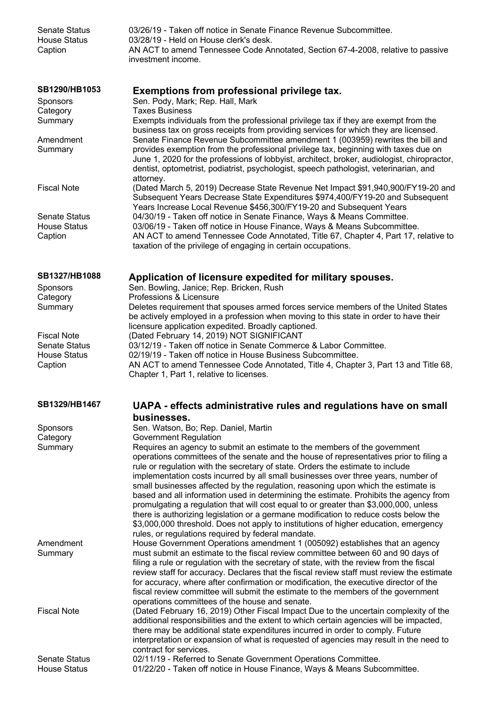| SB1290/HB1053<br>Exemptions from professional privilege tax.<br>Sen. Pody, Mark; Rep. Hall, Mark<br>Sponsors<br><b>Taxes Business</b><br>Category<br>Summary<br>Exempts individuals from the professional privilege tax if they are exempt from the<br>business tax on gross receipts from providing services for which they are licensed.<br>Senate Finance Revenue Subcommittee amendment 1 (003959) rewrites the bill and<br>Amendment<br>provides exemption from the professional privilege tax, beginning with taxes due on<br>Summary<br>June 1, 2020 for the professions of lobbyist, architect, broker, audiologist, chiropractor,<br>dentist, optometrist, podiatrist, psychologist, speech pathologist, veterinarian, and<br>attorney.<br><b>Fiscal Note</b><br>(Dated March 5, 2019) Decrease State Revenue Net Impact \$91,940,900/FY19-20 and<br>Subsequent Years Decrease State Expenditures \$974,400/FY19-20 and Subsequent<br>Years Increase Local Revenue \$456,300/FY19-20 and Subsequent Years<br><b>Senate Status</b><br>04/30/19 - Taken off notice in Senate Finance, Ways & Means Committee.<br>03/06/19 - Taken off notice in House Finance, Ways & Means Subcommittee.<br><b>House Status</b><br>AN ACT to amend Tennessee Code Annotated, Title 67, Chapter 4, Part 17, relative to<br>Caption<br>taxation of the privilege of engaging in certain occupations.<br>SB1327/HB1088<br>Application of licensure expedited for military spouses.<br>Sen. Bowling, Janice; Rep. Bricken, Rush<br>Sponsors<br>Professions & Licensure<br>Category<br>Summary<br>Deletes requirement that spouses armed forces service members of the United States<br>be actively employed in a profession when moving to this state in order to have their<br>licensure application expedited. Broadly captioned.<br>(Dated February 14, 2019) NOT SIGNIFICANT<br><b>Fiscal Note</b><br>03/12/19 - Taken off notice in Senate Commerce & Labor Committee.<br><b>Senate Status</b><br><b>House Status</b><br>02/19/19 - Taken off notice in House Business Subcommittee.<br>Caption<br>AN ACT to amend Tennessee Code Annotated, Title 4, Chapter 3, Part 13 and Title 68,<br>Chapter 1, Part 1, relative to licenses.<br>SB1329/HB1467<br>UAPA - effects administrative rules and regulations have on small<br>businesses.<br>Sen. Watson, Bo; Rep. Daniel, Martin<br><b>Sponsors</b><br><b>Government Regulation</b><br>Category<br>Summary<br>Requires an agency to submit an estimate to the members of the government<br>operations committees of the senate and the house of representatives prior to filing a<br>rule or regulation with the secretary of state. Orders the estimate to include<br>implementation costs incurred by all small businesses over three years, number of<br>small businesses affected by the regulation, reasoning upon which the estimate is<br>based and all information used in determining the estimate. Prohibits the agency from<br>promulgating a regulation that will cost equal to or greater than \$3,000,000, unless<br>there is authorizing legislation or a germane modification to reduce costs below the<br>\$3,000,000 threshold. Does not apply to institutions of higher education, emergency<br>rules, or regulations required by federal mandate.<br>Amendment<br>House Government Operations amendment 1 (005092) establishes that an agency<br>must submit an estimate to the fiscal review committee between 60 and 90 days of<br>Summary<br>filing a rule or regulation with the secretary of state, with the review from the fiscal<br>review staff for accuracy. Declares that the fiscal review staff must review the estimate<br>for accuracy, where after confirmation or modification, the executive director of the<br>fiscal review committee will submit the estimate to the members of the government<br>operations committees of the house and senate.<br><b>Fiscal Note</b><br>(Dated February 16, 2019) Other Fiscal Impact Due to the uncertain complexity of the<br>additional responsibilities and the extent to which certain agencies will be impacted,<br>there may be additional state expenditures incurred in order to comply. Future<br>interpretation or expansion of what is requested of agencies may result in the need to<br>contract for services.<br>02/11/19 - Referred to Senate Government Operations Committee.<br><b>Senate Status</b><br>01/22/20 - Taken off notice in House Finance, Ways & Means Subcommittee.<br><b>House Status</b> | <b>Senate Status</b><br><b>House Status</b><br>Caption | 03/26/19 - Taken off notice in Senate Finance Revenue Subcommittee.<br>03/28/19 - Held on House clerk's desk.<br>AN ACT to amend Tennessee Code Annotated, Section 67-4-2008, relative to passive<br>investment income. |
|----------------------------------------------------------------------------------------------------------------------------------------------------------------------------------------------------------------------------------------------------------------------------------------------------------------------------------------------------------------------------------------------------------------------------------------------------------------------------------------------------------------------------------------------------------------------------------------------------------------------------------------------------------------------------------------------------------------------------------------------------------------------------------------------------------------------------------------------------------------------------------------------------------------------------------------------------------------------------------------------------------------------------------------------------------------------------------------------------------------------------------------------------------------------------------------------------------------------------------------------------------------------------------------------------------------------------------------------------------------------------------------------------------------------------------------------------------------------------------------------------------------------------------------------------------------------------------------------------------------------------------------------------------------------------------------------------------------------------------------------------------------------------------------------------------------------------------------------------------------------------------------------------------------------------------------------------------------------------------------------------------------------------------------------------------------------------------------------------------------------------------------------------------------------------------------------------------------------------------------------------------------------------------------------------------------------------------------------------------------------------------------------------------------------------------------------------------------------------------------------------------------------------------------------------------------------------------------------------------------------------------------------------------------------------------------------------------------------------------------------------------------------------------------------------------------------------------------------------------------------------------------------------------------------------------------------------------------------------------------------------------------------------------------------------------------------------------------------------------------------------------------------------------------------------------------------------------------------------------------------------------------------------------------------------------------------------------------------------------------------------------------------------------------------------------------------------------------------------------------------------------------------------------------------------------------------------------------------------------------------------------------------------------------------------------------------------------------------------------------------------------------------------------------------------------------------------------------------------------------------------------------------------------------------------------------------------------------------------------------------------------------------------------------------------------------------------------------------------------------------------------------------------------------------------------------------------------------------------------------------------------------------------------------------------------------------------------------------------------------------------------------------------------------------------------------------------------------------------------------------------------------------------------------------|--------------------------------------------------------|-------------------------------------------------------------------------------------------------------------------------------------------------------------------------------------------------------------------------|
|                                                                                                                                                                                                                                                                                                                                                                                                                                                                                                                                                                                                                                                                                                                                                                                                                                                                                                                                                                                                                                                                                                                                                                                                                                                                                                                                                                                                                                                                                                                                                                                                                                                                                                                                                                                                                                                                                                                                                                                                                                                                                                                                                                                                                                                                                                                                                                                                                                                                                                                                                                                                                                                                                                                                                                                                                                                                                                                                                                                                                                                                                                                                                                                                                                                                                                                                                                                                                                                                                                                                                                                                                                                                                                                                                                                                                                                                                                                                                                                                                                                                                                                                                                                                                                                                                                                                                                                                                                                                                                                                              |                                                        |                                                                                                                                                                                                                         |
|                                                                                                                                                                                                                                                                                                                                                                                                                                                                                                                                                                                                                                                                                                                                                                                                                                                                                                                                                                                                                                                                                                                                                                                                                                                                                                                                                                                                                                                                                                                                                                                                                                                                                                                                                                                                                                                                                                                                                                                                                                                                                                                                                                                                                                                                                                                                                                                                                                                                                                                                                                                                                                                                                                                                                                                                                                                                                                                                                                                                                                                                                                                                                                                                                                                                                                                                                                                                                                                                                                                                                                                                                                                                                                                                                                                                                                                                                                                                                                                                                                                                                                                                                                                                                                                                                                                                                                                                                                                                                                                                              |                                                        |                                                                                                                                                                                                                         |
|                                                                                                                                                                                                                                                                                                                                                                                                                                                                                                                                                                                                                                                                                                                                                                                                                                                                                                                                                                                                                                                                                                                                                                                                                                                                                                                                                                                                                                                                                                                                                                                                                                                                                                                                                                                                                                                                                                                                                                                                                                                                                                                                                                                                                                                                                                                                                                                                                                                                                                                                                                                                                                                                                                                                                                                                                                                                                                                                                                                                                                                                                                                                                                                                                                                                                                                                                                                                                                                                                                                                                                                                                                                                                                                                                                                                                                                                                                                                                                                                                                                                                                                                                                                                                                                                                                                                                                                                                                                                                                                                              |                                                        |                                                                                                                                                                                                                         |
|                                                                                                                                                                                                                                                                                                                                                                                                                                                                                                                                                                                                                                                                                                                                                                                                                                                                                                                                                                                                                                                                                                                                                                                                                                                                                                                                                                                                                                                                                                                                                                                                                                                                                                                                                                                                                                                                                                                                                                                                                                                                                                                                                                                                                                                                                                                                                                                                                                                                                                                                                                                                                                                                                                                                                                                                                                                                                                                                                                                                                                                                                                                                                                                                                                                                                                                                                                                                                                                                                                                                                                                                                                                                                                                                                                                                                                                                                                                                                                                                                                                                                                                                                                                                                                                                                                                                                                                                                                                                                                                                              |                                                        |                                                                                                                                                                                                                         |
|                                                                                                                                                                                                                                                                                                                                                                                                                                                                                                                                                                                                                                                                                                                                                                                                                                                                                                                                                                                                                                                                                                                                                                                                                                                                                                                                                                                                                                                                                                                                                                                                                                                                                                                                                                                                                                                                                                                                                                                                                                                                                                                                                                                                                                                                                                                                                                                                                                                                                                                                                                                                                                                                                                                                                                                                                                                                                                                                                                                                                                                                                                                                                                                                                                                                                                                                                                                                                                                                                                                                                                                                                                                                                                                                                                                                                                                                                                                                                                                                                                                                                                                                                                                                                                                                                                                                                                                                                                                                                                                                              |                                                        |                                                                                                                                                                                                                         |
|                                                                                                                                                                                                                                                                                                                                                                                                                                                                                                                                                                                                                                                                                                                                                                                                                                                                                                                                                                                                                                                                                                                                                                                                                                                                                                                                                                                                                                                                                                                                                                                                                                                                                                                                                                                                                                                                                                                                                                                                                                                                                                                                                                                                                                                                                                                                                                                                                                                                                                                                                                                                                                                                                                                                                                                                                                                                                                                                                                                                                                                                                                                                                                                                                                                                                                                                                                                                                                                                                                                                                                                                                                                                                                                                                                                                                                                                                                                                                                                                                                                                                                                                                                                                                                                                                                                                                                                                                                                                                                                                              |                                                        |                                                                                                                                                                                                                         |
|                                                                                                                                                                                                                                                                                                                                                                                                                                                                                                                                                                                                                                                                                                                                                                                                                                                                                                                                                                                                                                                                                                                                                                                                                                                                                                                                                                                                                                                                                                                                                                                                                                                                                                                                                                                                                                                                                                                                                                                                                                                                                                                                                                                                                                                                                                                                                                                                                                                                                                                                                                                                                                                                                                                                                                                                                                                                                                                                                                                                                                                                                                                                                                                                                                                                                                                                                                                                                                                                                                                                                                                                                                                                                                                                                                                                                                                                                                                                                                                                                                                                                                                                                                                                                                                                                                                                                                                                                                                                                                                                              |                                                        |                                                                                                                                                                                                                         |
|                                                                                                                                                                                                                                                                                                                                                                                                                                                                                                                                                                                                                                                                                                                                                                                                                                                                                                                                                                                                                                                                                                                                                                                                                                                                                                                                                                                                                                                                                                                                                                                                                                                                                                                                                                                                                                                                                                                                                                                                                                                                                                                                                                                                                                                                                                                                                                                                                                                                                                                                                                                                                                                                                                                                                                                                                                                                                                                                                                                                                                                                                                                                                                                                                                                                                                                                                                                                                                                                                                                                                                                                                                                                                                                                                                                                                                                                                                                                                                                                                                                                                                                                                                                                                                                                                                                                                                                                                                                                                                                                              |                                                        |                                                                                                                                                                                                                         |
|                                                                                                                                                                                                                                                                                                                                                                                                                                                                                                                                                                                                                                                                                                                                                                                                                                                                                                                                                                                                                                                                                                                                                                                                                                                                                                                                                                                                                                                                                                                                                                                                                                                                                                                                                                                                                                                                                                                                                                                                                                                                                                                                                                                                                                                                                                                                                                                                                                                                                                                                                                                                                                                                                                                                                                                                                                                                                                                                                                                                                                                                                                                                                                                                                                                                                                                                                                                                                                                                                                                                                                                                                                                                                                                                                                                                                                                                                                                                                                                                                                                                                                                                                                                                                                                                                                                                                                                                                                                                                                                                              |                                                        |                                                                                                                                                                                                                         |
|                                                                                                                                                                                                                                                                                                                                                                                                                                                                                                                                                                                                                                                                                                                                                                                                                                                                                                                                                                                                                                                                                                                                                                                                                                                                                                                                                                                                                                                                                                                                                                                                                                                                                                                                                                                                                                                                                                                                                                                                                                                                                                                                                                                                                                                                                                                                                                                                                                                                                                                                                                                                                                                                                                                                                                                                                                                                                                                                                                                                                                                                                                                                                                                                                                                                                                                                                                                                                                                                                                                                                                                                                                                                                                                                                                                                                                                                                                                                                                                                                                                                                                                                                                                                                                                                                                                                                                                                                                                                                                                                              |                                                        |                                                                                                                                                                                                                         |
|                                                                                                                                                                                                                                                                                                                                                                                                                                                                                                                                                                                                                                                                                                                                                                                                                                                                                                                                                                                                                                                                                                                                                                                                                                                                                                                                                                                                                                                                                                                                                                                                                                                                                                                                                                                                                                                                                                                                                                                                                                                                                                                                                                                                                                                                                                                                                                                                                                                                                                                                                                                                                                                                                                                                                                                                                                                                                                                                                                                                                                                                                                                                                                                                                                                                                                                                                                                                                                                                                                                                                                                                                                                                                                                                                                                                                                                                                                                                                                                                                                                                                                                                                                                                                                                                                                                                                                                                                                                                                                                                              |                                                        |                                                                                                                                                                                                                         |
|                                                                                                                                                                                                                                                                                                                                                                                                                                                                                                                                                                                                                                                                                                                                                                                                                                                                                                                                                                                                                                                                                                                                                                                                                                                                                                                                                                                                                                                                                                                                                                                                                                                                                                                                                                                                                                                                                                                                                                                                                                                                                                                                                                                                                                                                                                                                                                                                                                                                                                                                                                                                                                                                                                                                                                                                                                                                                                                                                                                                                                                                                                                                                                                                                                                                                                                                                                                                                                                                                                                                                                                                                                                                                                                                                                                                                                                                                                                                                                                                                                                                                                                                                                                                                                                                                                                                                                                                                                                                                                                                              |                                                        |                                                                                                                                                                                                                         |
|                                                                                                                                                                                                                                                                                                                                                                                                                                                                                                                                                                                                                                                                                                                                                                                                                                                                                                                                                                                                                                                                                                                                                                                                                                                                                                                                                                                                                                                                                                                                                                                                                                                                                                                                                                                                                                                                                                                                                                                                                                                                                                                                                                                                                                                                                                                                                                                                                                                                                                                                                                                                                                                                                                                                                                                                                                                                                                                                                                                                                                                                                                                                                                                                                                                                                                                                                                                                                                                                                                                                                                                                                                                                                                                                                                                                                                                                                                                                                                                                                                                                                                                                                                                                                                                                                                                                                                                                                                                                                                                                              |                                                        |                                                                                                                                                                                                                         |
|                                                                                                                                                                                                                                                                                                                                                                                                                                                                                                                                                                                                                                                                                                                                                                                                                                                                                                                                                                                                                                                                                                                                                                                                                                                                                                                                                                                                                                                                                                                                                                                                                                                                                                                                                                                                                                                                                                                                                                                                                                                                                                                                                                                                                                                                                                                                                                                                                                                                                                                                                                                                                                                                                                                                                                                                                                                                                                                                                                                                                                                                                                                                                                                                                                                                                                                                                                                                                                                                                                                                                                                                                                                                                                                                                                                                                                                                                                                                                                                                                                                                                                                                                                                                                                                                                                                                                                                                                                                                                                                                              |                                                        |                                                                                                                                                                                                                         |
|                                                                                                                                                                                                                                                                                                                                                                                                                                                                                                                                                                                                                                                                                                                                                                                                                                                                                                                                                                                                                                                                                                                                                                                                                                                                                                                                                                                                                                                                                                                                                                                                                                                                                                                                                                                                                                                                                                                                                                                                                                                                                                                                                                                                                                                                                                                                                                                                                                                                                                                                                                                                                                                                                                                                                                                                                                                                                                                                                                                                                                                                                                                                                                                                                                                                                                                                                                                                                                                                                                                                                                                                                                                                                                                                                                                                                                                                                                                                                                                                                                                                                                                                                                                                                                                                                                                                                                                                                                                                                                                                              |                                                        |                                                                                                                                                                                                                         |
|                                                                                                                                                                                                                                                                                                                                                                                                                                                                                                                                                                                                                                                                                                                                                                                                                                                                                                                                                                                                                                                                                                                                                                                                                                                                                                                                                                                                                                                                                                                                                                                                                                                                                                                                                                                                                                                                                                                                                                                                                                                                                                                                                                                                                                                                                                                                                                                                                                                                                                                                                                                                                                                                                                                                                                                                                                                                                                                                                                                                                                                                                                                                                                                                                                                                                                                                                                                                                                                                                                                                                                                                                                                                                                                                                                                                                                                                                                                                                                                                                                                                                                                                                                                                                                                                                                                                                                                                                                                                                                                                              |                                                        |                                                                                                                                                                                                                         |
|                                                                                                                                                                                                                                                                                                                                                                                                                                                                                                                                                                                                                                                                                                                                                                                                                                                                                                                                                                                                                                                                                                                                                                                                                                                                                                                                                                                                                                                                                                                                                                                                                                                                                                                                                                                                                                                                                                                                                                                                                                                                                                                                                                                                                                                                                                                                                                                                                                                                                                                                                                                                                                                                                                                                                                                                                                                                                                                                                                                                                                                                                                                                                                                                                                                                                                                                                                                                                                                                                                                                                                                                                                                                                                                                                                                                                                                                                                                                                                                                                                                                                                                                                                                                                                                                                                                                                                                                                                                                                                                                              |                                                        |                                                                                                                                                                                                                         |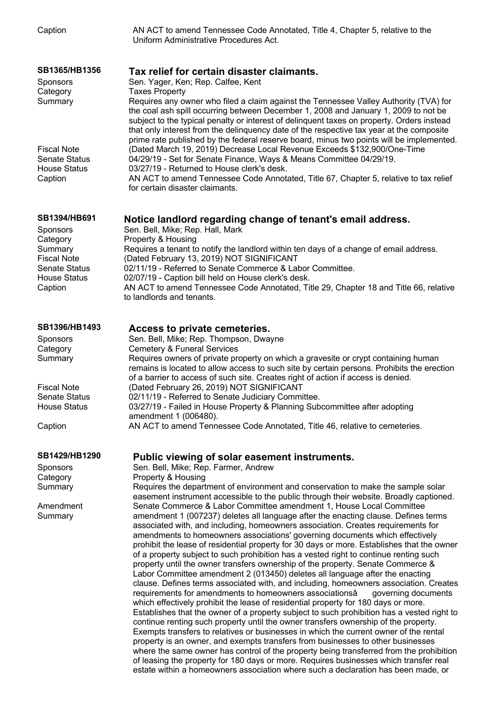| Caption                                                                                                                                       | AN ACT to amend Tennessee Code Annotated, Title 4, Chapter 5, relative to the<br>Uniform Administrative Procedures Act.                                                                                                                                                                                                                                                                                                                                                                                                                                                                                                                                                                                                                                                                                                                                                                                                                                                                                                                                                                                                                                                                                                                                                                                                                                                                                                                                                                                                                                                                                                                                                                                                                                                                                     |
|-----------------------------------------------------------------------------------------------------------------------------------------------|-------------------------------------------------------------------------------------------------------------------------------------------------------------------------------------------------------------------------------------------------------------------------------------------------------------------------------------------------------------------------------------------------------------------------------------------------------------------------------------------------------------------------------------------------------------------------------------------------------------------------------------------------------------------------------------------------------------------------------------------------------------------------------------------------------------------------------------------------------------------------------------------------------------------------------------------------------------------------------------------------------------------------------------------------------------------------------------------------------------------------------------------------------------------------------------------------------------------------------------------------------------------------------------------------------------------------------------------------------------------------------------------------------------------------------------------------------------------------------------------------------------------------------------------------------------------------------------------------------------------------------------------------------------------------------------------------------------------------------------------------------------------------------------------------------------|
| SB1365/HB1356<br>Sponsors<br>Category<br>Summary                                                                                              | Tax relief for certain disaster claimants.<br>Sen. Yager, Ken; Rep. Calfee, Kent<br><b>Taxes Property</b><br>Requires any owner who filed a claim against the Tennessee Valley Authority (TVA) for<br>the coal ash spill occurring between December 1, 2008 and January 1, 2009 to not be<br>subject to the typical penalty or interest of delinquent taxes on property. Orders instead<br>that only interest from the delinquency date of the respective tax year at the composite                                                                                                                                                                                                                                                                                                                                                                                                                                                                                                                                                                                                                                                                                                                                                                                                                                                                                                                                                                                                                                                                                                                                                                                                                                                                                                                         |
| <b>Fiscal Note</b><br><b>Senate Status</b><br><b>House Status</b><br>Caption                                                                  | prime rate published by the federal reserve board, minus two points will be implemented.<br>(Dated March 19, 2019) Decrease Local Revenue Exceeds \$132,900/One-Time<br>04/29/19 - Set for Senate Finance, Ways & Means Committee 04/29/19.<br>03/27/19 - Returned to House clerk's desk.<br>AN ACT to amend Tennessee Code Annotated, Title 67, Chapter 5, relative to tax relief<br>for certain disaster claimants.                                                                                                                                                                                                                                                                                                                                                                                                                                                                                                                                                                                                                                                                                                                                                                                                                                                                                                                                                                                                                                                                                                                                                                                                                                                                                                                                                                                       |
| <b>SB1394/HB691</b><br><b>Sponsors</b><br>Category<br>Summary<br><b>Fiscal Note</b><br><b>Senate Status</b><br><b>House Status</b><br>Caption | Notice landlord regarding change of tenant's email address.<br>Sen. Bell, Mike; Rep. Hall, Mark<br>Property & Housing<br>Requires a tenant to notify the landlord within ten days of a change of email address.<br>(Dated February 13, 2019) NOT SIGNIFICANT<br>02/11/19 - Referred to Senate Commerce & Labor Committee.<br>02/07/19 - Caption bill held on House clerk's desk.<br>AN ACT to amend Tennessee Code Annotated, Title 29, Chapter 18 and Title 66, relative<br>to landlords and tenants.                                                                                                                                                                                                                                                                                                                                                                                                                                                                                                                                                                                                                                                                                                                                                                                                                                                                                                                                                                                                                                                                                                                                                                                                                                                                                                      |
| SB1396/HB1493<br>Sponsors<br>Category<br>Summary<br><b>Fiscal Note</b><br><b>Senate Status</b><br><b>House Status</b>                         | Access to private cemeteries.<br>Sen. Bell, Mike; Rep. Thompson, Dwayne<br><b>Cemetery &amp; Funeral Services</b><br>Requires owners of private property on which a gravesite or crypt containing human<br>remains is located to allow access to such site by certain persons. Prohibits the erection<br>of a barrier to access of such site. Creates right of action if access is denied.<br>(Dated February 26, 2019) NOT SIGNIFICANT<br>02/11/19 - Referred to Senate Judiciary Committee.<br>03/27/19 - Failed in House Property & Planning Subcommittee after adopting<br>amendment 1 (006480).                                                                                                                                                                                                                                                                                                                                                                                                                                                                                                                                                                                                                                                                                                                                                                                                                                                                                                                                                                                                                                                                                                                                                                                                        |
| Caption                                                                                                                                       | AN ACT to amend Tennessee Code Annotated, Title 46, relative to cemeteries.                                                                                                                                                                                                                                                                                                                                                                                                                                                                                                                                                                                                                                                                                                                                                                                                                                                                                                                                                                                                                                                                                                                                                                                                                                                                                                                                                                                                                                                                                                                                                                                                                                                                                                                                 |
| SB1429/HB1290<br><b>Sponsors</b><br>Category<br>Summary<br>Amendment<br>Summary                                                               | Public viewing of solar easement instruments.<br>Sen. Bell, Mike; Rep. Farmer, Andrew<br>Property & Housing<br>Requires the department of environment and conservation to make the sample solar<br>easement instrument accessible to the public through their website. Broadly captioned.<br>Senate Commerce & Labor Committee amendment 1, House Local Committee<br>amendment 1 (007237) deletes all language after the enacting clause. Defines terms<br>associated with, and including, homeowners association. Creates requirements for<br>amendments to homeowners associations' governing documents which effectively<br>prohibit the lease of residential property for 30 days or more. Establishes that the owner<br>of a property subject to such prohibition has a vested right to continue renting such<br>property until the owner transfers ownership of the property. Senate Commerce &<br>Labor Committee amendment 2 (013450) deletes all language after the enacting<br>clause. Defines terms associated with, and including, homeowners association. Creates<br>requirements for amendments to homeowners associationsâ<br>governing documents<br>which effectively prohibit the lease of residential property for 180 days or more.<br>Establishes that the owner of a property subject to such prohibition has a vested right to<br>continue renting such property until the owner transfers ownership of the property.<br>Exempts transfers to relatives or businesses in which the current owner of the rental<br>property is an owner, and exempts transfers from businesses to other businesses<br>where the same owner has control of the property being transferred from the prohibition<br>of leasing the property for 180 days or more. Requires businesses which transfer real |

estate within a homeowners association where such a declaration has been made, or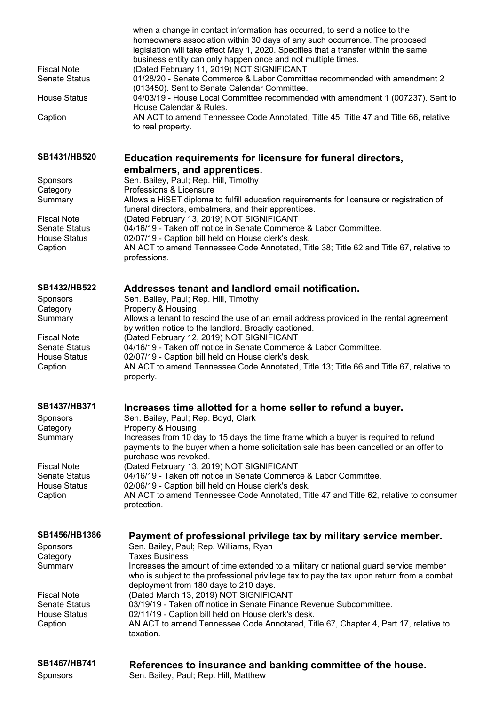| <b>Fiscal Note</b><br><b>Senate Status</b><br><b>House Status</b><br>Caption                                                           | when a change in contact information has occurred, to send a notice to the<br>homeowners association within 30 days of any such occurrence. The proposed<br>legislation will take effect May 1, 2020. Specifies that a transfer within the same<br>business entity can only happen once and not multiple times.<br>(Dated February 11, 2019) NOT SIGNIFICANT<br>01/28/20 - Senate Commerce & Labor Committee recommended with amendment 2<br>(013450). Sent to Senate Calendar Committee.<br>04/03/19 - House Local Committee recommended with amendment 1 (007237). Sent to<br>House Calendar & Rules.<br>AN ACT to amend Tennessee Code Annotated, Title 45; Title 47 and Title 66, relative<br>to real property. |
|----------------------------------------------------------------------------------------------------------------------------------------|---------------------------------------------------------------------------------------------------------------------------------------------------------------------------------------------------------------------------------------------------------------------------------------------------------------------------------------------------------------------------------------------------------------------------------------------------------------------------------------------------------------------------------------------------------------------------------------------------------------------------------------------------------------------------------------------------------------------|
| SB1431/HB520<br>Sponsors<br>Category<br>Summary<br><b>Fiscal Note</b><br><b>Senate Status</b><br>House Status<br>Caption               | Education requirements for licensure for funeral directors,<br>embalmers, and apprentices.<br>Sen. Bailey, Paul; Rep. Hill, Timothy<br>Professions & Licensure<br>Allows a HiSET diploma to fulfill education requirements for licensure or registration of<br>funeral directors, embalmers, and their apprentices.<br>(Dated February 13, 2019) NOT SIGNIFICANT<br>04/16/19 - Taken off notice in Senate Commerce & Labor Committee.<br>02/07/19 - Caption bill held on House clerk's desk.<br>AN ACT to amend Tennessee Code Annotated, Title 38; Title 62 and Title 67, relative to<br>professions.                                                                                                              |
| SB1432/HB522<br>Sponsors<br>Category<br>Summary<br><b>Fiscal Note</b><br><b>Senate Status</b><br><b>House Status</b><br>Caption        | Addresses tenant and landlord email notification.<br>Sen. Bailey, Paul; Rep. Hill, Timothy<br>Property & Housing<br>Allows a tenant to rescind the use of an email address provided in the rental agreement<br>by written notice to the landlord. Broadly captioned.<br>(Dated February 12, 2019) NOT SIGNIFICANT<br>04/16/19 - Taken off notice in Senate Commerce & Labor Committee.<br>02/07/19 - Caption bill held on House clerk's desk.<br>AN ACT to amend Tennessee Code Annotated, Title 13; Title 66 and Title 67, relative to<br>property.                                                                                                                                                                |
| SB1437/HB371<br><b>Sponsors</b><br>Category<br>Summary<br><b>Fiscal Note</b><br><b>Senate Status</b><br><b>House Status</b><br>Caption | Increases time allotted for a home seller to refund a buyer.<br>Sen. Bailey, Paul; Rep. Boyd, Clark<br>Property & Housing<br>Increases from 10 day to 15 days the time frame which a buyer is required to refund<br>payments to the buyer when a home solicitation sale has been cancelled or an offer to<br>purchase was revoked.<br>(Dated February 13, 2019) NOT SIGNIFICANT<br>04/16/19 - Taken off notice in Senate Commerce & Labor Committee.<br>02/06/19 - Caption bill held on House clerk's desk.<br>AN ACT to amend Tennessee Code Annotated, Title 47 and Title 62, relative to consumer<br>protection.                                                                                                 |
| SB1456/HB1386<br>Sponsors<br>Category<br>Summary<br><b>Fiscal Note</b><br><b>Senate Status</b><br><b>House Status</b><br>Caption       | Payment of professional privilege tax by military service member.<br>Sen. Bailey, Paul; Rep. Williams, Ryan<br><b>Taxes Business</b><br>Increases the amount of time extended to a military or national guard service member<br>who is subject to the professional privilege tax to pay the tax upon return from a combat<br>deployment from 180 days to 210 days.<br>(Dated March 13, 2019) NOT SIGNIFICANT<br>03/19/19 - Taken off notice in Senate Finance Revenue Subcommittee.<br>02/11/19 - Caption bill held on House clerk's desk.<br>AN ACT to amend Tennessee Code Annotated, Title 67, Chapter 4, Part 17, relative to<br>taxation.                                                                      |
| SB1467/HB741                                                                                                                           | References to insurance and banking committee of the house                                                                                                                                                                                                                                                                                                                                                                                                                                                                                                                                                                                                                                                          |

**SB1467/HB741 References to insurance and banking committee of the house.** Sponsors Sen. Bailey, Paul; Rep. Hill, Matthew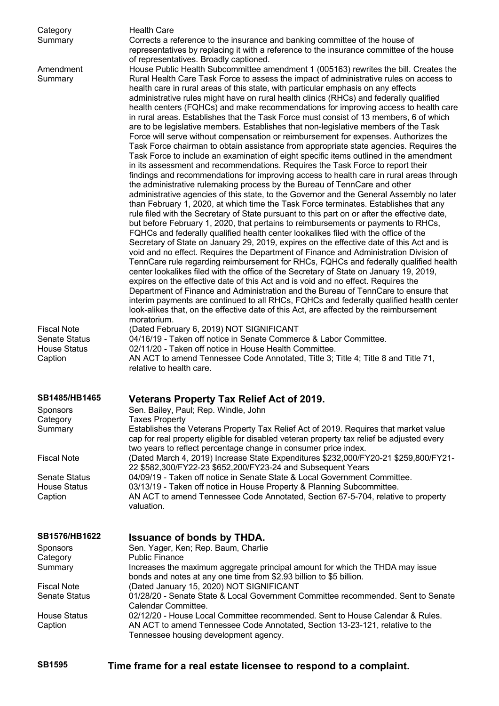| Category<br>Summary                                                          | <b>Health Care</b><br>Corrects a reference to the insurance and banking committee of the house of<br>representatives by replacing it with a reference to the insurance committee of the house                                                                                                                                                                                                                                                                                                                                                                                                                                                                                                                                                                                                                                                                                                                                                                                                                                                                                                                                                                                                                                                                                                                                                                                                                                                                                                                                                                                                                                                                                                                                                                                                                                                                                                                                                                                                                                                                                                                                                                                                                                                                                                                                                                                                                                              |
|------------------------------------------------------------------------------|--------------------------------------------------------------------------------------------------------------------------------------------------------------------------------------------------------------------------------------------------------------------------------------------------------------------------------------------------------------------------------------------------------------------------------------------------------------------------------------------------------------------------------------------------------------------------------------------------------------------------------------------------------------------------------------------------------------------------------------------------------------------------------------------------------------------------------------------------------------------------------------------------------------------------------------------------------------------------------------------------------------------------------------------------------------------------------------------------------------------------------------------------------------------------------------------------------------------------------------------------------------------------------------------------------------------------------------------------------------------------------------------------------------------------------------------------------------------------------------------------------------------------------------------------------------------------------------------------------------------------------------------------------------------------------------------------------------------------------------------------------------------------------------------------------------------------------------------------------------------------------------------------------------------------------------------------------------------------------------------------------------------------------------------------------------------------------------------------------------------------------------------------------------------------------------------------------------------------------------------------------------------------------------------------------------------------------------------------------------------------------------------------------------------------------------------|
| Amendment<br>Summary                                                         | of representatives. Broadly captioned.<br>House Public Health Subcommittee amendment 1 (005163) rewrites the bill. Creates the<br>Rural Health Care Task Force to assess the impact of administrative rules on access to<br>health care in rural areas of this state, with particular emphasis on any effects<br>administrative rules might have on rural health clinics (RHCs) and federally qualified<br>health centers (FQHCs) and make recommendations for improving access to health care<br>in rural areas. Establishes that the Task Force must consist of 13 members, 6 of which<br>are to be legislative members. Establishes that non-legislative members of the Task<br>Force will serve without compensation or reimbursement for expenses. Authorizes the<br>Task Force chairman to obtain assistance from appropriate state agencies. Requires the<br>Task Force to include an examination of eight specific items outlined in the amendment<br>in its assessment and recommendations. Requires the Task Force to report their<br>findings and recommendations for improving access to health care in rural areas through<br>the administrative rulemaking process by the Bureau of TennCare and other<br>administrative agencies of this state, to the Governor and the General Assembly no later<br>than February 1, 2020, at which time the Task Force terminates. Establishes that any<br>rule filed with the Secretary of State pursuant to this part on or after the effective date,<br>but before February 1, 2020, that pertains to reimbursements or payments to RHCs,<br>FQHCs and federally qualified health center lookalikes filed with the office of the<br>Secretary of State on January 29, 2019, expires on the effective date of this Act and is<br>void and no effect. Requires the Department of Finance and Administration Division of<br>TennCare rule regarding reimbursement for RHCs, FQHCs and federally qualified health<br>center lookalikes filed with the office of the Secretary of State on January 19, 2019,<br>expires on the effective date of this Act and is void and no effect. Requires the<br>Department of Finance and Administration and the Bureau of TennCare to ensure that<br>interim payments are continued to all RHCs, FQHCs and federally qualified health center<br>look-alikes that, on the effective date of this Act, are affected by the reimbursement<br>moratorium. |
| <b>Fiscal Note</b><br><b>Senate Status</b><br><b>House Status</b><br>Caption | (Dated February 6, 2019) NOT SIGNIFICANT<br>04/16/19 - Taken off notice in Senate Commerce & Labor Committee.<br>02/11/20 - Taken off notice in House Health Committee.<br>AN ACT to amend Tennessee Code Annotated, Title 3; Title 4; Title 8 and Title 71,<br>relative to health care.                                                                                                                                                                                                                                                                                                                                                                                                                                                                                                                                                                                                                                                                                                                                                                                                                                                                                                                                                                                                                                                                                                                                                                                                                                                                                                                                                                                                                                                                                                                                                                                                                                                                                                                                                                                                                                                                                                                                                                                                                                                                                                                                                   |
| SB1485/HB1465                                                                | Veterans Property Tax Relief Act of 2019.                                                                                                                                                                                                                                                                                                                                                                                                                                                                                                                                                                                                                                                                                                                                                                                                                                                                                                                                                                                                                                                                                                                                                                                                                                                                                                                                                                                                                                                                                                                                                                                                                                                                                                                                                                                                                                                                                                                                                                                                                                                                                                                                                                                                                                                                                                                                                                                                  |
| <b>Sponsors</b><br>Category                                                  | Sen. Bailey, Paul; Rep. Windle, John<br><b>Taxes Property</b>                                                                                                                                                                                                                                                                                                                                                                                                                                                                                                                                                                                                                                                                                                                                                                                                                                                                                                                                                                                                                                                                                                                                                                                                                                                                                                                                                                                                                                                                                                                                                                                                                                                                                                                                                                                                                                                                                                                                                                                                                                                                                                                                                                                                                                                                                                                                                                              |
| Summary                                                                      | Establishes the Veterans Property Tax Relief Act of 2019. Requires that market value<br>cap for real property eligible for disabled veteran property tax relief be adjusted every<br>two years to reflect percentage change in consumer price index.                                                                                                                                                                                                                                                                                                                                                                                                                                                                                                                                                                                                                                                                                                                                                                                                                                                                                                                                                                                                                                                                                                                                                                                                                                                                                                                                                                                                                                                                                                                                                                                                                                                                                                                                                                                                                                                                                                                                                                                                                                                                                                                                                                                       |
| <b>Fiscal Note</b>                                                           | (Dated March 4, 2019) Increase State Expenditures \$232,000/FY20-21 \$259,800/FY21-<br>22 \$582,300/FY22-23 \$652,200/FY23-24 and Subsequent Years                                                                                                                                                                                                                                                                                                                                                                                                                                                                                                                                                                                                                                                                                                                                                                                                                                                                                                                                                                                                                                                                                                                                                                                                                                                                                                                                                                                                                                                                                                                                                                                                                                                                                                                                                                                                                                                                                                                                                                                                                                                                                                                                                                                                                                                                                         |
| <b>Senate Status</b>                                                         | 04/09/19 - Taken off notice in Senate State & Local Government Committee.                                                                                                                                                                                                                                                                                                                                                                                                                                                                                                                                                                                                                                                                                                                                                                                                                                                                                                                                                                                                                                                                                                                                                                                                                                                                                                                                                                                                                                                                                                                                                                                                                                                                                                                                                                                                                                                                                                                                                                                                                                                                                                                                                                                                                                                                                                                                                                  |
| <b>House Status</b><br>Caption                                               | 03/13/19 - Taken off notice in House Property & Planning Subcommittee.<br>AN ACT to amend Tennessee Code Annotated, Section 67-5-704, relative to property<br>valuation.                                                                                                                                                                                                                                                                                                                                                                                                                                                                                                                                                                                                                                                                                                                                                                                                                                                                                                                                                                                                                                                                                                                                                                                                                                                                                                                                                                                                                                                                                                                                                                                                                                                                                                                                                                                                                                                                                                                                                                                                                                                                                                                                                                                                                                                                   |
| <b>SB1576/HB1622</b>                                                         | <b>Issuance of bonds by THDA.</b>                                                                                                                                                                                                                                                                                                                                                                                                                                                                                                                                                                                                                                                                                                                                                                                                                                                                                                                                                                                                                                                                                                                                                                                                                                                                                                                                                                                                                                                                                                                                                                                                                                                                                                                                                                                                                                                                                                                                                                                                                                                                                                                                                                                                                                                                                                                                                                                                          |
| Sponsors<br>Category<br>Summary                                              | Sen. Yager, Ken; Rep. Baum, Charlie<br><b>Public Finance</b><br>Increases the maximum aggregate principal amount for which the THDA may issue<br>bonds and notes at any one time from \$2.93 billion to \$5 billion.                                                                                                                                                                                                                                                                                                                                                                                                                                                                                                                                                                                                                                                                                                                                                                                                                                                                                                                                                                                                                                                                                                                                                                                                                                                                                                                                                                                                                                                                                                                                                                                                                                                                                                                                                                                                                                                                                                                                                                                                                                                                                                                                                                                                                       |
| <b>Fiscal Note</b><br><b>Senate Status</b>                                   | (Dated January 15, 2020) NOT SIGNIFICANT<br>01/28/20 - Senate State & Local Government Committee recommended. Sent to Senate<br>Calendar Committee.                                                                                                                                                                                                                                                                                                                                                                                                                                                                                                                                                                                                                                                                                                                                                                                                                                                                                                                                                                                                                                                                                                                                                                                                                                                                                                                                                                                                                                                                                                                                                                                                                                                                                                                                                                                                                                                                                                                                                                                                                                                                                                                                                                                                                                                                                        |
| <b>House Status</b><br>Caption                                               | 02/12/20 - House Local Committee recommended. Sent to House Calendar & Rules.<br>AN ACT to amend Tennessee Code Annotated, Section 13-23-121, relative to the<br>Tennessee housing development agency.                                                                                                                                                                                                                                                                                                                                                                                                                                                                                                                                                                                                                                                                                                                                                                                                                                                                                                                                                                                                                                                                                                                                                                                                                                                                                                                                                                                                                                                                                                                                                                                                                                                                                                                                                                                                                                                                                                                                                                                                                                                                                                                                                                                                                                     |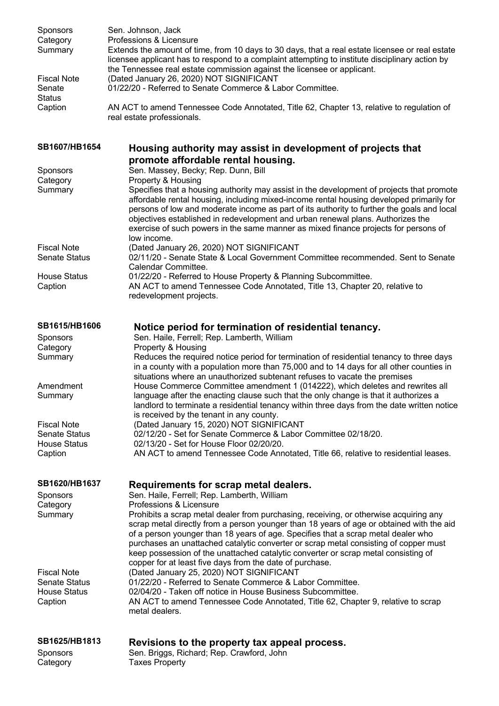| <b>Sponsors</b><br>Category<br>Summary<br><b>Fiscal Note</b><br>Senate<br><b>Status</b><br>Caption | Sen. Johnson, Jack<br>Professions & Licensure<br>Extends the amount of time, from 10 days to 30 days, that a real estate licensee or real estate<br>licensee applicant has to respond to a complaint attempting to institute disciplinary action by<br>the Tennessee real estate commission against the licensee or applicant.<br>(Dated January 26, 2020) NOT SIGNIFICANT<br>01/22/20 - Referred to Senate Commerce & Labor Committee.<br>AN ACT to amend Tennessee Code Annotated, Title 62, Chapter 13, relative to regulation of<br>real estate professionals.      |
|----------------------------------------------------------------------------------------------------|-------------------------------------------------------------------------------------------------------------------------------------------------------------------------------------------------------------------------------------------------------------------------------------------------------------------------------------------------------------------------------------------------------------------------------------------------------------------------------------------------------------------------------------------------------------------------|
| SB1607/HB1654                                                                                      | Housing authority may assist in development of projects that                                                                                                                                                                                                                                                                                                                                                                                                                                                                                                            |
| <b>Sponsors</b>                                                                                    | promote affordable rental housing.<br>Sen. Massey, Becky; Rep. Dunn, Bill                                                                                                                                                                                                                                                                                                                                                                                                                                                                                               |
| Category<br>Summary                                                                                | Property & Housing<br>Specifies that a housing authority may assist in the development of projects that promote<br>affordable rental housing, including mixed-income rental housing developed primarily for<br>persons of low and moderate income as part of its authority to further the goals and local<br>objectives established in redevelopment and urban renewal plans. Authorizes the<br>exercise of such powers in the same manner as mixed finance projects for persons of                                                                                     |
| <b>Fiscal Note</b><br><b>Senate Status</b>                                                         | low income.<br>(Dated January 26, 2020) NOT SIGNIFICANT<br>02/11/20 - Senate State & Local Government Committee recommended. Sent to Senate<br>Calendar Committee.                                                                                                                                                                                                                                                                                                                                                                                                      |
| <b>House Status</b><br>Caption                                                                     | 01/22/20 - Referred to House Property & Planning Subcommittee.<br>AN ACT to amend Tennessee Code Annotated, Title 13, Chapter 20, relative to<br>redevelopment projects.                                                                                                                                                                                                                                                                                                                                                                                                |
| SB1615/HB1606<br>Sponsors<br>Category<br>Summary                                                   | Notice period for termination of residential tenancy.<br>Sen. Haile, Ferrell; Rep. Lamberth, William<br>Property & Housing<br>Reduces the required notice period for termination of residential tenancy to three days<br>in a county with a population more than 75,000 and to 14 days for all other counties in                                                                                                                                                                                                                                                        |
| Amendment<br>Summary                                                                               | situations where an unauthorized subtenant refuses to vacate the premises<br>House Commerce Committee amendment 1 (014222), which deletes and rewrites all<br>language after the enacting clause such that the only change is that it authorizes a<br>landlord to terminate a residential tenancy within three days from the date written notice<br>is received by the tenant in any county.                                                                                                                                                                            |
| <b>Fiscal Note</b><br><b>Senate Status</b>                                                         | (Dated January 15, 2020) NOT SIGNIFICANT<br>02/12/20 - Set for Senate Commerce & Labor Committee 02/18/20.                                                                                                                                                                                                                                                                                                                                                                                                                                                              |
| <b>House Status</b><br>Caption                                                                     | 02/13/20 - Set for House Floor 02/20/20.<br>AN ACT to amend Tennessee Code Annotated, Title 66, relative to residential leases.                                                                                                                                                                                                                                                                                                                                                                                                                                         |
| SB1620/HB1637<br>Sponsors<br>Category<br>Summary                                                   | Requirements for scrap metal dealers.<br>Sen. Haile, Ferrell; Rep. Lamberth, William<br>Professions & Licensure<br>Prohibits a scrap metal dealer from purchasing, receiving, or otherwise acquiring any<br>scrap metal directly from a person younger than 18 years of age or obtained with the aid<br>of a person younger than 18 years of age. Specifies that a scrap metal dealer who<br>purchases an unattached catalytic converter or scrap metal consisting of copper must<br>keep possession of the unattached catalytic converter or scrap metal consisting of |
| <b>Fiscal Note</b><br><b>Senate Status</b><br><b>House Status</b><br>Caption                       | copper for at least five days from the date of purchase.<br>(Dated January 25, 2020) NOT SIGNIFICANT<br>01/22/20 - Referred to Senate Commerce & Labor Committee.<br>02/04/20 - Taken off notice in House Business Subcommittee.<br>AN ACT to amend Tennessee Code Annotated, Title 62, Chapter 9, relative to scrap<br>metal dealers.                                                                                                                                                                                                                                  |
| SB1625/HB1813<br>Sponsors                                                                          | Revisions to the property tax appeal process.<br>Sen. Briggs, Richard; Rep. Crawford, John                                                                                                                                                                                                                                                                                                                                                                                                                                                                              |

Category Taxes Property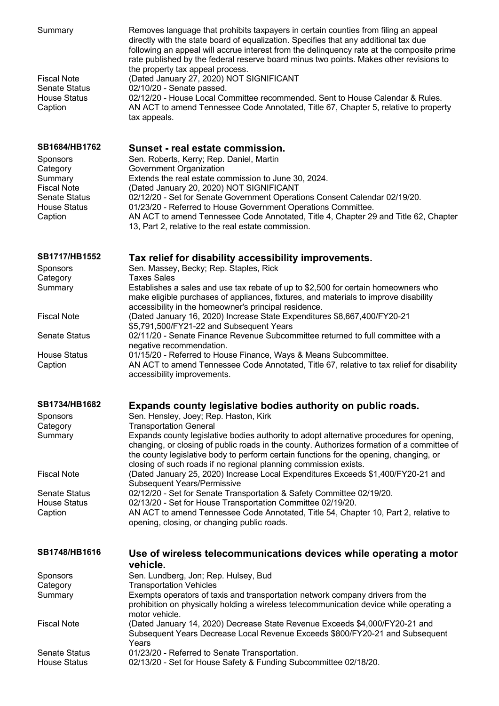| Summary<br><b>Fiscal Note</b><br><b>Senate Status</b> | Removes language that prohibits taxpayers in certain counties from filing an appeal<br>directly with the state board of equalization. Specifies that any additional tax due<br>following an appeal will accrue interest from the delinguency rate at the composite prime<br>rate published by the federal reserve board minus two points. Makes other revisions to<br>the property tax appeal process.<br>(Dated January 27, 2020) NOT SIGNIFICANT<br>02/10/20 - Senate passed. |
|-------------------------------------------------------|---------------------------------------------------------------------------------------------------------------------------------------------------------------------------------------------------------------------------------------------------------------------------------------------------------------------------------------------------------------------------------------------------------------------------------------------------------------------------------|
| <b>House Status</b><br>Caption                        | 02/12/20 - House Local Committee recommended. Sent to House Calendar & Rules.<br>AN ACT to amend Tennessee Code Annotated, Title 67, Chapter 5, relative to property<br>tax appeals.                                                                                                                                                                                                                                                                                            |
| SB1684/HB1762<br>Sponsors<br>Category                 | Sunset - real estate commission.<br>Sen. Roberts, Kerry; Rep. Daniel, Martin<br>Government Organization                                                                                                                                                                                                                                                                                                                                                                         |
| Summary                                               | Extends the real estate commission to June 30, 2024.                                                                                                                                                                                                                                                                                                                                                                                                                            |
| <b>Fiscal Note</b>                                    | (Dated January 20, 2020) NOT SIGNIFICANT                                                                                                                                                                                                                                                                                                                                                                                                                                        |
| <b>Senate Status</b><br><b>House Status</b>           | 02/12/20 - Set for Senate Government Operations Consent Calendar 02/19/20.<br>01/23/20 - Referred to House Government Operations Committee.                                                                                                                                                                                                                                                                                                                                     |
| Caption                                               | AN ACT to amend Tennessee Code Annotated, Title 4, Chapter 29 and Title 62, Chapter<br>13, Part 2, relative to the real estate commission.                                                                                                                                                                                                                                                                                                                                      |
| <b>SB1717/HB1552</b><br>Sponsors                      | Tax relief for disability accessibility improvements.<br>Sen. Massey, Becky; Rep. Staples, Rick                                                                                                                                                                                                                                                                                                                                                                                 |
| Category                                              | <b>Taxes Sales</b>                                                                                                                                                                                                                                                                                                                                                                                                                                                              |
| Summary                                               | Establishes a sales and use tax rebate of up to \$2,500 for certain homeowners who<br>make eligible purchases of appliances, fixtures, and materials to improve disability<br>accessibility in the homeowner's principal residence.                                                                                                                                                                                                                                             |
| <b>Fiscal Note</b>                                    | (Dated January 16, 2020) Increase State Expenditures \$8,667,400/FY20-21<br>\$5,791,500/FY21-22 and Subsequent Years                                                                                                                                                                                                                                                                                                                                                            |
| <b>Senate Status</b>                                  | 02/11/20 - Senate Finance Revenue Subcommittee returned to full committee with a<br>negative recommendation.                                                                                                                                                                                                                                                                                                                                                                    |
| <b>House Status</b><br>Caption                        | 01/15/20 - Referred to House Finance, Ways & Means Subcommittee.<br>AN ACT to amend Tennessee Code Annotated, Title 67, relative to tax relief for disability<br>accessibility improvements.                                                                                                                                                                                                                                                                                    |
| <b>SB1734/HB1682</b>                                  | Expands county legislative bodies authority on public roads.                                                                                                                                                                                                                                                                                                                                                                                                                    |
| <b>Sponsors</b>                                       | Sen. Hensley, Joey; Rep. Haston, Kirk                                                                                                                                                                                                                                                                                                                                                                                                                                           |
| Category<br>Summary                                   | <b>Transportation General</b><br>Expands county legislative bodies authority to adopt alternative procedures for opening,<br>changing, or closing of public roads in the county. Authorizes formation of a committee of<br>the county legislative body to perform certain functions for the opening, changing, or<br>closing of such roads if no regional planning commission exists.                                                                                           |
| <b>Fiscal Note</b>                                    | (Dated January 25, 2020) Increase Local Expenditures Exceeds \$1,400/FY20-21 and<br>Subsequent Years/Permissive                                                                                                                                                                                                                                                                                                                                                                 |
| <b>Senate Status</b>                                  | 02/12/20 - Set for Senate Transportation & Safety Committee 02/19/20.                                                                                                                                                                                                                                                                                                                                                                                                           |
| <b>House Status</b>                                   | 02/13/20 - Set for House Transportation Committee 02/19/20.<br>AN ACT to amend Tennessee Code Annotated, Title 54, Chapter 10, Part 2, relative to                                                                                                                                                                                                                                                                                                                              |
| Caption                                               | opening, closing, or changing public roads.                                                                                                                                                                                                                                                                                                                                                                                                                                     |
| SB1748/HB1616                                         | Use of wireless telecommunications devices while operating a motor<br>vehicle.                                                                                                                                                                                                                                                                                                                                                                                                  |
| <b>Sponsors</b>                                       | Sen. Lundberg, Jon; Rep. Hulsey, Bud                                                                                                                                                                                                                                                                                                                                                                                                                                            |
| Category<br>Summary                                   | <b>Transportation Vehicles</b><br>Exempts operators of taxis and transportation network company drivers from the<br>prohibition on physically holding a wireless telecommunication device while operating a                                                                                                                                                                                                                                                                     |
| <b>Fiscal Note</b>                                    | motor vehicle.<br>(Dated January 14, 2020) Decrease State Revenue Exceeds \$4,000/FY20-21 and<br>Subsequent Years Decrease Local Revenue Exceeds \$800/FY20-21 and Subsequent                                                                                                                                                                                                                                                                                                   |
| <b>Senate Status</b><br><b>House Status</b>           | Years<br>01/23/20 - Referred to Senate Transportation.<br>02/13/20 - Set for House Safety & Funding Subcommittee 02/18/20.                                                                                                                                                                                                                                                                                                                                                      |
|                                                       |                                                                                                                                                                                                                                                                                                                                                                                                                                                                                 |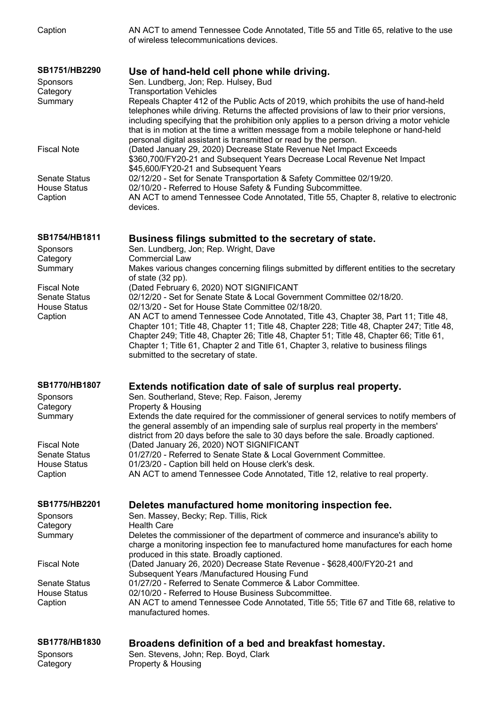| SB1778/HB1830<br>Sponsors      | Broadens definition of a bed and breakfast homestay.<br>Sen. Stevens, John; Rep. Boyd, Clark                                                                                                                                                                                                                                                        |
|--------------------------------|-----------------------------------------------------------------------------------------------------------------------------------------------------------------------------------------------------------------------------------------------------------------------------------------------------------------------------------------------------|
| <b>House Status</b><br>Caption | 02/10/20 - Referred to House Business Subcommittee.<br>AN ACT to amend Tennessee Code Annotated, Title 55; Title 67 and Title 68, relative to<br>manufactured homes.                                                                                                                                                                                |
| <b>Senate Status</b>           | Subsequent Years /Manufactured Housing Fund<br>01/27/20 - Referred to Senate Commerce & Labor Committee.                                                                                                                                                                                                                                            |
| <b>Fiscal Note</b>             | charge a monitoring inspection fee to manufactured home manufactures for each home<br>produced in this state. Broadly captioned.<br>(Dated January 26, 2020) Decrease State Revenue - \$628,400/FY20-21 and                                                                                                                                         |
| Summary                        | Deletes the commissioner of the department of commerce and insurance's ability to                                                                                                                                                                                                                                                                   |
| Category                       | <b>Health Care</b>                                                                                                                                                                                                                                                                                                                                  |
| Sponsors                       | Sen. Massey, Becky; Rep. Tillis, Rick                                                                                                                                                                                                                                                                                                               |
| <b>SB1775/HB2201</b>           | Deletes manufactured home monitoring inspection fee.                                                                                                                                                                                                                                                                                                |
| <b>House Status</b><br>Caption | 01/23/20 - Caption bill held on House clerk's desk.<br>AN ACT to amend Tennessee Code Annotated, Title 12, relative to real property.                                                                                                                                                                                                               |
| <b>Senate Status</b>           | 01/27/20 - Referred to Senate State & Local Government Committee.                                                                                                                                                                                                                                                                                   |
| <b>Fiscal Note</b>             | the general assembly of an impending sale of surplus real property in the members'<br>district from 20 days before the sale to 30 days before the sale. Broadly captioned.<br>(Dated January 26, 2020) NOT SIGNIFICANT                                                                                                                              |
| Summary                        | Extends the date required for the commissioner of general services to notify members of                                                                                                                                                                                                                                                             |
| Sponsors<br>Category           | Sen. Southerland, Steve; Rep. Faison, Jeremy<br>Property & Housing                                                                                                                                                                                                                                                                                  |
| SB1770/HB1807                  | Extends notification date of sale of surplus real property.                                                                                                                                                                                                                                                                                         |
|                                | submitted to the secretary of state.                                                                                                                                                                                                                                                                                                                |
|                                | Chapter 101; Title 48, Chapter 11; Title 48, Chapter 228; Title 48, Chapter 247; Title 48,<br>Chapter 249; Title 48, Chapter 26; Title 48, Chapter 51; Title 48, Chapter 66; Title 61,<br>Chapter 1; Title 61, Chapter 2 and Title 61, Chapter 3, relative to business filings                                                                      |
| <b>House Status</b><br>Caption | 02/13/20 - Set for House State Committee 02/18/20.<br>AN ACT to amend Tennessee Code Annotated, Title 43, Chapter 38, Part 11; Title 48,                                                                                                                                                                                                            |
| <b>Senate Status</b>           | 02/12/20 - Set for Senate State & Local Government Committee 02/18/20.                                                                                                                                                                                                                                                                              |
| <b>Fiscal Note</b>             | of state (32 pp).<br>(Dated February 6, 2020) NOT SIGNIFICANT                                                                                                                                                                                                                                                                                       |
| Summary                        | Makes various changes concerning filings submitted by different entities to the secretary                                                                                                                                                                                                                                                           |
| Category                       | <b>Commercial Law</b>                                                                                                                                                                                                                                                                                                                               |
| SB1754/HB1811<br>Sponsors      | Business filings submitted to the secretary of state.<br>Sen. Lundberg, Jon; Rep. Wright, Dave                                                                                                                                                                                                                                                      |
| Caption                        | devices.                                                                                                                                                                                                                                                                                                                                            |
| <b>House Status</b>            | 02/10/20 - Referred to House Safety & Funding Subcommittee.<br>AN ACT to amend Tennessee Code Annotated, Title 55, Chapter 8, relative to electronic                                                                                                                                                                                                |
| <b>Senate Status</b>           | \$45,600/FY20-21 and Subsequent Years<br>02/12/20 - Set for Senate Transportation & Safety Committee 02/19/20.                                                                                                                                                                                                                                      |
| <b>Fiscal Note</b>             | (Dated January 29, 2020) Decrease State Revenue Net Impact Exceeds<br>\$360,700/FY20-21 and Subsequent Years Decrease Local Revenue Net Impact                                                                                                                                                                                                      |
|                                | telephones while driving. Returns the affected provisions of law to their prior versions,<br>including specifying that the prohibition only applies to a person driving a motor vehicle<br>that is in motion at the time a written message from a mobile telephone or hand-held<br>personal digital assistant is transmitted or read by the person. |
| Summary                        | Repeals Chapter 412 of the Public Acts of 2019, which prohibits the use of hand-held                                                                                                                                                                                                                                                                |
| Sponsors<br>Category           | Sen. Lundberg, Jon; Rep. Hulsey, Bud<br><b>Transportation Vehicles</b>                                                                                                                                                                                                                                                                              |
| SB1751/HB2290                  | Use of hand-held cell phone while driving.                                                                                                                                                                                                                                                                                                          |
|                                |                                                                                                                                                                                                                                                                                                                                                     |
| Caption                        | of wireless telecommunications devices.                                                                                                                                                                                                                                                                                                             |
|                                | AN ACT to amend Tennessee Code Annotated, Title 55 and Title 65, relative to the use                                                                                                                                                                                                                                                                |

Category **Property & Housing**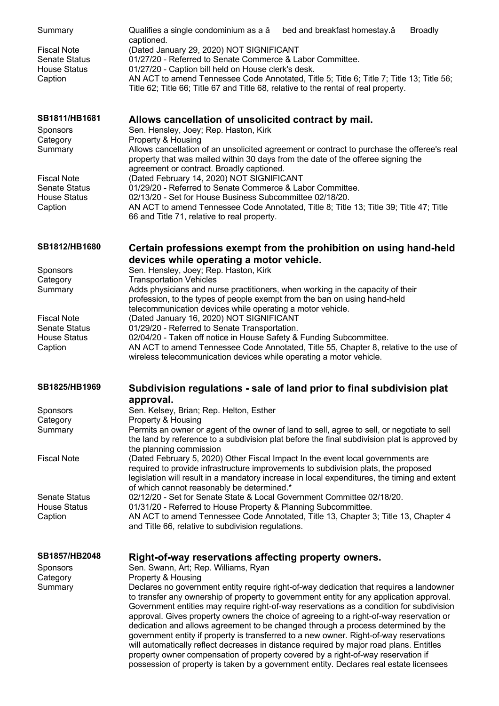| Summary                                    | Qualifies a single condominium as a â<br>bed and breakfast homestay.â<br><b>Broadly</b>                                                                                                                                |
|--------------------------------------------|------------------------------------------------------------------------------------------------------------------------------------------------------------------------------------------------------------------------|
| <b>Fiscal Note</b><br><b>Senate Status</b> | captioned.<br>(Dated January 29, 2020) NOT SIGNIFICANT<br>01/27/20 - Referred to Senate Commerce & Labor Committee.                                                                                                    |
| <b>House Status</b>                        | 01/27/20 - Caption bill held on House clerk's desk.                                                                                                                                                                    |
| Caption                                    | AN ACT to amend Tennessee Code Annotated, Title 5; Title 6; Title 7; Title 13; Title 56;                                                                                                                               |
|                                            | Title 62; Title 66; Title 67 and Title 68, relative to the rental of real property.                                                                                                                                    |
| SB1811/HB1681                              | Allows cancellation of unsolicited contract by mail.<br>Sen. Hensley, Joey; Rep. Haston, Kirk                                                                                                                          |
| Sponsors<br>Category                       | Property & Housing                                                                                                                                                                                                     |
| Summary                                    | Allows cancellation of an unsolicited agreement or contract to purchase the offeree's real                                                                                                                             |
|                                            | property that was mailed within 30 days from the date of the offeree signing the<br>agreement or contract. Broadly captioned.                                                                                          |
| <b>Fiscal Note</b>                         | (Dated February 14, 2020) NOT SIGNIFICANT                                                                                                                                                                              |
| <b>Senate Status</b>                       | 01/29/20 - Referred to Senate Commerce & Labor Committee.                                                                                                                                                              |
| <b>House Status</b>                        | 02/13/20 - Set for House Business Subcommittee 02/18/20.                                                                                                                                                               |
| Caption                                    | AN ACT to amend Tennessee Code Annotated, Title 8; Title 13; Title 39; Title 47; Title<br>66 and Title 71, relative to real property.                                                                                  |
| SB1812/HB1680                              | Certain professions exempt from the prohibition on using hand-held                                                                                                                                                     |
|                                            | devices while operating a motor vehicle.                                                                                                                                                                               |
| Sponsors                                   | Sen. Hensley, Joey; Rep. Haston, Kirk                                                                                                                                                                                  |
| Category                                   | <b>Transportation Vehicles</b>                                                                                                                                                                                         |
| Summary                                    | Adds physicians and nurse practitioners, when working in the capacity of their<br>profession, to the types of people exempt from the ban on using hand-held                                                            |
|                                            | telecommunication devices while operating a motor vehicle.                                                                                                                                                             |
| <b>Fiscal Note</b>                         | (Dated January 16, 2020) NOT SIGNIFICANT                                                                                                                                                                               |
| <b>Senate Status</b>                       | 01/29/20 - Referred to Senate Transportation.                                                                                                                                                                          |
| <b>House Status</b>                        | 02/04/20 - Taken off notice in House Safety & Funding Subcommittee.                                                                                                                                                    |
| Caption                                    | AN ACT to amend Tennessee Code Annotated, Title 55, Chapter 8, relative to the use of                                                                                                                                  |
|                                            | wireless telecommunication devices while operating a motor vehicle.                                                                                                                                                    |
| SB1825/HB1969                              | Subdivision regulations - sale of land prior to final subdivision plat                                                                                                                                                 |
|                                            | approval.                                                                                                                                                                                                              |
| Sponsors                                   | Sen. Kelsey, Brian; Rep. Helton, Esther                                                                                                                                                                                |
| Category                                   | Property & Housing                                                                                                                                                                                                     |
| Summary                                    | Permits an owner or agent of the owner of land to sell, agree to sell, or negotiate to sell<br>the land by reference to a subdivision plat before the final subdivision plat is approved by<br>the planning commission |
| <b>Fiscal Note</b>                         | (Dated February 5, 2020) Other Fiscal Impact In the event local governments are                                                                                                                                        |
|                                            | required to provide infrastructure improvements to subdivision plats, the proposed<br>legislation will result in a mandatory increase in local expenditures, the timing and extent                                     |
|                                            | of which cannot reasonably be determined.*                                                                                                                                                                             |
| <b>Senate Status</b>                       | 02/12/20 - Set for Senate State & Local Government Committee 02/18/20.                                                                                                                                                 |
| <b>House Status</b>                        | 01/31/20 - Referred to House Property & Planning Subcommittee.                                                                                                                                                         |
| Caption                                    | AN ACT to amend Tennessee Code Annotated, Title 13, Chapter 3; Title 13, Chapter 4<br>and Title 66, relative to subdivision regulations.                                                                               |
| <b>SB1857/HB2048</b>                       | Right-of-way reservations affecting property owners.                                                                                                                                                                   |
| Sponsors                                   | Sen. Swann, Art; Rep. Williams, Ryan                                                                                                                                                                                   |
| Category                                   | Property & Housing                                                                                                                                                                                                     |
| Summary                                    | Declares no government entity require right-of-way dedication that requires a landowner                                                                                                                                |
|                                            | to transfer any ownership of property to government entity for any application approval.                                                                                                                               |
|                                            | Government entities may require right-of-way reservations as a condition for subdivision                                                                                                                               |
|                                            | approval. Gives property owners the choice of agreeing to a right-of-way reservation or<br>dedication and allows agreement to be changed through a process determined by the                                           |
|                                            | government entity if property is transferred to a new owner. Right-of-way reservations                                                                                                                                 |
|                                            | will automatically reflect decreases in distance required by major road plans. Entitles                                                                                                                                |
|                                            | property owner compensation of property covered by a right-of-way reservation if                                                                                                                                       |
|                                            | possession of property is taken by a government entity. Declares real estate licensees                                                                                                                                 |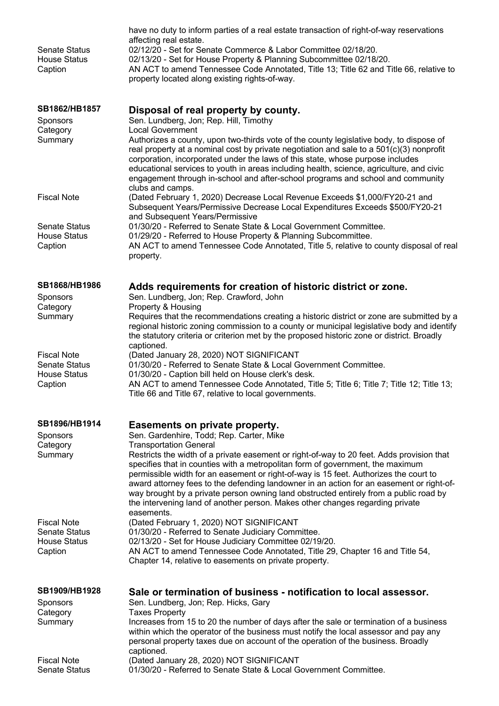| <b>Senate Status</b><br><b>House Status</b><br>Caption                       | have no duty to inform parties of a real estate transaction of right-of-way reservations<br>affecting real estate.<br>02/12/20 - Set for Senate Commerce & Labor Committee 02/18/20.<br>02/13/20 - Set for House Property & Planning Subcommittee 02/18/20.<br>AN ACT to amend Tennessee Code Annotated, Title 13; Title 62 and Title 66, relative to<br>property located along existing rights-of-way.                                                                                                                                                                                   |
|------------------------------------------------------------------------------|-------------------------------------------------------------------------------------------------------------------------------------------------------------------------------------------------------------------------------------------------------------------------------------------------------------------------------------------------------------------------------------------------------------------------------------------------------------------------------------------------------------------------------------------------------------------------------------------|
| SB1862/HB1857<br><b>Sponsors</b><br>Category<br>Summary                      | Disposal of real property by county.<br>Sen. Lundberg, Jon; Rep. Hill, Timothy<br><b>Local Government</b><br>Authorizes a county, upon two-thirds vote of the county legislative body, to dispose of<br>real property at a nominal cost by private negotiation and sale to a 501(c)(3) nonprofit                                                                                                                                                                                                                                                                                          |
|                                                                              | corporation, incorporated under the laws of this state, whose purpose includes<br>educational services to youth in areas including health, science, agriculture, and civic<br>engagement through in-school and after-school programs and school and community<br>clubs and camps.                                                                                                                                                                                                                                                                                                         |
| <b>Fiscal Note</b>                                                           | (Dated February 1, 2020) Decrease Local Revenue Exceeds \$1,000/FY20-21 and<br>Subsequent Years/Permissive Decrease Local Expenditures Exceeds \$500/FY20-21<br>and Subsequent Years/Permissive                                                                                                                                                                                                                                                                                                                                                                                           |
| <b>Senate Status</b><br><b>House Status</b><br>Caption                       | 01/30/20 - Referred to Senate State & Local Government Committee.<br>01/29/20 - Referred to House Property & Planning Subcommittee.<br>AN ACT to amend Tennessee Code Annotated, Title 5, relative to county disposal of real                                                                                                                                                                                                                                                                                                                                                             |
|                                                                              | property.                                                                                                                                                                                                                                                                                                                                                                                                                                                                                                                                                                                 |
| SB1868/HB1986<br>Sponsors<br>Category                                        | Adds requirements for creation of historic district or zone.<br>Sen. Lundberg, Jon; Rep. Crawford, John<br>Property & Housing                                                                                                                                                                                                                                                                                                                                                                                                                                                             |
| Summary                                                                      | Requires that the recommendations creating a historic district or zone are submitted by a<br>regional historic zoning commission to a county or municipal legislative body and identify<br>the statutory criteria or criterion met by the proposed historic zone or district. Broadly<br>captioned.                                                                                                                                                                                                                                                                                       |
| <b>Fiscal Note</b><br><b>Senate Status</b><br><b>House Status</b>            | (Dated January 28, 2020) NOT SIGNIFICANT<br>01/30/20 - Referred to Senate State & Local Government Committee.<br>01/30/20 - Caption bill held on House clerk's desk.                                                                                                                                                                                                                                                                                                                                                                                                                      |
| Caption                                                                      | AN ACT to amend Tennessee Code Annotated, Title 5; Title 6; Title 7; Title 12; Title 13;<br>Title 66 and Title 67, relative to local governments.                                                                                                                                                                                                                                                                                                                                                                                                                                         |
| SB1896/HB1914<br>Sponsors                                                    | Easements on private property.<br>Sen. Gardenhire, Todd; Rep. Carter, Mike                                                                                                                                                                                                                                                                                                                                                                                                                                                                                                                |
| Category<br>Summary                                                          | <b>Transportation General</b><br>Restricts the width of a private easement or right-of-way to 20 feet. Adds provision that<br>specifies that in counties with a metropolitan form of government, the maximum<br>permissible width for an easement or right-of-way is 15 feet. Authorizes the court to<br>award attorney fees to the defending landowner in an action for an easement or right-of-<br>way brought by a private person owning land obstructed entirely from a public road by<br>the intervening land of another person. Makes other changes regarding private<br>easements. |
| <b>Fiscal Note</b><br><b>Senate Status</b><br><b>House Status</b><br>Caption | (Dated February 1, 2020) NOT SIGNIFICANT<br>01/30/20 - Referred to Senate Judiciary Committee.<br>02/13/20 - Set for House Judiciary Committee 02/19/20.<br>AN ACT to amend Tennessee Code Annotated, Title 29, Chapter 16 and Title 54,                                                                                                                                                                                                                                                                                                                                                  |
|                                                                              | Chapter 14, relative to easements on private property.                                                                                                                                                                                                                                                                                                                                                                                                                                                                                                                                    |
| SB1909/HB1928<br>Sponsors<br>Category                                        | Sale or termination of business - notification to local assessor.<br>Sen. Lundberg, Jon; Rep. Hicks, Gary<br><b>Taxes Property</b>                                                                                                                                                                                                                                                                                                                                                                                                                                                        |
| Summary                                                                      | Increases from 15 to 20 the number of days after the sale or termination of a business<br>within which the operator of the business must notify the local assessor and pay any<br>personal property taxes due on account of the operation of the business. Broadly<br>captioned.                                                                                                                                                                                                                                                                                                          |
| <b>Fiscal Note</b><br><b>Senate Status</b>                                   | (Dated January 28, 2020) NOT SIGNIFICANT<br>01/30/20 - Referred to Senate State & Local Government Committee.                                                                                                                                                                                                                                                                                                                                                                                                                                                                             |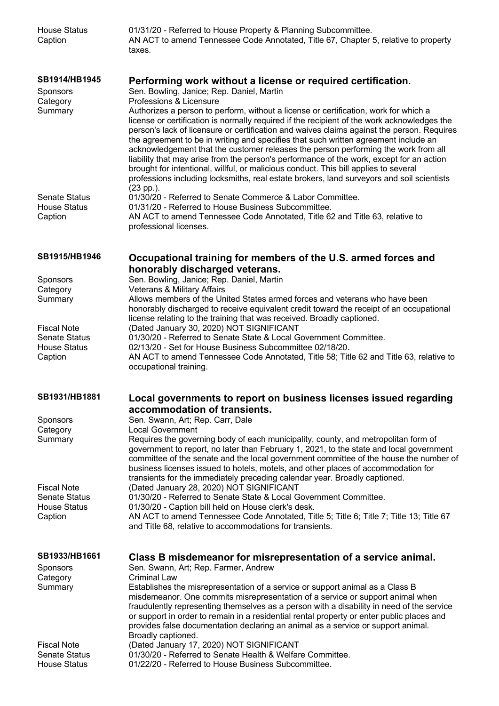| <b>House Status</b><br>Caption                          | 01/31/20 - Referred to House Property & Planning Subcommittee.<br>AN ACT to amend Tennessee Code Annotated, Title 67, Chapter 5, relative to property<br>taxes.                                                                                                                                                                                                                                                                                                           |
|---------------------------------------------------------|---------------------------------------------------------------------------------------------------------------------------------------------------------------------------------------------------------------------------------------------------------------------------------------------------------------------------------------------------------------------------------------------------------------------------------------------------------------------------|
| <b>SB1914/HB1945</b><br>Sponsors<br>Category<br>Summary | Performing work without a license or required certification.<br>Sen. Bowling, Janice; Rep. Daniel, Martin<br>Professions & Licensure<br>Authorizes a person to perform, without a license or certification, work for which a<br>license or certification is normally required if the recipient of the work acknowledges the<br>person's lack of licensure or certification and waives claims against the person. Requires                                                 |
|                                                         | the agreement to be in writing and specifies that such written agreement include an<br>acknowledgement that the customer releases the person performing the work from all<br>liability that may arise from the person's performance of the work, except for an action<br>brought for intentional, willful, or malicious conduct. This bill applies to several<br>professions including locksmiths, real estate brokers, land surveyors and soil scientists<br>$(23$ pp.). |
| <b>Senate Status</b><br><b>House Status</b><br>Caption  | 01/30/20 - Referred to Senate Commerce & Labor Committee.<br>01/31/20 - Referred to House Business Subcommittee.<br>AN ACT to amend Tennessee Code Annotated, Title 62 and Title 63, relative to<br>professional licenses.                                                                                                                                                                                                                                                |
| SB1915/HB1946                                           | Occupational training for members of the U.S. armed forces and                                                                                                                                                                                                                                                                                                                                                                                                            |
| Sponsors                                                | honorably discharged veterans.<br>Sen. Bowling, Janice; Rep. Daniel, Martin                                                                                                                                                                                                                                                                                                                                                                                               |
| Category                                                | Veterans & Military Affairs                                                                                                                                                                                                                                                                                                                                                                                                                                               |
| Summary                                                 | Allows members of the United States armed forces and veterans who have been<br>honorably discharged to receive equivalent credit toward the receipt of an occupational<br>license relating to the training that was received. Broadly captioned.                                                                                                                                                                                                                          |
| <b>Fiscal Note</b>                                      | (Dated January 30, 2020) NOT SIGNIFICANT                                                                                                                                                                                                                                                                                                                                                                                                                                  |
| <b>Senate Status</b><br><b>House Status</b>             | 01/30/20 - Referred to Senate State & Local Government Committee.<br>02/13/20 - Set for House Business Subcommittee 02/18/20.                                                                                                                                                                                                                                                                                                                                             |
| Caption                                                 | AN ACT to amend Tennessee Code Annotated, Title 58; Title 62 and Title 63, relative to<br>occupational training.                                                                                                                                                                                                                                                                                                                                                          |
| SB1931/HB1881                                           | Local governments to report on business licenses issued regarding<br>accommodation of transients.                                                                                                                                                                                                                                                                                                                                                                         |
| Sponsors                                                | Sen. Swann, Art; Rep. Carr, Dale                                                                                                                                                                                                                                                                                                                                                                                                                                          |
| Category<br>Summary                                     | <b>Local Government</b><br>Requires the governing body of each municipality, county, and metropolitan form of<br>government to report, no later than February 1, 2021, to the state and local government<br>committee of the senate and the local government committee of the house the number of                                                                                                                                                                         |
|                                                         | business licenses issued to hotels, motels, and other places of accommodation for<br>transients for the immediately preceding calendar year. Broadly captioned.                                                                                                                                                                                                                                                                                                           |
| <b>Fiscal Note</b><br><b>Senate Status</b>              | (Dated January 28, 2020) NOT SIGNIFICANT<br>01/30/20 - Referred to Senate State & Local Government Committee.                                                                                                                                                                                                                                                                                                                                                             |
| <b>House Status</b>                                     | 01/30/20 - Caption bill held on House clerk's desk.                                                                                                                                                                                                                                                                                                                                                                                                                       |
| Caption                                                 | AN ACT to amend Tennessee Code Annotated, Title 5; Title 6; Title 7; Title 13; Title 67<br>and Title 68, relative to accommodations for transients.                                                                                                                                                                                                                                                                                                                       |
| SB1933/HB1661                                           | Class B misdemeanor for misrepresentation of a service animal.                                                                                                                                                                                                                                                                                                                                                                                                            |
| <b>Sponsors</b><br>Category                             | Sen. Swann, Art; Rep. Farmer, Andrew<br><b>Criminal Law</b>                                                                                                                                                                                                                                                                                                                                                                                                               |
| Summary                                                 | Establishes the misrepresentation of a service or support animal as a Class B                                                                                                                                                                                                                                                                                                                                                                                             |
|                                                         | misdemeanor. One commits misrepresentation of a service or support animal when<br>fraudulently representing themselves as a person with a disability in need of the service<br>or support in order to remain in a residential rental property or enter public places and<br>provides false documentation declaring an animal as a service or support animal.                                                                                                              |
| <b>Fiscal Note</b>                                      | Broadly captioned.<br>(Dated January 17, 2020) NOT SIGNIFICANT                                                                                                                                                                                                                                                                                                                                                                                                            |
| <b>Senate Status</b>                                    | 01/30/20 - Referred to Senate Health & Welfare Committee.                                                                                                                                                                                                                                                                                                                                                                                                                 |
| <b>House Status</b>                                     | 01/22/20 - Referred to House Business Subcommittee.                                                                                                                                                                                                                                                                                                                                                                                                                       |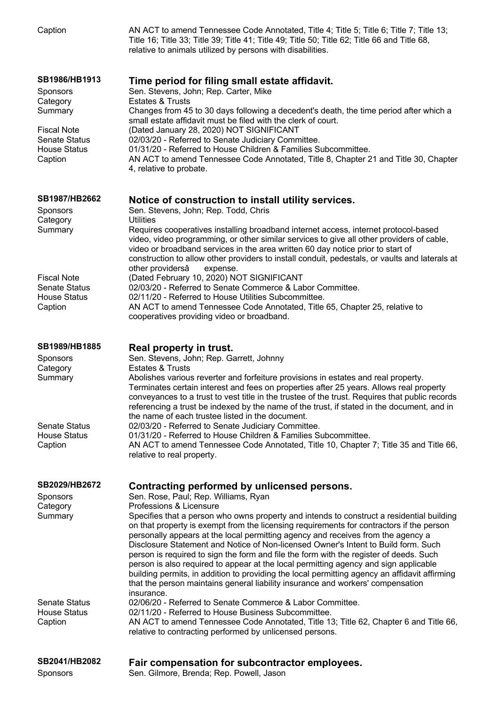| Caption                                                                                                                                 | AN ACT to amend Tennessee Code Annotated, Title 4; Title 5; Title 6; Title 7; Title 13;<br>Title 16; Title 33; Title 39; Title 41; Title 49; Title 50; Title 62; Title 66 and Title 68,<br>relative to animals utilized by persons with disabilities.                                                                                                                                                                                                                                                                                                                                                                                                                                                                                                                                                                                                                  |
|-----------------------------------------------------------------------------------------------------------------------------------------|------------------------------------------------------------------------------------------------------------------------------------------------------------------------------------------------------------------------------------------------------------------------------------------------------------------------------------------------------------------------------------------------------------------------------------------------------------------------------------------------------------------------------------------------------------------------------------------------------------------------------------------------------------------------------------------------------------------------------------------------------------------------------------------------------------------------------------------------------------------------|
| SB1986/HB1913<br><b>Sponsors</b><br>Category<br>Summary<br><b>Fiscal Note</b><br><b>Senate Status</b><br><b>House Status</b><br>Caption | Time period for filing small estate affidavit.<br>Sen. Stevens, John; Rep. Carter, Mike<br><b>Estates &amp; Trusts</b><br>Changes from 45 to 30 days following a decedent's death, the time period after which a<br>small estate affidavit must be filed with the clerk of court.<br>(Dated January 28, 2020) NOT SIGNIFICANT<br>02/03/20 - Referred to Senate Judiciary Committee.<br>01/31/20 - Referred to House Children & Families Subcommittee.<br>AN ACT to amend Tennessee Code Annotated, Title 8, Chapter 21 and Title 30, Chapter<br>4, relative to probate.                                                                                                                                                                                                                                                                                                |
| <b>SB1987/HB2662</b><br><b>Sponsors</b><br>Category<br>Summary                                                                          | Notice of construction to install utility services.<br>Sen. Stevens, John; Rep. Todd, Chris<br><b>Utilities</b><br>Requires cooperatives installing broadband internet access, internet protocol-based<br>video, video programming, or other similar services to give all other providers of cable,<br>video or broadband services in the area written 60 day notice prior to start of<br>construction to allow other providers to install conduit, pedestals, or vaults and laterals at<br>other providersâ<br>expense.                                                                                                                                                                                                                                                                                                                                               |
| <b>Fiscal Note</b><br><b>Senate Status</b><br><b>House Status</b><br>Caption                                                            | (Dated February 10, 2020) NOT SIGNIFICANT<br>02/03/20 - Referred to Senate Commerce & Labor Committee.<br>02/11/20 - Referred to House Utilities Subcommittee.<br>AN ACT to amend Tennessee Code Annotated, Title 65, Chapter 25, relative to<br>cooperatives providing video or broadband.                                                                                                                                                                                                                                                                                                                                                                                                                                                                                                                                                                            |
| SB1989/HB1885<br><b>Sponsors</b><br>Category<br>Summary                                                                                 | Real property in trust.<br>Sen. Stevens, John; Rep. Garrett, Johnny<br><b>Estates &amp; Trusts</b><br>Abolishes various reverter and forfeiture provisions in estates and real property.<br>Terminates certain interest and fees on properties after 25 years. Allows real property<br>conveyances to a trust to vest title in the trustee of the trust. Requires that public records<br>referencing a trust be indexed by the name of the trust, if stated in the document, and in                                                                                                                                                                                                                                                                                                                                                                                    |
| <b>Senate Status</b><br><b>House Status</b><br>Caption                                                                                  | the name of each trustee listed in the document.<br>02/03/20 - Referred to Senate Judiciary Committee.<br>01/31/20 - Referred to House Children & Families Subcommittee.<br>AN ACT to amend Tennessee Code Annotated, Title 10, Chapter 7; Title 35 and Title 66,<br>relative to real property.                                                                                                                                                                                                                                                                                                                                                                                                                                                                                                                                                                        |
| SB2029/HB2672<br><b>Sponsors</b><br>Category<br>Summary                                                                                 | Contracting performed by unlicensed persons.<br>Sen. Rose, Paul; Rep. Williams, Ryan<br>Professions & Licensure<br>Specifies that a person who owns property and intends to construct a residential building<br>on that property is exempt from the licensing requirements for contractors if the person<br>personally appears at the local permitting agency and receives from the agency a<br>Disclosure Statement and Notice of Non-licensed Owner's Intent to Build form. Such<br>person is required to sign the form and file the form with the register of deeds. Such<br>person is also required to appear at the local permitting agency and sign applicable<br>building permits, in addition to providing the local permitting agency an affidavit affirming<br>that the person maintains general liability insurance and workers' compensation<br>insurance. |
| <b>Senate Status</b><br><b>House Status</b><br>Caption                                                                                  | 02/06/20 - Referred to Senate Commerce & Labor Committee.<br>02/11/20 - Referred to House Business Subcommittee.<br>AN ACT to amend Tennessee Code Annotated, Title 13; Title 62, Chapter 6 and Title 66,<br>relative to contracting performed by unlicensed persons.                                                                                                                                                                                                                                                                                                                                                                                                                                                                                                                                                                                                  |
| SB2041/HB2082<br>Sponsors                                                                                                               | Fair compensation for subcontractor employees.<br>Sen. Gilmore, Brenda; Rep. Powell, Jason                                                                                                                                                                                                                                                                                                                                                                                                                                                                                                                                                                                                                                                                                                                                                                             |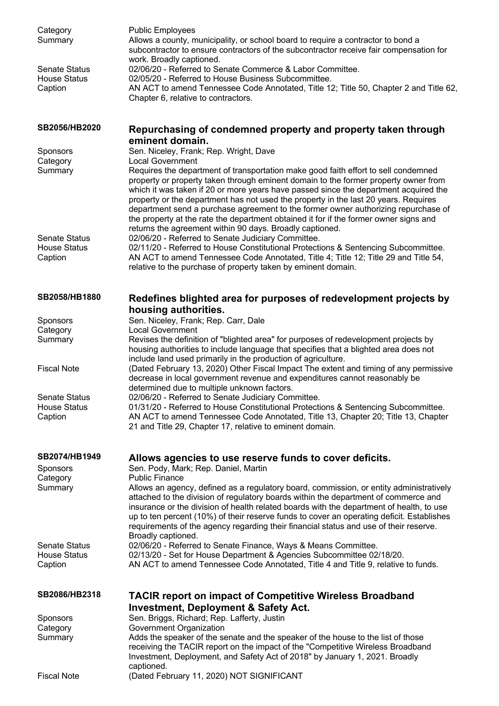| Category<br>Summary<br><b>Senate Status</b> | <b>Public Employees</b><br>Allows a county, municipality, or school board to require a contractor to bond a<br>subcontractor to ensure contractors of the subcontractor receive fair compensation for<br>work. Broadly captioned.<br>02/06/20 - Referred to Senate Commerce & Labor Committee.                                                                                                                                                                                                                                                                                                                                 |
|---------------------------------------------|--------------------------------------------------------------------------------------------------------------------------------------------------------------------------------------------------------------------------------------------------------------------------------------------------------------------------------------------------------------------------------------------------------------------------------------------------------------------------------------------------------------------------------------------------------------------------------------------------------------------------------|
| <b>House Status</b><br>Caption              | 02/05/20 - Referred to House Business Subcommittee.<br>AN ACT to amend Tennessee Code Annotated, Title 12; Title 50, Chapter 2 and Title 62,<br>Chapter 6, relative to contractors.                                                                                                                                                                                                                                                                                                                                                                                                                                            |
| SB2056/HB2020                               | Repurchasing of condemned property and property taken through<br>eminent domain.                                                                                                                                                                                                                                                                                                                                                                                                                                                                                                                                               |
| Sponsors                                    | Sen. Niceley, Frank; Rep. Wright, Dave                                                                                                                                                                                                                                                                                                                                                                                                                                                                                                                                                                                         |
| Category<br>Summary                         | <b>Local Government</b><br>Requires the department of transportation make good faith effort to sell condemned<br>property or property taken through eminent domain to the former property owner from<br>which it was taken if 20 or more years have passed since the department acquired the<br>property or the department has not used the property in the last 20 years. Requires<br>department send a purchase agreement to the former owner authorizing repurchase of<br>the property at the rate the department obtained it for if the former owner signs and<br>returns the agreement within 90 days. Broadly captioned. |
| <b>Senate Status</b>                        | 02/06/20 - Referred to Senate Judiciary Committee.                                                                                                                                                                                                                                                                                                                                                                                                                                                                                                                                                                             |
| <b>House Status</b><br>Caption              | 02/11/20 - Referred to House Constitutional Protections & Sentencing Subcommittee.<br>AN ACT to amend Tennessee Code Annotated, Title 4; Title 12; Title 29 and Title 54,<br>relative to the purchase of property taken by eminent domain.                                                                                                                                                                                                                                                                                                                                                                                     |
| SB2058/HB1880                               | Redefines blighted area for purposes of redevelopment projects by<br>housing authorities.                                                                                                                                                                                                                                                                                                                                                                                                                                                                                                                                      |
| Sponsors                                    | Sen. Niceley, Frank; Rep. Carr, Dale                                                                                                                                                                                                                                                                                                                                                                                                                                                                                                                                                                                           |
| Category                                    | <b>Local Government</b>                                                                                                                                                                                                                                                                                                                                                                                                                                                                                                                                                                                                        |
| Summary                                     | Revises the definition of "blighted area" for purposes of redevelopment projects by<br>housing authorities to include language that specifies that a blighted area does not<br>include land used primarily in the production of agriculture.                                                                                                                                                                                                                                                                                                                                                                                   |
| <b>Fiscal Note</b>                          | (Dated February 13, 2020) Other Fiscal Impact The extent and timing of any permissive<br>decrease in local government revenue and expenditures cannot reasonably be<br>determined due to multiple unknown factors.                                                                                                                                                                                                                                                                                                                                                                                                             |
| Senate Status                               | 02/06/20 - Referred to Senate Judiciary Committee.                                                                                                                                                                                                                                                                                                                                                                                                                                                                                                                                                                             |
| <b>House Status</b><br>Caption              | 01/31/20 - Referred to House Constitutional Protections & Sentencing Subcommittee.<br>AN ACT to amend Tennessee Code Annotated, Title 13, Chapter 20; Title 13, Chapter<br>21 and Title 29, Chapter 17, relative to eminent domain.                                                                                                                                                                                                                                                                                                                                                                                            |
| SB2074/HB1949                               | Allows agencies to use reserve funds to cover deficits.                                                                                                                                                                                                                                                                                                                                                                                                                                                                                                                                                                        |
| Sponsors<br>Category                        | Sen. Pody, Mark; Rep. Daniel, Martin<br><b>Public Finance</b>                                                                                                                                                                                                                                                                                                                                                                                                                                                                                                                                                                  |
| Summary                                     | Allows an agency, defined as a regulatory board, commission, or entity administratively<br>attached to the division of regulatory boards within the department of commerce and<br>insurance or the division of health related boards with the department of health, to use<br>up to ten percent (10%) of their reserve funds to cover an operating deficit. Establishes<br>requirements of the agency regarding their financial status and use of their reserve.<br>Broadly captioned.                                                                                                                                         |
| <b>Senate Status</b>                        | 02/06/20 - Referred to Senate Finance, Ways & Means Committee.                                                                                                                                                                                                                                                                                                                                                                                                                                                                                                                                                                 |
| <b>House Status</b><br>Caption              | 02/13/20 - Set for House Department & Agencies Subcommittee 02/18/20.<br>AN ACT to amend Tennessee Code Annotated, Title 4 and Title 9, relative to funds.                                                                                                                                                                                                                                                                                                                                                                                                                                                                     |
| SB2086/HB2318                               | <b>TACIR report on impact of Competitive Wireless Broadband</b><br><b>Investment, Deployment &amp; Safety Act.</b>                                                                                                                                                                                                                                                                                                                                                                                                                                                                                                             |
| <b>Sponsors</b>                             | Sen. Briggs, Richard; Rep. Lafferty, Justin                                                                                                                                                                                                                                                                                                                                                                                                                                                                                                                                                                                    |
| Category<br>Summary                         | Government Organization<br>Adds the speaker of the senate and the speaker of the house to the list of those<br>receiving the TACIR report on the impact of the "Competitive Wireless Broadband<br>Investment, Deployment, and Safety Act of 2018" by January 1, 2021. Broadly<br>captioned.                                                                                                                                                                                                                                                                                                                                    |
| <b>Fiscal Note</b>                          | (Dated February 11, 2020) NOT SIGNIFICANT                                                                                                                                                                                                                                                                                                                                                                                                                                                                                                                                                                                      |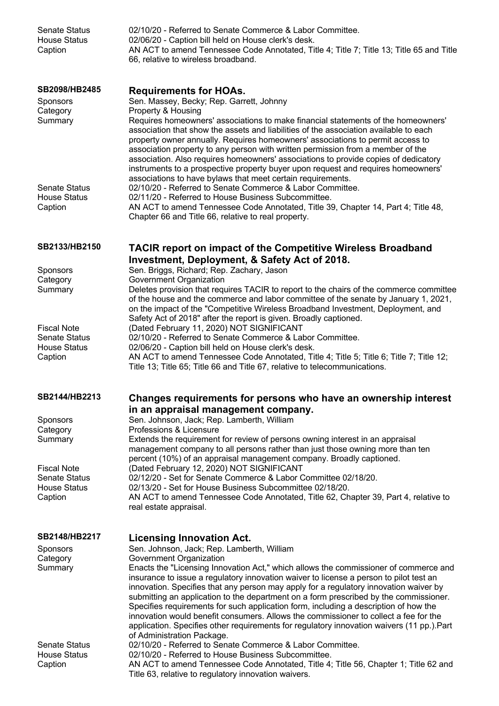| <b>Senate Status</b><br><b>House Status</b><br>Caption                       | 02/10/20 - Referred to Senate Commerce & Labor Committee.<br>02/06/20 - Caption bill held on House clerk's desk.<br>AN ACT to amend Tennessee Code Annotated, Title 4; Title 7; Title 13; Title 65 and Title<br>66, relative to wireless broadband.                                                                                                                                                                                                                                                                                                                                                                                                                                                                                                   |
|------------------------------------------------------------------------------|-------------------------------------------------------------------------------------------------------------------------------------------------------------------------------------------------------------------------------------------------------------------------------------------------------------------------------------------------------------------------------------------------------------------------------------------------------------------------------------------------------------------------------------------------------------------------------------------------------------------------------------------------------------------------------------------------------------------------------------------------------|
| SB2098/HB2485<br>Sponsors<br>Category<br>Summary                             | <b>Requirements for HOAs.</b><br>Sen. Massey, Becky; Rep. Garrett, Johnny<br>Property & Housing<br>Requires homeowners' associations to make financial statements of the homeowners'<br>association that show the assets and liabilities of the association available to each<br>property owner annually. Requires homeowners' associations to permit access to<br>association property to any person with written permission from a member of the<br>association. Also requires homeowners' associations to provide copies of dedicatory<br>instruments to a prospective property buyer upon request and requires homeowners'                                                                                                                        |
| <b>Senate Status</b><br><b>House Status</b><br>Caption                       | associations to have bylaws that meet certain requirements.<br>02/10/20 - Referred to Senate Commerce & Labor Committee.<br>02/11/20 - Referred to House Business Subcommittee.<br>AN ACT to amend Tennessee Code Annotated, Title 39, Chapter 14, Part 4; Title 48,<br>Chapter 66 and Title 66, relative to real property.                                                                                                                                                                                                                                                                                                                                                                                                                           |
| SB2133/HB2150                                                                | <b>TACIR report on impact of the Competitive Wireless Broadband</b><br>Investment, Deployment, & Safety Act of 2018.                                                                                                                                                                                                                                                                                                                                                                                                                                                                                                                                                                                                                                  |
| Sponsors<br>Category<br>Summary                                              | Sen. Briggs, Richard; Rep. Zachary, Jason<br>Government Organization<br>Deletes provision that requires TACIR to report to the chairs of the commerce committee<br>of the house and the commerce and labor committee of the senate by January 1, 2021,<br>on the impact of the "Competitive Wireless Broadband Investment, Deployment, and<br>Safety Act of 2018" after the report is given. Broadly captioned.                                                                                                                                                                                                                                                                                                                                       |
| <b>Fiscal Note</b><br><b>Senate Status</b><br><b>House Status</b><br>Caption | (Dated February 11, 2020) NOT SIGNIFICANT<br>02/10/20 - Referred to Senate Commerce & Labor Committee.<br>02/06/20 - Caption bill held on House clerk's desk.<br>AN ACT to amend Tennessee Code Annotated, Title 4; Title 5; Title 6; Title 7; Title 12;<br>Title 13; Title 65; Title 66 and Title 67, relative to telecommunications.                                                                                                                                                                                                                                                                                                                                                                                                                |
| SB2144/HB2213                                                                | Changes requirements for persons who have an ownership interest<br>in an appraisal management company.                                                                                                                                                                                                                                                                                                                                                                                                                                                                                                                                                                                                                                                |
| Sponsors                                                                     | Sen. Johnson, Jack; Rep. Lamberth, William                                                                                                                                                                                                                                                                                                                                                                                                                                                                                                                                                                                                                                                                                                            |
| Category<br>Summary                                                          | Professions & Licensure<br>Extends the requirement for review of persons owning interest in an appraisal<br>management company to all persons rather than just those owning more than ten<br>percent (10%) of an appraisal management company. Broadly captioned.                                                                                                                                                                                                                                                                                                                                                                                                                                                                                     |
| <b>Fiscal Note</b><br><b>Senate Status</b><br><b>House Status</b>            | (Dated February 12, 2020) NOT SIGNIFICANT<br>02/12/20 - Set for Senate Commerce & Labor Committee 02/18/20.<br>02/13/20 - Set for House Business Subcommittee 02/18/20.                                                                                                                                                                                                                                                                                                                                                                                                                                                                                                                                                                               |
| Caption                                                                      | AN ACT to amend Tennessee Code Annotated, Title 62, Chapter 39, Part 4, relative to<br>real estate appraisal.                                                                                                                                                                                                                                                                                                                                                                                                                                                                                                                                                                                                                                         |
| SB2148/HB2217                                                                | <b>Licensing Innovation Act.</b>                                                                                                                                                                                                                                                                                                                                                                                                                                                                                                                                                                                                                                                                                                                      |
| Sponsors<br>Category<br>Summary                                              | Sen. Johnson, Jack; Rep. Lamberth, William<br>Government Organization<br>Enacts the "Licensing Innovation Act," which allows the commissioner of commerce and<br>insurance to issue a regulatory innovation waiver to license a person to pilot test an<br>innovation. Specifies that any person may apply for a regulatory innovation waiver by<br>submitting an application to the department on a form prescribed by the commissioner.<br>Specifies requirements for such application form, including a description of how the<br>innovation would benefit consumers. Allows the commissioner to collect a fee for the<br>application. Specifies other requirements for regulatory innovation waivers (11 pp.). Part<br>of Administration Package. |
| <b>Senate Status</b><br><b>House Status</b><br>Caption                       | 02/10/20 - Referred to Senate Commerce & Labor Committee.<br>02/10/20 - Referred to House Business Subcommittee.<br>AN ACT to amend Tennessee Code Annotated, Title 4; Title 56, Chapter 1; Title 62 and<br>Title 63, relative to regulatory innovation waivers.                                                                                                                                                                                                                                                                                                                                                                                                                                                                                      |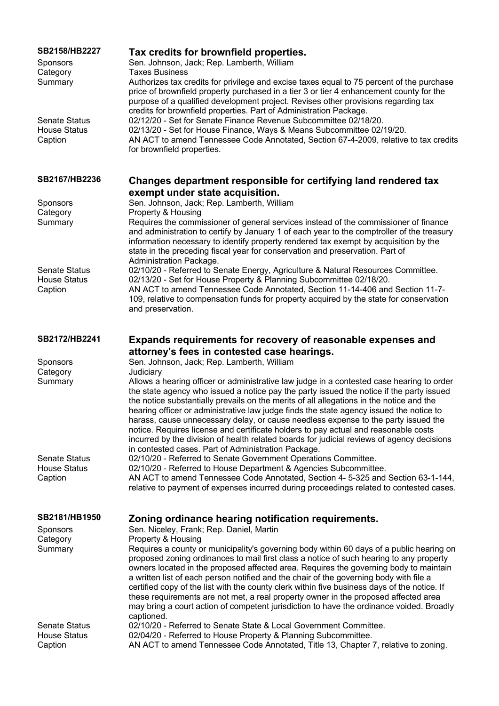| <b>SB2158/HB2227</b><br>Sponsors<br>Category<br>Summary | Tax credits for brownfield properties.<br>Sen. Johnson, Jack; Rep. Lamberth, William<br><b>Taxes Business</b><br>Authorizes tax credits for privilege and excise taxes equal to 75 percent of the purchase<br>price of brownfield property purchased in a tier 3 or tier 4 enhancement county for the<br>purpose of a qualified development project. Revises other provisions regarding tax                                                                                                                                                                                                                                                                                                                    |
|---------------------------------------------------------|----------------------------------------------------------------------------------------------------------------------------------------------------------------------------------------------------------------------------------------------------------------------------------------------------------------------------------------------------------------------------------------------------------------------------------------------------------------------------------------------------------------------------------------------------------------------------------------------------------------------------------------------------------------------------------------------------------------|
| <b>Senate Status</b><br><b>House Status</b><br>Caption  | credits for brownfield properties. Part of Administration Package.<br>02/12/20 - Set for Senate Finance Revenue Subcommittee 02/18/20.<br>02/13/20 - Set for House Finance, Ways & Means Subcommittee 02/19/20.<br>AN ACT to amend Tennessee Code Annotated, Section 67-4-2009, relative to tax credits<br>for brownfield properties.                                                                                                                                                                                                                                                                                                                                                                          |
| SB2167/HB2236                                           | Changes department responsible for certifying land rendered tax<br>exempt under state acquisition.                                                                                                                                                                                                                                                                                                                                                                                                                                                                                                                                                                                                             |
| Sponsors                                                | Sen. Johnson, Jack; Rep. Lamberth, William                                                                                                                                                                                                                                                                                                                                                                                                                                                                                                                                                                                                                                                                     |
| Category<br>Summary                                     | Property & Housing<br>Requires the commissioner of general services instead of the commissioner of finance                                                                                                                                                                                                                                                                                                                                                                                                                                                                                                                                                                                                     |
|                                                         | and administration to certify by January 1 of each year to the comptroller of the treasury<br>information necessary to identify property rendered tax exempt by acquisition by the<br>state in the preceding fiscal year for conservation and preservation. Part of<br>Administration Package.                                                                                                                                                                                                                                                                                                                                                                                                                 |
| <b>Senate Status</b>                                    | 02/10/20 - Referred to Senate Energy, Agriculture & Natural Resources Committee.                                                                                                                                                                                                                                                                                                                                                                                                                                                                                                                                                                                                                               |
| <b>House Status</b><br>Caption                          | 02/13/20 - Set for House Property & Planning Subcommittee 02/18/20.<br>AN ACT to amend Tennessee Code Annotated, Section 11-14-406 and Section 11-7-<br>109, relative to compensation funds for property acquired by the state for conservation<br>and preservation.                                                                                                                                                                                                                                                                                                                                                                                                                                           |
| SB2172/HB2241                                           | Expands requirements for recovery of reasonable expenses and                                                                                                                                                                                                                                                                                                                                                                                                                                                                                                                                                                                                                                                   |
|                                                         | attorney's fees in contested case hearings.<br>Sen. Johnson, Jack; Rep. Lamberth, William                                                                                                                                                                                                                                                                                                                                                                                                                                                                                                                                                                                                                      |
| Sponsors<br>Category                                    | Judiciary                                                                                                                                                                                                                                                                                                                                                                                                                                                                                                                                                                                                                                                                                                      |
| Summary                                                 | Allows a hearing officer or administrative law judge in a contested case hearing to order<br>the state agency who issued a notice pay the party issued the notice if the party issued<br>the notice substantially prevails on the merits of all allegations in the notice and the<br>hearing officer or administrative law judge finds the state agency issued the notice to<br>harass, cause unnecessary delay, or cause needless expense to the party issued the<br>notice. Requires license and certificate holders to pay actual and reasonable costs<br>incurred by the division of health related boards for judicial reviews of agency decisions<br>in contested cases. Part of Administration Package. |
| <b>Senate Status</b>                                    | 02/10/20 - Referred to Senate Government Operations Committee.                                                                                                                                                                                                                                                                                                                                                                                                                                                                                                                                                                                                                                                 |
| <b>House Status</b>                                     | 02/10/20 - Referred to House Department & Agencies Subcommittee.                                                                                                                                                                                                                                                                                                                                                                                                                                                                                                                                                                                                                                               |
| Caption                                                 | AN ACT to amend Tennessee Code Annotated, Section 4- 5-325 and Section 63-1-144,<br>relative to payment of expenses incurred during proceedings related to contested cases.                                                                                                                                                                                                                                                                                                                                                                                                                                                                                                                                    |
| SB2181/HB1950                                           | Zoning ordinance hearing notification requirements.                                                                                                                                                                                                                                                                                                                                                                                                                                                                                                                                                                                                                                                            |
| Sponsors                                                | Sen. Niceley, Frank; Rep. Daniel, Martin                                                                                                                                                                                                                                                                                                                                                                                                                                                                                                                                                                                                                                                                       |
| Category<br>Summary                                     | Property & Housing<br>Requires a county or municipality's governing body within 60 days of a public hearing on<br>proposed zoning ordinances to mail first class a notice of such hearing to any property<br>owners located in the proposed affected area. Requires the governing body to maintain<br>a written list of each person notified and the chair of the governing body with file a<br>certified copy of the list with the county clerk within five business days of the notice. If<br>these requirements are not met, a real property owner in the proposed affected area<br>may bring a court action of competent jurisdiction to have the ordinance voided. Broadly                                |
| <b>Senate Status</b>                                    | captioned.<br>02/10/20 - Referred to Senate State & Local Government Committee.                                                                                                                                                                                                                                                                                                                                                                                                                                                                                                                                                                                                                                |
| <b>House Status</b><br>Caption                          | 02/04/20 - Referred to House Property & Planning Subcommittee.<br>AN ACT to amend Tennessee Code Annotated, Title 13, Chapter 7, relative to zoning.                                                                                                                                                                                                                                                                                                                                                                                                                                                                                                                                                           |
|                                                         |                                                                                                                                                                                                                                                                                                                                                                                                                                                                                                                                                                                                                                                                                                                |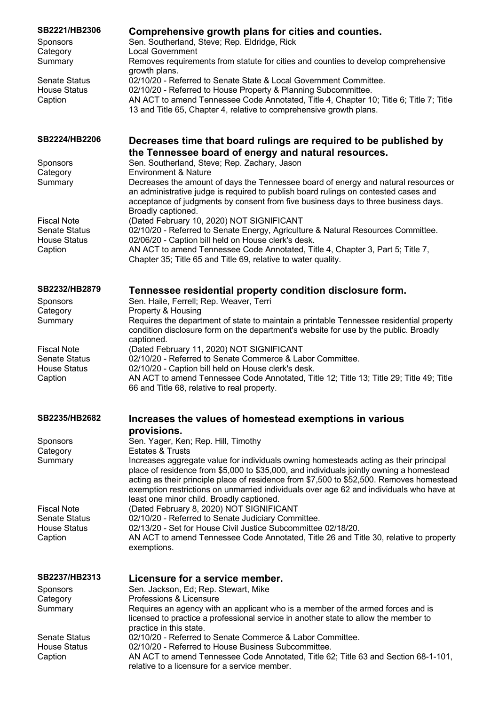| SB2221/HB2306                               | Comprehensive growth plans for cities and counties.<br>Sen. Southerland, Steve; Rep. Eldridge, Rick                                                                                                                                                                          |
|---------------------------------------------|------------------------------------------------------------------------------------------------------------------------------------------------------------------------------------------------------------------------------------------------------------------------------|
| Sponsors<br>Category                        | <b>Local Government</b>                                                                                                                                                                                                                                                      |
| Summary                                     | Removes requirements from statute for cities and counties to develop comprehensive<br>growth plans.                                                                                                                                                                          |
| <b>Senate Status</b><br><b>House Status</b> | 02/10/20 - Referred to Senate State & Local Government Committee.<br>02/10/20 - Referred to House Property & Planning Subcommittee.                                                                                                                                          |
| Caption                                     | AN ACT to amend Tennessee Code Annotated, Title 4, Chapter 10; Title 6; Title 7; Title<br>13 and Title 65, Chapter 4, relative to comprehensive growth plans.                                                                                                                |
| SB2224/HB2206                               | Decreases time that board rulings are required to be published by                                                                                                                                                                                                            |
| Sponsors                                    | the Tennessee board of energy and natural resources.<br>Sen. Southerland, Steve; Rep. Zachary, Jason                                                                                                                                                                         |
| Category<br>Summary                         | <b>Environment &amp; Nature</b><br>Decreases the amount of days the Tennessee board of energy and natural resources or                                                                                                                                                       |
|                                             | an administrative judge is required to publish board rulings on contested cases and<br>acceptance of judgments by consent from five business days to three business days.<br>Broadly captioned.                                                                              |
| <b>Fiscal Note</b>                          | (Dated February 10, 2020) NOT SIGNIFICANT                                                                                                                                                                                                                                    |
| <b>Senate Status</b><br><b>House Status</b> | 02/10/20 - Referred to Senate Energy, Agriculture & Natural Resources Committee.<br>02/06/20 - Caption bill held on House clerk's desk.                                                                                                                                      |
| Caption                                     | AN ACT to amend Tennessee Code Annotated, Title 4, Chapter 3, Part 5; Title 7,<br>Chapter 35; Title 65 and Title 69, relative to water quality.                                                                                                                              |
| SB2232/HB2879                               | Tennessee residential property condition disclosure form.                                                                                                                                                                                                                    |
| <b>Sponsors</b>                             | Sen. Haile, Ferrell; Rep. Weaver, Terri                                                                                                                                                                                                                                      |
| Category<br>Summary                         | Property & Housing<br>Requires the department of state to maintain a printable Tennessee residential property                                                                                                                                                                |
|                                             | condition disclosure form on the department's website for use by the public. Broadly<br>captioned.                                                                                                                                                                           |
| <b>Fiscal Note</b>                          | (Dated February 11, 2020) NOT SIGNIFICANT                                                                                                                                                                                                                                    |
| <b>Senate Status</b><br><b>House Status</b> | 02/10/20 - Referred to Senate Commerce & Labor Committee.<br>02/10/20 - Caption bill held on House clerk's desk.                                                                                                                                                             |
| Caption                                     | AN ACT to amend Tennessee Code Annotated, Title 12; Title 13; Title 29; Title 49; Title<br>66 and Title 68, relative to real property.                                                                                                                                       |
| SB2235/HB2682                               | Increases the values of homestead exemptions in various                                                                                                                                                                                                                      |
|                                             | provisions.                                                                                                                                                                                                                                                                  |
| Sponsors<br>Category                        | Sen. Yager, Ken; Rep. Hill, Timothy<br><b>Estates &amp; Trusts</b>                                                                                                                                                                                                           |
| Summary                                     | Increases aggregate value for individuals owning homesteads acting as their principal<br>place of residence from \$5,000 to \$35,000, and individuals jointly owning a homestead<br>acting as their principle place of residence from \$7,500 to \$52,500. Removes homestead |
|                                             | exemption restrictions on unmarried individuals over age 62 and individuals who have at<br>least one minor child. Broadly captioned.                                                                                                                                         |
| <b>Fiscal Note</b>                          | (Dated February 8, 2020) NOT SIGNIFICANT                                                                                                                                                                                                                                     |
| <b>Senate Status</b><br><b>House Status</b> | 02/10/20 - Referred to Senate Judiciary Committee.<br>02/13/20 - Set for House Civil Justice Subcommittee 02/18/20.                                                                                                                                                          |
| Caption                                     | AN ACT to amend Tennessee Code Annotated, Title 26 and Title 30, relative to property<br>exemptions.                                                                                                                                                                         |
| <b>SB2237/HB2313</b>                        | Licensure for a service member.                                                                                                                                                                                                                                              |
| Sponsors                                    | Sen. Jackson, Ed; Rep. Stewart, Mike                                                                                                                                                                                                                                         |
| Category<br>Summary                         | Professions & Licensure<br>Requires an agency with an applicant who is a member of the armed forces and is                                                                                                                                                                   |
|                                             | licensed to practice a professional service in another state to allow the member to                                                                                                                                                                                          |
| <b>Senate Status</b>                        | practice in this state.<br>02/10/20 - Referred to Senate Commerce & Labor Committee.                                                                                                                                                                                         |
| <b>House Status</b>                         | 02/10/20 - Referred to House Business Subcommittee.                                                                                                                                                                                                                          |
| Caption                                     | AN ACT to amend Tennessee Code Annotated, Title 62; Title 63 and Section 68-1-101,<br>relative to a licensure for a service member.                                                                                                                                          |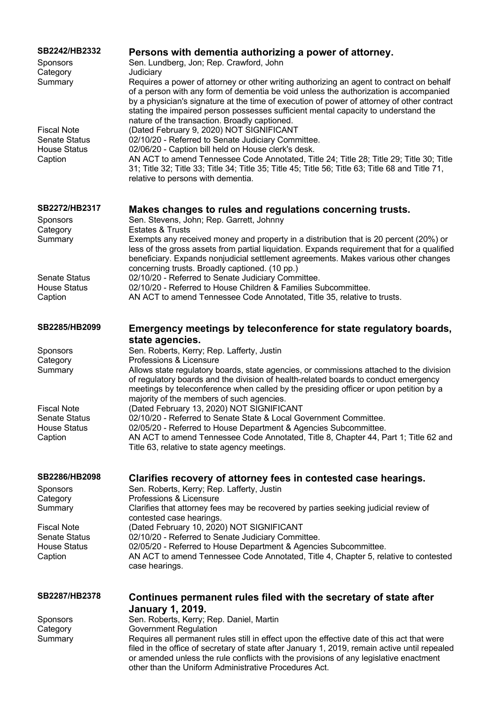| SB2242/HB2332<br><b>Sponsors</b><br>Category | Persons with dementia authorizing a power of attorney.<br>Sen. Lundberg, Jon; Rep. Crawford, John<br>Judiciary                                                                                                                                                                                                                                                                                                         |
|----------------------------------------------|------------------------------------------------------------------------------------------------------------------------------------------------------------------------------------------------------------------------------------------------------------------------------------------------------------------------------------------------------------------------------------------------------------------------|
| Summary                                      | Requires a power of attorney or other writing authorizing an agent to contract on behalf<br>of a person with any form of dementia be void unless the authorization is accompanied<br>by a physician's signature at the time of execution of power of attorney of other contract<br>stating the impaired person possesses sufficient mental capacity to understand the<br>nature of the transaction. Broadly captioned. |
| <b>Fiscal Note</b>                           | (Dated February 9, 2020) NOT SIGNIFICANT                                                                                                                                                                                                                                                                                                                                                                               |
| <b>Senate Status</b><br><b>House Status</b>  | 02/10/20 - Referred to Senate Judiciary Committee.<br>02/06/20 - Caption bill held on House clerk's desk.                                                                                                                                                                                                                                                                                                              |
| Caption                                      | AN ACT to amend Tennessee Code Annotated, Title 24; Title 28; Title 29; Title 30; Title<br>31; Title 32; Title 33; Title 34; Title 35; Title 45; Title 56; Title 63; Title 68 and Title 71,<br>relative to persons with dementia.                                                                                                                                                                                      |
| SB2272/HB2317                                | Makes changes to rules and regulations concerning trusts.                                                                                                                                                                                                                                                                                                                                                              |
| Sponsors<br>Category                         | Sen. Stevens, John; Rep. Garrett, Johnny<br><b>Estates &amp; Trusts</b>                                                                                                                                                                                                                                                                                                                                                |
| Summary                                      | Exempts any received money and property in a distribution that is 20 percent (20%) or<br>less of the gross assets from partial liquidation. Expands requirement that for a qualified<br>beneficiary. Expands nonjudicial settlement agreements. Makes various other changes<br>concerning trusts. Broadly captioned. (10 pp.)                                                                                          |
| <b>Senate Status</b>                         | 02/10/20 - Referred to Senate Judiciary Committee.                                                                                                                                                                                                                                                                                                                                                                     |
| <b>House Status</b><br>Caption               | 02/10/20 - Referred to House Children & Families Subcommittee.<br>AN ACT to amend Tennessee Code Annotated, Title 35, relative to trusts.                                                                                                                                                                                                                                                                              |
| SB2285/HB2099                                | Emergency meetings by teleconference for state regulatory boards,<br>state agencies.                                                                                                                                                                                                                                                                                                                                   |
| Sponsors                                     | Sen. Roberts, Kerry; Rep. Lafferty, Justin                                                                                                                                                                                                                                                                                                                                                                             |
| Category<br>Summary                          | Professions & Licensure<br>Allows state regulatory boards, state agencies, or commissions attached to the division                                                                                                                                                                                                                                                                                                     |
|                                              | of regulatory boards and the division of health-related boards to conduct emergency<br>meetings by teleconference when called by the presiding officer or upon petition by a<br>majority of the members of such agencies.                                                                                                                                                                                              |
| <b>Fiscal Note</b><br>Senate Status          | (Dated February 13, 2020) NOT SIGNIFICANT<br>02/10/20 - Referred to Senate State & Local Government Committee                                                                                                                                                                                                                                                                                                          |
| <b>House Status</b>                          | 02/05/20 - Referred to House Department & Agencies Subcommittee.                                                                                                                                                                                                                                                                                                                                                       |
| Caption                                      | AN ACT to amend Tennessee Code Annotated, Title 8, Chapter 44, Part 1; Title 62 and<br>Title 63, relative to state agency meetings.                                                                                                                                                                                                                                                                                    |
| SB2286/HB2098<br>Sponsors                    | Clarifies recovery of attorney fees in contested case hearings.<br>Sen. Roberts, Kerry; Rep. Lafferty, Justin                                                                                                                                                                                                                                                                                                          |
| Category                                     | Professions & Licensure                                                                                                                                                                                                                                                                                                                                                                                                |
| Summary                                      | Clarifies that attorney fees may be recovered by parties seeking judicial review of<br>contested case hearings.                                                                                                                                                                                                                                                                                                        |
| <b>Fiscal Note</b>                           | (Dated February 10, 2020) NOT SIGNIFICANT                                                                                                                                                                                                                                                                                                                                                                              |
| Senate Status<br><b>House Status</b>         | 02/10/20 - Referred to Senate Judiciary Committee.<br>02/05/20 - Referred to House Department & Agencies Subcommittee.                                                                                                                                                                                                                                                                                                 |
| Caption                                      | AN ACT to amend Tennessee Code Annotated, Title 4, Chapter 5, relative to contested<br>case hearings.                                                                                                                                                                                                                                                                                                                  |
| SB2287/HB2378                                | Continues permanent rules filed with the secretary of state after                                                                                                                                                                                                                                                                                                                                                      |
| Sponsors                                     | <b>January 1, 2019.</b><br>Sen. Roberts, Kerry; Rep. Daniel, Martin                                                                                                                                                                                                                                                                                                                                                    |
| Category                                     | <b>Government Regulation</b>                                                                                                                                                                                                                                                                                                                                                                                           |
| Summary                                      | Requires all permanent rules still in effect upon the effective date of this act that were<br>filed in the office of secretary of state after January 1, 2019, remain active until repealed<br>or amended unless the rule conflicts with the provisions of any legislative enactment<br>other than the Uniform Administrative Procedures Act.                                                                          |
|                                              |                                                                                                                                                                                                                                                                                                                                                                                                                        |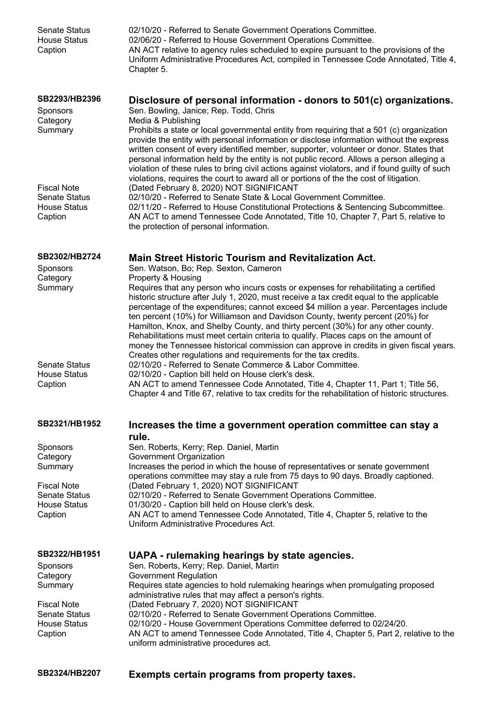| <b>Senate Status</b><br><b>House Status</b><br>Caption                       | 02/10/20 - Referred to Senate Government Operations Committee.<br>02/06/20 - Referred to House Government Operations Committee.<br>AN ACT relative to agency rules scheduled to expire pursuant to the provisions of the<br>Uniform Administrative Procedures Act, compiled in Tennessee Code Annotated, Title 4,<br>Chapter 5.                                                                                                                                                                                                                                                                                                                                                                                                                                      |
|------------------------------------------------------------------------------|----------------------------------------------------------------------------------------------------------------------------------------------------------------------------------------------------------------------------------------------------------------------------------------------------------------------------------------------------------------------------------------------------------------------------------------------------------------------------------------------------------------------------------------------------------------------------------------------------------------------------------------------------------------------------------------------------------------------------------------------------------------------|
| SB2293/HB2396<br><b>Sponsors</b><br>Category<br>Summary                      | Disclosure of personal information - donors to 501(c) organizations.<br>Sen. Bowling, Janice; Rep. Todd, Chris<br>Media & Publishing<br>Prohibits a state or local governmental entity from requiring that a 501 (c) organization<br>provide the entity with personal information or disclose information without the express<br>written consent of every identified member, supporter, volunteer or donor. States that<br>personal information held by the entity is not public record. Allows a person alleging a<br>violation of these rules to bring civil actions against violators, and if found guilty of such                                                                                                                                                |
| <b>Fiscal Note</b><br><b>Senate Status</b><br><b>House Status</b><br>Caption | violations, requires the court to award all or portions of the the cost of litigation.<br>(Dated February 8, 2020) NOT SIGNIFICANT<br>02/10/20 - Referred to Senate State & Local Government Committee.<br>02/11/20 - Referred to House Constitutional Protections & Sentencing Subcommittee.<br>AN ACT to amend Tennessee Code Annotated, Title 10, Chapter 7, Part 5, relative to<br>the protection of personal information.                                                                                                                                                                                                                                                                                                                                       |
| SB2302/HB2724                                                                | <b>Main Street Historic Tourism and Revitalization Act.</b>                                                                                                                                                                                                                                                                                                                                                                                                                                                                                                                                                                                                                                                                                                          |
| Sponsors<br>Category<br>Summary                                              | Sen. Watson, Bo; Rep. Sexton, Cameron<br>Property & Housing<br>Requires that any person who incurs costs or expenses for rehabilitating a certified<br>historic structure after July 1, 2020, must receive a tax credit equal to the applicable<br>percentage of the expenditures; cannot exceed \$4 million a year. Percentages include<br>ten percent (10%) for Williamson and Davidson County, twenty percent (20%) for<br>Hamilton, Knox, and Shelby County, and thirty percent (30%) for any other county.<br>Rehabilitations must meet certain criteria to qualify. Places caps on the amount of<br>money the Tennessee historical commission can approve in credits in given fiscal years.<br>Creates other regulations and requirements for the tax credits. |
| <b>Senate Status</b><br><b>House Status</b><br>Caption                       | 02/10/20 - Referred to Senate Commerce & Labor Committee.<br>02/10/20 - Caption bill held on House clerk's desk.<br>AN ACT to amend Tennessee Code Annotated, Title 4, Chapter 11, Part 1; Title 56,<br>Chapter 4 and Title 67, relative to tax credits for the rehabilitation of historic structures.                                                                                                                                                                                                                                                                                                                                                                                                                                                               |
| SB2321/HB1952                                                                | Increases the time a government operation committee can stay a<br>rule.                                                                                                                                                                                                                                                                                                                                                                                                                                                                                                                                                                                                                                                                                              |
| <b>Sponsors</b>                                                              | Sen. Roberts, Kerry; Rep. Daniel, Martin<br>Government Organization                                                                                                                                                                                                                                                                                                                                                                                                                                                                                                                                                                                                                                                                                                  |
| Category<br>Summary                                                          | Increases the period in which the house of representatives or senate government<br>operations committee may stay a rule from 75 days to 90 days. Broadly captioned.                                                                                                                                                                                                                                                                                                                                                                                                                                                                                                                                                                                                  |
| <b>Fiscal Note</b><br><b>Senate Status</b>                                   | (Dated February 1, 2020) NOT SIGNIFICANT<br>02/10/20 - Referred to Senate Government Operations Committee.                                                                                                                                                                                                                                                                                                                                                                                                                                                                                                                                                                                                                                                           |
| <b>House Status</b><br>Caption                                               | 01/30/20 - Caption bill held on House clerk's desk.<br>AN ACT to amend Tennessee Code Annotated, Title 4, Chapter 5, relative to the<br>Uniform Administrative Procedures Act.                                                                                                                                                                                                                                                                                                                                                                                                                                                                                                                                                                                       |
| SB2322/HB1951<br>Sponsors<br>Category                                        | UAPA - rulemaking hearings by state agencies.<br>Sen. Roberts, Kerry; Rep. Daniel, Martin<br><b>Government Regulation</b>                                                                                                                                                                                                                                                                                                                                                                                                                                                                                                                                                                                                                                            |
| Summary                                                                      | Requires state agencies to hold rulemaking hearings when promulgating proposed<br>administrative rules that may affect a person's rights.                                                                                                                                                                                                                                                                                                                                                                                                                                                                                                                                                                                                                            |
| <b>Fiscal Note</b><br><b>Senate Status</b><br><b>House Status</b><br>Caption | (Dated February 7, 2020) NOT SIGNIFICANT<br>02/10/20 - Referred to Senate Government Operations Committee.<br>02/10/20 - House Government Operations Committee deferred to 02/24/20.<br>AN ACT to amend Tennessee Code Annotated, Title 4, Chapter 5, Part 2, relative to the<br>uniform administrative procedures act.                                                                                                                                                                                                                                                                                                                                                                                                                                              |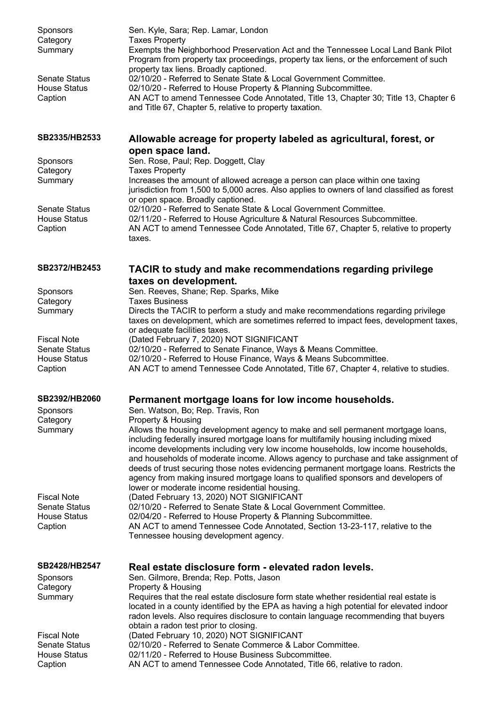| Sponsors<br>Category<br>Summary<br><b>Senate Status</b><br><b>House Status</b><br>Caption | Sen. Kyle, Sara; Rep. Lamar, London<br><b>Taxes Property</b><br>Exempts the Neighborhood Preservation Act and the Tennessee Local Land Bank Pilot<br>Program from property tax proceedings, property tax liens, or the enforcement of such<br>property tax liens. Broadly captioned.<br>02/10/20 - Referred to Senate State & Local Government Committee.<br>02/10/20 - Referred to House Property & Planning Subcommittee.<br>AN ACT to amend Tennessee Code Annotated, Title 13, Chapter 30; Title 13, Chapter 6<br>and Title 67, Chapter 5, relative to property taxation.     |
|-------------------------------------------------------------------------------------------|-----------------------------------------------------------------------------------------------------------------------------------------------------------------------------------------------------------------------------------------------------------------------------------------------------------------------------------------------------------------------------------------------------------------------------------------------------------------------------------------------------------------------------------------------------------------------------------|
| SB2335/HB2533                                                                             | Allowable acreage for property labeled as agricultural, forest, or                                                                                                                                                                                                                                                                                                                                                                                                                                                                                                                |
| Sponsors<br>Category<br>Summary                                                           | open space land.<br>Sen. Rose, Paul; Rep. Doggett, Clay<br><b>Taxes Property</b><br>Increases the amount of allowed acreage a person can place within one taxing<br>jurisdiction from 1,500 to 5,000 acres. Also applies to owners of land classified as forest                                                                                                                                                                                                                                                                                                                   |
| <b>Senate Status</b><br><b>House Status</b><br>Caption                                    | or open space. Broadly captioned.<br>02/10/20 - Referred to Senate State & Local Government Committee.<br>02/11/20 - Referred to House Agriculture & Natural Resources Subcommittee.<br>AN ACT to amend Tennessee Code Annotated, Title 67, Chapter 5, relative to property<br>taxes.                                                                                                                                                                                                                                                                                             |
| SB2372/HB2453                                                                             | <b>TACIR to study and make recommendations regarding privilege</b>                                                                                                                                                                                                                                                                                                                                                                                                                                                                                                                |
| Sponsors<br>Category                                                                      | taxes on development.<br>Sen. Reeves, Shane; Rep. Sparks, Mike<br><b>Taxes Business</b>                                                                                                                                                                                                                                                                                                                                                                                                                                                                                           |
| Summary                                                                                   | Directs the TACIR to perform a study and make recommendations regarding privilege<br>taxes on development, which are sometimes referred to impact fees, development taxes,<br>or adequate facilities taxes.                                                                                                                                                                                                                                                                                                                                                                       |
| <b>Fiscal Note</b><br><b>Senate Status</b><br><b>House Status</b><br>Caption              | (Dated February 7, 2020) NOT SIGNIFICANT<br>02/10/20 - Referred to Senate Finance, Ways & Means Committee.<br>02/10/20 - Referred to House Finance, Ways & Means Subcommittee.<br>AN ACT to amend Tennessee Code Annotated, Title 67, Chapter 4, relative to studies.                                                                                                                                                                                                                                                                                                             |
| SB2392/HB2060                                                                             | Permanent mortgage loans for low income households.                                                                                                                                                                                                                                                                                                                                                                                                                                                                                                                               |
| <b>Sponsors</b><br>Category                                                               | Sen. Watson, Bo; Rep. Travis, Ron<br>Property & Housing                                                                                                                                                                                                                                                                                                                                                                                                                                                                                                                           |
| Summary                                                                                   | Allows the housing development agency to make and sell permanent mortgage loans,<br>including federally insured mortgage loans for multifamily housing including mixed<br>income developments including very low income households, low income households,<br>and households of moderate income. Allows agency to purchase and take assignment of<br>deeds of trust securing those notes evidencing permanent mortgage loans. Restricts the<br>agency from making insured mortgage loans to qualified sponsors and developers of<br>lower or moderate income residential housing. |
| <b>Fiscal Note</b>                                                                        | (Dated February 13, 2020) NOT SIGNIFICANT                                                                                                                                                                                                                                                                                                                                                                                                                                                                                                                                         |
| <b>Senate Status</b><br><b>House Status</b><br>Caption                                    | 02/10/20 - Referred to Senate State & Local Government Committee.<br>02/04/20 - Referred to House Property & Planning Subcommittee.<br>AN ACT to amend Tennessee Code Annotated, Section 13-23-117, relative to the<br>Tennessee housing development agency.                                                                                                                                                                                                                                                                                                                      |
| SB2428/HB2547                                                                             | Real estate disclosure form - elevated radon levels.                                                                                                                                                                                                                                                                                                                                                                                                                                                                                                                              |
| Sponsors                                                                                  | Sen. Gilmore, Brenda; Rep. Potts, Jason                                                                                                                                                                                                                                                                                                                                                                                                                                                                                                                                           |
| Category<br>Summary                                                                       | Property & Housing<br>Requires that the real estate disclosure form state whether residential real estate is<br>located in a county identified by the EPA as having a high potential for elevated indoor<br>radon levels. Also requires disclosure to contain language recommending that buyers<br>obtain a radon test prior to closing.                                                                                                                                                                                                                                          |
| <b>Fiscal Note</b>                                                                        | (Dated February 10, 2020) NOT SIGNIFICANT                                                                                                                                                                                                                                                                                                                                                                                                                                                                                                                                         |
| <b>Senate Status</b><br><b>House Status</b><br>Caption                                    | 02/10/20 - Referred to Senate Commerce & Labor Committee.<br>02/11/20 - Referred to House Business Subcommittee.<br>AN ACT to amend Tennessee Code Annotated, Title 66, relative to radon.                                                                                                                                                                                                                                                                                                                                                                                        |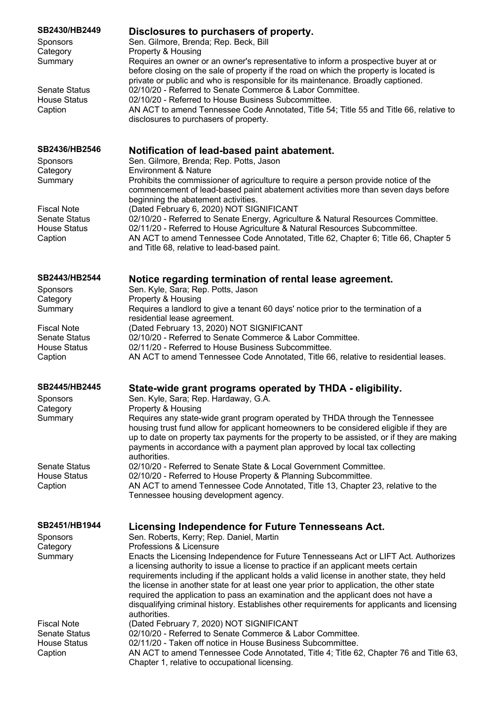| SB2430/HB2449<br>Sponsors<br>Category<br>Summary                             | Disclosures to purchasers of property.<br>Sen. Gilmore, Brenda; Rep. Beck, Bill<br>Property & Housing<br>Requires an owner or an owner's representative to inform a prospective buyer at or                                                                                                                                                                                                                                                                                                                                                                                                        |
|------------------------------------------------------------------------------|----------------------------------------------------------------------------------------------------------------------------------------------------------------------------------------------------------------------------------------------------------------------------------------------------------------------------------------------------------------------------------------------------------------------------------------------------------------------------------------------------------------------------------------------------------------------------------------------------|
| <b>Senate Status</b><br><b>House Status</b><br>Caption                       | before closing on the sale of property if the road on which the property is located is<br>private or public and who is responsible for its maintenance. Broadly captioned.<br>02/10/20 - Referred to Senate Commerce & Labor Committee.<br>02/10/20 - Referred to House Business Subcommittee.<br>AN ACT to amend Tennessee Code Annotated, Title 54; Title 55 and Title 66, relative to<br>disclosures to purchasers of property.                                                                                                                                                                 |
| SB2436/HB2546<br><b>Sponsors</b><br>Category<br>Summary                      | Notification of lead-based paint abatement.<br>Sen. Gilmore, Brenda; Rep. Potts, Jason<br><b>Environment &amp; Nature</b><br>Prohibits the commissioner of agriculture to require a person provide notice of the                                                                                                                                                                                                                                                                                                                                                                                   |
| <b>Fiscal Note</b><br>Senate Status<br><b>House Status</b><br>Caption        | commencement of lead-based paint abatement activities more than seven days before<br>beginning the abatement activities.<br>(Dated February 6, 2020) NOT SIGNIFICANT<br>02/10/20 - Referred to Senate Energy, Agriculture & Natural Resources Committee.<br>02/11/20 - Referred to House Agriculture & Natural Resources Subcommittee.<br>AN ACT to amend Tennessee Code Annotated, Title 62, Chapter 6; Title 66, Chapter 5<br>and Title 68, relative to lead-based paint.                                                                                                                        |
| SB2443/HB2544                                                                | Notice regarding termination of rental lease agreement.                                                                                                                                                                                                                                                                                                                                                                                                                                                                                                                                            |
| Sponsors<br>Category<br>Summary                                              | Sen. Kyle, Sara; Rep. Potts, Jason<br>Property & Housing<br>Requires a landlord to give a tenant 60 days' notice prior to the termination of a<br>residential lease agreement.                                                                                                                                                                                                                                                                                                                                                                                                                     |
| <b>Fiscal Note</b><br><b>Senate Status</b><br><b>House Status</b><br>Caption | (Dated February 13, 2020) NOT SIGNIFICANT<br>02/10/20 - Referred to Senate Commerce & Labor Committee.<br>02/11/20 - Referred to House Business Subcommittee.<br>AN ACT to amend Tennessee Code Annotated, Title 66, relative to residential leases.                                                                                                                                                                                                                                                                                                                                               |
| SB2445/HB2445<br>Sponsors                                                    | State-wide grant programs operated by THDA - eligibility.<br>Sen. Kyle, Sara; Rep. Hardaway, G.A.                                                                                                                                                                                                                                                                                                                                                                                                                                                                                                  |
| Category<br>Summary                                                          | Property & Housing<br>Requires any state-wide grant program operated by THDA through the Tennessee<br>housing trust fund allow for applicant homeowners to be considered eligible if they are<br>up to date on property tax payments for the property to be assisted, or if they are making<br>payments in accordance with a payment plan approved by local tax collecting<br>authorities.                                                                                                                                                                                                         |
| <b>Senate Status</b><br><b>House Status</b><br>Caption                       | 02/10/20 - Referred to Senate State & Local Government Committee.<br>02/10/20 - Referred to House Property & Planning Subcommittee.<br>AN ACT to amend Tennessee Code Annotated, Title 13, Chapter 23, relative to the<br>Tennessee housing development agency.                                                                                                                                                                                                                                                                                                                                    |
| SB2451/HB1944<br>Sponsors                                                    | Licensing Independence for Future Tennesseans Act.<br>Sen. Roberts, Kerry; Rep. Daniel, Martin                                                                                                                                                                                                                                                                                                                                                                                                                                                                                                     |
| Category<br>Summary                                                          | Professions & Licensure<br>Enacts the Licensing Independence for Future Tennesseans Act or LIFT Act. Authorizes<br>a licensing authority to issue a license to practice if an applicant meets certain<br>requirements including if the applicant holds a valid license in another state, they held<br>the license in another state for at least one year prior to application, the other state<br>required the application to pass an examination and the applicant does not have a<br>disqualifying criminal history. Establishes other requirements for applicants and licensing<br>authorities. |
| <b>Fiscal Note</b><br><b>Senate Status</b><br><b>House Status</b><br>Caption | (Dated February 7, 2020) NOT SIGNIFICANT<br>02/10/20 - Referred to Senate Commerce & Labor Committee.<br>02/11/20 - Taken off notice in House Business Subcommittee.<br>AN ACT to amend Tennessee Code Annotated, Title 4; Title 62, Chapter 76 and Title 63,<br>Chapter 1, relative to occupational licensing.                                                                                                                                                                                                                                                                                    |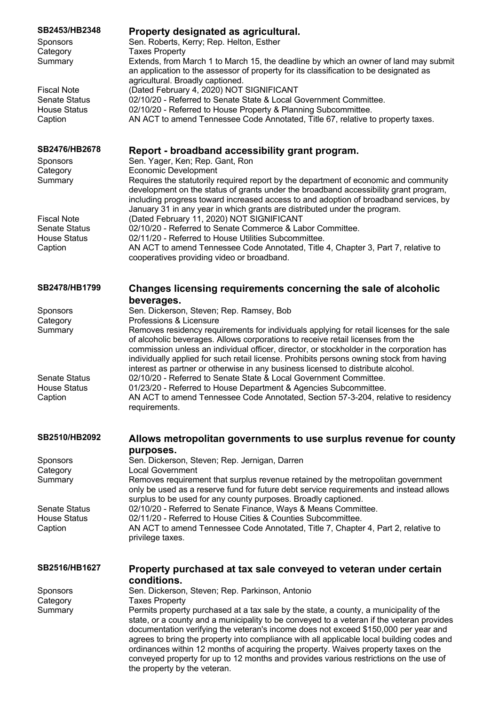| SB2453/HB2348        | Property designated as agricultural.                                                                                                                                                                                                                                                                                                                                                             |
|----------------------|--------------------------------------------------------------------------------------------------------------------------------------------------------------------------------------------------------------------------------------------------------------------------------------------------------------------------------------------------------------------------------------------------|
| Sponsors             | Sen. Roberts, Kerry; Rep. Helton, Esther                                                                                                                                                                                                                                                                                                                                                         |
| Category             | <b>Taxes Property</b>                                                                                                                                                                                                                                                                                                                                                                            |
| Summary              | Extends, from March 1 to March 15, the deadline by which an owner of land may submit<br>an application to the assessor of property for its classification to be designated as                                                                                                                                                                                                                    |
| <b>Fiscal Note</b>   | agricultural. Broadly captioned.<br>(Dated February 4, 2020) NOT SIGNIFICANT                                                                                                                                                                                                                                                                                                                     |
| <b>Senate Status</b> | 02/10/20 - Referred to Senate State & Local Government Committee.                                                                                                                                                                                                                                                                                                                                |
| <b>House Status</b>  | 02/10/20 - Referred to House Property & Planning Subcommittee.                                                                                                                                                                                                                                                                                                                                   |
| Caption              | AN ACT to amend Tennessee Code Annotated, Title 67, relative to property taxes.                                                                                                                                                                                                                                                                                                                  |
|                      |                                                                                                                                                                                                                                                                                                                                                                                                  |
| SB2476/HB2678        | Report - broadband accessibility grant program.                                                                                                                                                                                                                                                                                                                                                  |
| Sponsors             | Sen. Yager, Ken; Rep. Gant, Ron                                                                                                                                                                                                                                                                                                                                                                  |
| Category             | <b>Economic Development</b>                                                                                                                                                                                                                                                                                                                                                                      |
| Summary              | Requires the statutorily required report by the department of economic and community<br>development on the status of grants under the broadband accessibility grant program,<br>including progress toward increased access to and adoption of broadband services, by<br>January 31 in any year in which grants are distributed under the program.                                                |
| <b>Fiscal Note</b>   | (Dated February 11, 2020) NOT SIGNIFICANT                                                                                                                                                                                                                                                                                                                                                        |
| <b>Senate Status</b> | 02/10/20 - Referred to Senate Commerce & Labor Committee.                                                                                                                                                                                                                                                                                                                                        |
| <b>House Status</b>  | 02/11/20 - Referred to House Utilities Subcommittee.                                                                                                                                                                                                                                                                                                                                             |
| Caption              | AN ACT to amend Tennessee Code Annotated, Title 4, Chapter 3, Part 7, relative to<br>cooperatives providing video or broadband.                                                                                                                                                                                                                                                                  |
| SB2478/HB1799        | Changes licensing requirements concerning the sale of alcoholic                                                                                                                                                                                                                                                                                                                                  |
|                      | beverages.                                                                                                                                                                                                                                                                                                                                                                                       |
| Sponsors             | Sen. Dickerson, Steven; Rep. Ramsey, Bob                                                                                                                                                                                                                                                                                                                                                         |
| Category             | Professions & Licensure                                                                                                                                                                                                                                                                                                                                                                          |
| Summary              | Removes residency requirements for individuals applying for retail licenses for the sale<br>of alcoholic beverages. Allows corporations to receive retail licenses from the<br>commission unless an individual officer, director, or stockholder in the corporation has<br>individually applied for such retail license. Prohibits persons owning stock from having                              |
| <b>Senate Status</b> | interest as partner or otherwise in any business licensed to distribute alcohol.<br>02/10/20 - Referred to Senate State & Local Government Committee.                                                                                                                                                                                                                                            |
| <b>House Status</b>  | 01/23/20 - Referred to House Department & Agencies Subcommittee.                                                                                                                                                                                                                                                                                                                                 |
| Caption              | AN ACT to amend Tennessee Code Annotated, Section 57-3-204, relative to residency<br>requirements.                                                                                                                                                                                                                                                                                               |
| SB2510/HB2092        | Allows metropolitan governments to use surplus revenue for county<br>purposes.                                                                                                                                                                                                                                                                                                                   |
| Sponsors             | Sen. Dickerson, Steven; Rep. Jernigan, Darren                                                                                                                                                                                                                                                                                                                                                    |
| Category             | <b>Local Government</b>                                                                                                                                                                                                                                                                                                                                                                          |
| Summary              | Removes requirement that surplus revenue retained by the metropolitan government<br>only be used as a reserve fund for future debt service requirements and instead allows                                                                                                                                                                                                                       |
| <b>Senate Status</b> | surplus to be used for any county purposes. Broadly captioned.<br>02/10/20 - Referred to Senate Finance, Ways & Means Committee.                                                                                                                                                                                                                                                                 |
| <b>House Status</b>  | 02/11/20 - Referred to House Cities & Counties Subcommittee.                                                                                                                                                                                                                                                                                                                                     |
| Caption              | AN ACT to amend Tennessee Code Annotated, Title 7, Chapter 4, Part 2, relative to<br>privilege taxes.                                                                                                                                                                                                                                                                                            |
| SB2516/HB1627        | Property purchased at tax sale conveyed to veteran under certain<br>conditions.                                                                                                                                                                                                                                                                                                                  |
| Sponsors             | Sen. Dickerson, Steven; Rep. Parkinson, Antonio                                                                                                                                                                                                                                                                                                                                                  |
| Category             | <b>Taxes Property</b>                                                                                                                                                                                                                                                                                                                                                                            |
| Summary              | Permits property purchased at a tax sale by the state, a county, a municipality of the<br>state, or a county and a municipality to be conveyed to a veteran if the veteran provides                                                                                                                                                                                                              |
|                      | documentation verifying the veteran's income does not exceed \$150,000 per year and<br>agrees to bring the property into compliance with all applicable local building codes and<br>ordinances within 12 months of acquiring the property. Waives property taxes on the<br>conveyed property for up to 12 months and provides various restrictions on the use of<br>the property by the veteran. |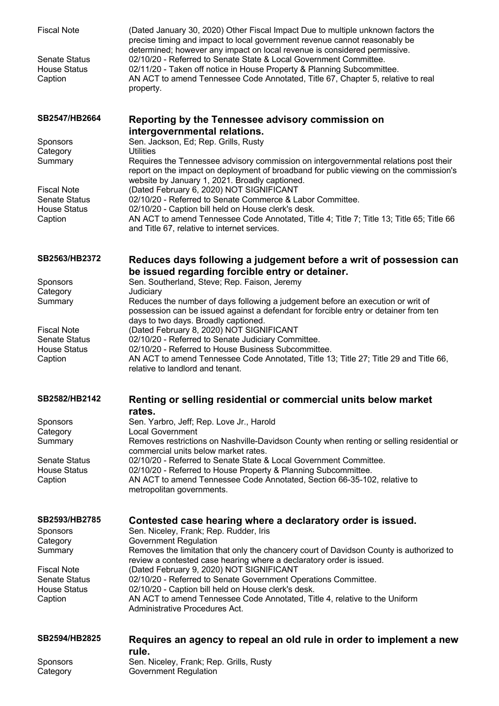| <b>Fiscal Note</b><br><b>Senate Status</b><br><b>House Status</b><br>Caption | (Dated January 30, 2020) Other Fiscal Impact Due to multiple unknown factors the<br>precise timing and impact to local government revenue cannot reasonably be<br>determined; however any impact on local revenue is considered permissive.<br>02/10/20 - Referred to Senate State & Local Government Committee.<br>02/11/20 - Taken off notice in House Property & Planning Subcommittee.<br>AN ACT to amend Tennessee Code Annotated, Title 67, Chapter 5, relative to real<br>property. |
|------------------------------------------------------------------------------|--------------------------------------------------------------------------------------------------------------------------------------------------------------------------------------------------------------------------------------------------------------------------------------------------------------------------------------------------------------------------------------------------------------------------------------------------------------------------------------------|
| SB2547/HB2664                                                                | Reporting by the Tennessee advisory commission on<br>intergovernmental relations.                                                                                                                                                                                                                                                                                                                                                                                                          |
| Sponsors                                                                     | Sen. Jackson, Ed; Rep. Grills, Rusty                                                                                                                                                                                                                                                                                                                                                                                                                                                       |
| Category                                                                     | <b>Utilities</b>                                                                                                                                                                                                                                                                                                                                                                                                                                                                           |
| Summary                                                                      | Requires the Tennessee advisory commission on intergovernmental relations post their<br>report on the impact on deployment of broadband for public viewing on the commission's<br>website by January 1, 2021. Broadly captioned.                                                                                                                                                                                                                                                           |
| <b>Fiscal Note</b>                                                           | (Dated February 6, 2020) NOT SIGNIFICANT                                                                                                                                                                                                                                                                                                                                                                                                                                                   |
| <b>Senate Status</b><br><b>House Status</b>                                  | 02/10/20 - Referred to Senate Commerce & Labor Committee.<br>02/10/20 - Caption bill held on House clerk's desk.                                                                                                                                                                                                                                                                                                                                                                           |
| Caption                                                                      | AN ACT to amend Tennessee Code Annotated, Title 4; Title 7; Title 13; Title 65; Title 66                                                                                                                                                                                                                                                                                                                                                                                                   |
|                                                                              | and Title 67, relative to internet services.                                                                                                                                                                                                                                                                                                                                                                                                                                               |
| SB2563/HB2372                                                                | Reduces days following a judgement before a writ of possession can                                                                                                                                                                                                                                                                                                                                                                                                                         |
|                                                                              | be issued regarding forcible entry or detainer.                                                                                                                                                                                                                                                                                                                                                                                                                                            |
| Sponsors                                                                     | Sen. Southerland, Steve; Rep. Faison, Jeremy                                                                                                                                                                                                                                                                                                                                                                                                                                               |
| Category<br>Summary                                                          | Judiciary<br>Reduces the number of days following a judgement before an execution or writ of                                                                                                                                                                                                                                                                                                                                                                                               |
|                                                                              | possession can be issued against a defendant for forcible entry or detainer from ten                                                                                                                                                                                                                                                                                                                                                                                                       |
| <b>Fiscal Note</b>                                                           | days to two days. Broadly captioned.<br>(Dated February 8, 2020) NOT SIGNIFICANT                                                                                                                                                                                                                                                                                                                                                                                                           |
| <b>Senate Status</b>                                                         | 02/10/20 - Referred to Senate Judiciary Committee.                                                                                                                                                                                                                                                                                                                                                                                                                                         |
| <b>House Status</b>                                                          | 02/10/20 - Referred to House Business Subcommittee.                                                                                                                                                                                                                                                                                                                                                                                                                                        |
| Caption                                                                      | AN ACT to amend Tennessee Code Annotated, Title 13; Title 27; Title 29 and Title 66,<br>relative to landlord and tenant.                                                                                                                                                                                                                                                                                                                                                                   |
| SB2582/HB2142                                                                | Renting or selling residential or commercial units below market                                                                                                                                                                                                                                                                                                                                                                                                                            |
|                                                                              | rates.                                                                                                                                                                                                                                                                                                                                                                                                                                                                                     |
| Sponsors                                                                     | Sen. Yarbro, Jeff; Rep. Love Jr., Harold                                                                                                                                                                                                                                                                                                                                                                                                                                                   |
| Category                                                                     | <b>Local Government</b>                                                                                                                                                                                                                                                                                                                                                                                                                                                                    |
| Summary                                                                      | Removes restrictions on Nashville-Davidson County when renting or selling residential or<br>commercial units below market rates.                                                                                                                                                                                                                                                                                                                                                           |
| <b>Senate Status</b>                                                         | 02/10/20 - Referred to Senate State & Local Government Committee.                                                                                                                                                                                                                                                                                                                                                                                                                          |
| <b>House Status</b>                                                          | 02/10/20 - Referred to House Property & Planning Subcommittee.                                                                                                                                                                                                                                                                                                                                                                                                                             |
| Caption                                                                      | AN ACT to amend Tennessee Code Annotated, Section 66-35-102, relative to<br>metropolitan governments.                                                                                                                                                                                                                                                                                                                                                                                      |
| SB2593/HB2785                                                                | Contested case hearing where a declaratory order is issued.                                                                                                                                                                                                                                                                                                                                                                                                                                |
| Sponsors                                                                     | Sen. Niceley, Frank; Rep. Rudder, Iris                                                                                                                                                                                                                                                                                                                                                                                                                                                     |
| Category                                                                     | <b>Government Regulation</b>                                                                                                                                                                                                                                                                                                                                                                                                                                                               |
| Summary                                                                      | Removes the limitation that only the chancery court of Davidson County is authorized to<br>review a contested case hearing where a declaratory order is issued.                                                                                                                                                                                                                                                                                                                            |
| <b>Fiscal Note</b>                                                           | (Dated February 9, 2020) NOT SIGNIFICANT                                                                                                                                                                                                                                                                                                                                                                                                                                                   |
| <b>Senate Status</b>                                                         | 02/10/20 - Referred to Senate Government Operations Committee.                                                                                                                                                                                                                                                                                                                                                                                                                             |
| <b>House Status</b><br>Caption                                               | 02/10/20 - Caption bill held on House clerk's desk.<br>AN ACT to amend Tennessee Code Annotated, Title 4, relative to the Uniform                                                                                                                                                                                                                                                                                                                                                          |
|                                                                              | Administrative Procedures Act.                                                                                                                                                                                                                                                                                                                                                                                                                                                             |
| SB2594/HB2825                                                                | Requires an agency to repeal an old rule in order to implement a new                                                                                                                                                                                                                                                                                                                                                                                                                       |
|                                                                              | rule.                                                                                                                                                                                                                                                                                                                                                                                                                                                                                      |
| Sponsors<br>Category                                                         | Sen. Niceley, Frank; Rep. Grills, Rusty<br><b>Government Regulation</b>                                                                                                                                                                                                                                                                                                                                                                                                                    |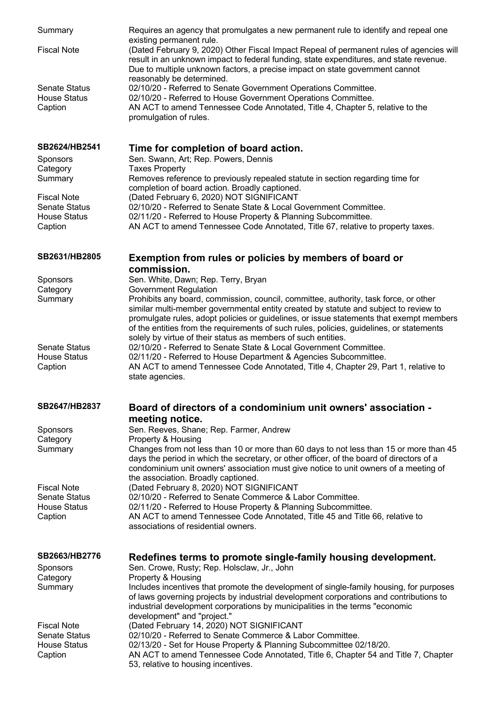| Summary                                     | Requires an agency that promulgates a new permanent rule to identify and repeal one                                                                                                                                                                                                                                                                                 |
|---------------------------------------------|---------------------------------------------------------------------------------------------------------------------------------------------------------------------------------------------------------------------------------------------------------------------------------------------------------------------------------------------------------------------|
| <b>Fiscal Note</b>                          | existing permanent rule.<br>(Dated February 9, 2020) Other Fiscal Impact Repeal of permanent rules of agencies will<br>result in an unknown impact to federal funding, state expenditures, and state revenue.<br>Due to multiple unknown factors, a precise impact on state government cannot<br>reasonably be determined.                                          |
| <b>Senate Status</b>                        | 02/10/20 - Referred to Senate Government Operations Committee.                                                                                                                                                                                                                                                                                                      |
| <b>House Status</b><br>Caption              | 02/10/20 - Referred to House Government Operations Committee.<br>AN ACT to amend Tennessee Code Annotated, Title 4, Chapter 5, relative to the<br>promulgation of rules.                                                                                                                                                                                            |
| SB2624/HB2541                               | Time for completion of board action.                                                                                                                                                                                                                                                                                                                                |
| <b>Sponsors</b><br>Category<br>Summary      | Sen. Swann, Art; Rep. Powers, Dennis<br><b>Taxes Property</b><br>Removes reference to previously repealed statute in section regarding time for                                                                                                                                                                                                                     |
|                                             | completion of board action. Broadly captioned.                                                                                                                                                                                                                                                                                                                      |
| <b>Fiscal Note</b><br><b>Senate Status</b>  | (Dated February 6, 2020) NOT SIGNIFICANT<br>02/10/20 - Referred to Senate State & Local Government Committee.                                                                                                                                                                                                                                                       |
| <b>House Status</b>                         | 02/11/20 - Referred to House Property & Planning Subcommittee.                                                                                                                                                                                                                                                                                                      |
| Caption                                     | AN ACT to amend Tennessee Code Annotated, Title 67, relative to property taxes.                                                                                                                                                                                                                                                                                     |
| SB2631/HB2805                               | Exemption from rules or policies by members of board or                                                                                                                                                                                                                                                                                                             |
|                                             | commission.                                                                                                                                                                                                                                                                                                                                                         |
| Sponsors<br>Category                        | Sen. White, Dawn; Rep. Terry, Bryan<br><b>Government Regulation</b>                                                                                                                                                                                                                                                                                                 |
| Summary                                     | Prohibits any board, commission, council, committee, authority, task force, or other<br>similar multi-member governmental entity created by statute and subject to review to<br>promulgate rules, adopt policies or guidelines, or issue statements that exempt members<br>of the entities from the requirements of such rules, policies, guidelines, or statements |
| <b>Senate Status</b><br><b>House Status</b> | solely by virtue of their status as members of such entities.<br>02/10/20 - Referred to Senate State & Local Government Committee.<br>02/11/20 - Referred to House Department & Agencies Subcommittee.                                                                                                                                                              |
| Caption                                     | AN ACT to amend Tennessee Code Annotated, Title 4, Chapter 29, Part 1, relative to<br>state agencies.                                                                                                                                                                                                                                                               |
| SB2647/HB2837                               | Board of directors of a condominium unit owners' association -                                                                                                                                                                                                                                                                                                      |
|                                             | meeting notice.                                                                                                                                                                                                                                                                                                                                                     |
| Sponsors<br>Category                        | Sen. Reeves, Shane; Rep. Farmer, Andrew<br>Property & Housing                                                                                                                                                                                                                                                                                                       |
| Summary                                     | Changes from not less than 10 or more than 60 days to not less than 15 or more than 45<br>days the period in which the secretary, or other officer, of the board of directors of a<br>condominium unit owners' association must give notice to unit owners of a meeting of<br>the association. Broadly captioned.                                                   |
| <b>Fiscal Note</b>                          | (Dated February 8, 2020) NOT SIGNIFICANT                                                                                                                                                                                                                                                                                                                            |
| <b>Senate Status</b><br><b>House Status</b> | 02/10/20 - Referred to Senate Commerce & Labor Committee.<br>02/11/20 - Referred to House Property & Planning Subcommittee.                                                                                                                                                                                                                                         |
| Caption                                     | AN ACT to amend Tennessee Code Annotated, Title 45 and Title 66, relative to<br>associations of residential owners.                                                                                                                                                                                                                                                 |
| SB2663/HB2776                               | Redefines terms to promote single-family housing development.                                                                                                                                                                                                                                                                                                       |
| <b>Sponsors</b><br>Category                 | Sen. Crowe, Rusty; Rep. Holsclaw, Jr., John<br>Property & Housing                                                                                                                                                                                                                                                                                                   |
| Summary                                     | Includes incentives that promote the development of single-family housing, for purposes<br>of laws governing projects by industrial development corporations and contributions to<br>industrial development corporations by municipalities in the terms "economic                                                                                                   |
| <b>Fiscal Note</b>                          | development" and "project."<br>(Dated February 14, 2020) NOT SIGNIFICANT                                                                                                                                                                                                                                                                                            |
| <b>Senate Status</b><br><b>House Status</b> | 02/10/20 - Referred to Senate Commerce & Labor Committee.<br>02/13/20 - Set for House Property & Planning Subcommittee 02/18/20.                                                                                                                                                                                                                                    |
| Caption                                     | AN ACT to amend Tennessee Code Annotated, Title 6, Chapter 54 and Title 7, Chapter<br>53, relative to housing incentives.                                                                                                                                                                                                                                           |